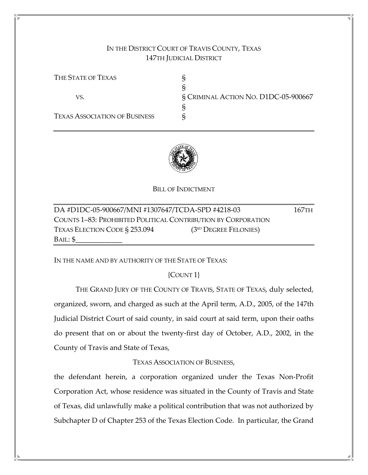# IN THE DISTRICT COURT OF TRAVIS COUNTY, TEXAS 147TH JUDICIAL DISTRICT

THE STATE OF TEXAS S § VS. § CRIMINAL ACTION NO. D1DC-05-900667 § TEXAS ASSOCIATION OF BUSINESS §



BILL OF INDICTMENT

| DA #D1DC-05-900667/MNI #1307647/TCDA-SPD #4218-03             |                         | 167тн |
|---------------------------------------------------------------|-------------------------|-------|
| COUNTS 1-83: PROHIBITED POLITICAL CONTRIBUTION BY CORPORATION |                         |       |
| TEXAS ELECTION CODE § 253.094                                 | $(3RD$ DEGREE FELONIES) |       |
| BAIL: \$                                                      |                         |       |

IN THE NAME AND BY AUTHORITY OF THE STATE OF TEXAS:

{COUNT 1}

 THE GRAND JURY OF THE COUNTY OF TRAVIS, STATE OF TEXAS, duly selected, organized, sworn, and charged as such at the April term, A.D., 2005, of the 147th Judicial District Court of said county, in said court at said term, upon their oaths do present that on or about the twenty-first day of October, A.D., 2002, in the County of Travis and State of Texas,

TEXAS ASSOCIATION OF BUSINESS,

the defendant herein, a corporation organized under the Texas Non-Profit Corporation Act, whose residence was situated in the County of Travis and State of Texas, did unlawfully make a political contribution that was not authorized by Subchapter D of Chapter 253 of the Texas Election Code. In particular, the Grand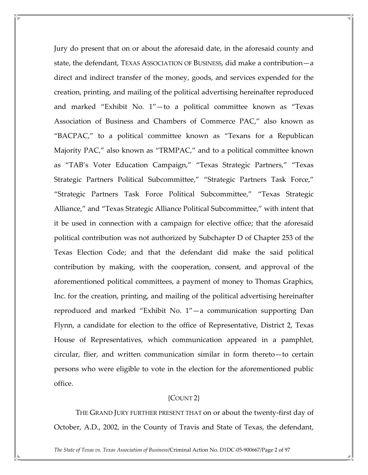Jury do present that on or about the aforesaid date, in the aforesaid county and state, the defendant, TEXAS ASSOCIATION OF BUSINESS, did make a contribution—a direct and indirect transfer of the money, goods, and services expended for the creation, printing, and mailing of the political advertising hereinafter reproduced and marked "Exhibit No. 1"—to a political committee known as "Texas Association of Business and Chambers of Commerce PAC," also known as "BACPAC," to a political committee known as "Texans for a Republican Majority PAC," also known as "TRMPAC," and to a political committee known as "TAB's Voter Education Campaign," "Texas Strategic Partners," "Texas Strategic Partners Political Subcommittee," "Strategic Partners Task Force," "Strategic Partners Task Force Political Subcommittee," "Texas Strategic Alliance," and "Texas Strategic Alliance Political Subcommittee," with intent that it be used in connection with a campaign for elective office; that the aforesaid political contribution was not authorized by Subchapter D of Chapter 253 of the Texas Election Code; and that the defendant did make the said political contribution by making, with the cooperation, consent, and approval of the aforementioned political committees, a payment of money to Thomas Graphics, Inc. for the creation, printing, and mailing of the political advertising hereinafter reproduced and marked "Exhibit No. 1"—a communication supporting Dan Flynn, a candidate for election to the office of Representative, District 2, Texas House of Representatives, which communication appeared in a pamphlet, circular, flier, and written communication similar in form thereto—to certain persons who were eligible to vote in the election for the aforementioned public office.

## {COUNT 2}

 THE GRAND JURY FURTHER PRESENT THAT on or about the twenty-first day of October, A.D., 2002, in the County of Travis and State of Texas, the defendant,

The State of Texas vs. Texas Association of Business/Criminal Action No. D1DC-05-900667/Page 2 of 97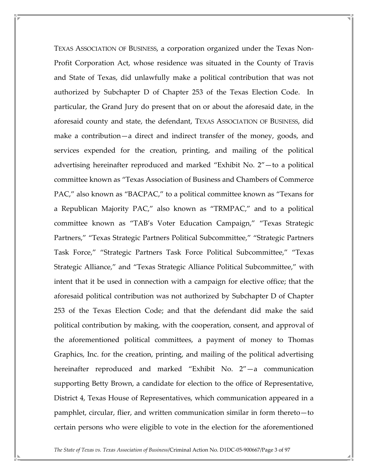TEXAS ASSOCIATION OF BUSINESS, a corporation organized under the Texas Non-Profit Corporation Act, whose residence was situated in the County of Travis and State of Texas, did unlawfully make a political contribution that was not authorized by Subchapter D of Chapter 253 of the Texas Election Code. In particular, the Grand Jury do present that on or about the aforesaid date, in the aforesaid county and state, the defendant, TEXAS ASSOCIATION OF BUSINESS, did make a contribution—a direct and indirect transfer of the money, goods, and services expended for the creation, printing, and mailing of the political advertising hereinafter reproduced and marked "Exhibit No. 2"—to a political committee known as "Texas Association of Business and Chambers of Commerce PAC," also known as "BACPAC," to a political committee known as "Texans for a Republican Majority PAC," also known as "TRMPAC," and to a political committee known as "TAB's Voter Education Campaign," "Texas Strategic Partners," "Texas Strategic Partners Political Subcommittee," "Strategic Partners Task Force," "Strategic Partners Task Force Political Subcommittee," "Texas Strategic Alliance," and "Texas Strategic Alliance Political Subcommittee," with intent that it be used in connection with a campaign for elective office; that the aforesaid political contribution was not authorized by Subchapter D of Chapter 253 of the Texas Election Code; and that the defendant did make the said political contribution by making, with the cooperation, consent, and approval of the aforementioned political committees, a payment of money to Thomas Graphics, Inc. for the creation, printing, and mailing of the political advertising hereinafter reproduced and marked "Exhibit No. 2"—a communication supporting Betty Brown, a candidate for election to the office of Representative, District 4, Texas House of Representatives, which communication appeared in a pamphlet, circular, flier, and written communication similar in form thereto—to certain persons who were eligible to vote in the election for the aforementioned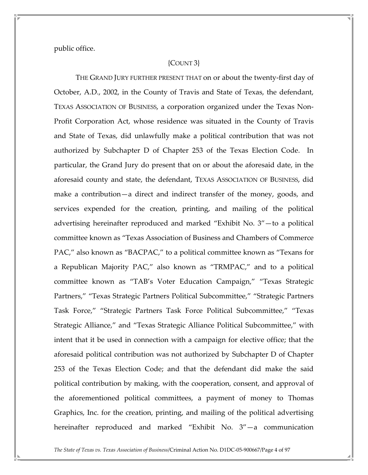public office.

## {COUNT 3}

 THE GRAND JURY FURTHER PRESENT THAT on or about the twenty-first day of October, A.D., 2002, in the County of Travis and State of Texas, the defendant, TEXAS ASSOCIATION OF BUSINESS, a corporation organized under the Texas Non-Profit Corporation Act, whose residence was situated in the County of Travis and State of Texas, did unlawfully make a political contribution that was not authorized by Subchapter D of Chapter 253 of the Texas Election Code. In particular, the Grand Jury do present that on or about the aforesaid date, in the aforesaid county and state, the defendant, TEXAS ASSOCIATION OF BUSINESS, did make a contribution—a direct and indirect transfer of the money, goods, and services expended for the creation, printing, and mailing of the political advertising hereinafter reproduced and marked "Exhibit No. 3"—to a political committee known as "Texas Association of Business and Chambers of Commerce PAC," also known as "BACPAC," to a political committee known as "Texans for a Republican Majority PAC," also known as "TRMPAC," and to a political committee known as "TAB's Voter Education Campaign," "Texas Strategic Partners," "Texas Strategic Partners Political Subcommittee," "Strategic Partners Task Force," "Strategic Partners Task Force Political Subcommittee," "Texas Strategic Alliance," and "Texas Strategic Alliance Political Subcommittee," with intent that it be used in connection with a campaign for elective office; that the aforesaid political contribution was not authorized by Subchapter D of Chapter 253 of the Texas Election Code; and that the defendant did make the said political contribution by making, with the cooperation, consent, and approval of the aforementioned political committees, a payment of money to Thomas Graphics, Inc. for the creation, printing, and mailing of the political advertising hereinafter reproduced and marked "Exhibit No. 3"—a communication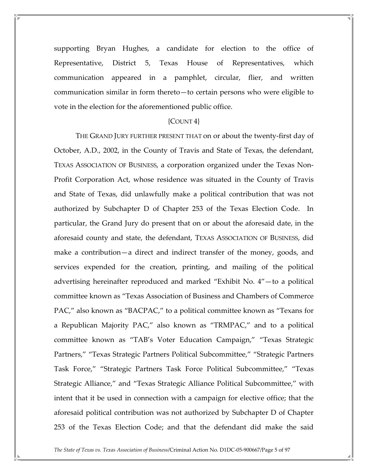supporting Bryan Hughes, a candidate for election to the office of Representative, District 5, Texas House of Representatives, which communication appeared in a pamphlet, circular, flier, and written communication similar in form thereto—to certain persons who were eligible to vote in the election for the aforementioned public office.

#### ${CounT 4}$

 THE GRAND JURY FURTHER PRESENT THAT on or about the twenty-first day of October, A.D., 2002, in the County of Travis and State of Texas, the defendant, TEXAS ASSOCIATION OF BUSINESS, a corporation organized under the Texas Non-Profit Corporation Act, whose residence was situated in the County of Travis and State of Texas, did unlawfully make a political contribution that was not authorized by Subchapter D of Chapter 253 of the Texas Election Code. In particular, the Grand Jury do present that on or about the aforesaid date, in the aforesaid county and state, the defendant, TEXAS ASSOCIATION OF BUSINESS, did make a contribution—a direct and indirect transfer of the money, goods, and services expended for the creation, printing, and mailing of the political advertising hereinafter reproduced and marked "Exhibit No. 4"—to a political committee known as "Texas Association of Business and Chambers of Commerce PAC," also known as "BACPAC," to a political committee known as "Texans for a Republican Majority PAC," also known as "TRMPAC," and to a political committee known as "TAB's Voter Education Campaign," "Texas Strategic Partners," "Texas Strategic Partners Political Subcommittee," "Strategic Partners Task Force," "Strategic Partners Task Force Political Subcommittee," "Texas Strategic Alliance," and "Texas Strategic Alliance Political Subcommittee," with intent that it be used in connection with a campaign for elective office; that the aforesaid political contribution was not authorized by Subchapter D of Chapter 253 of the Texas Election Code; and that the defendant did make the said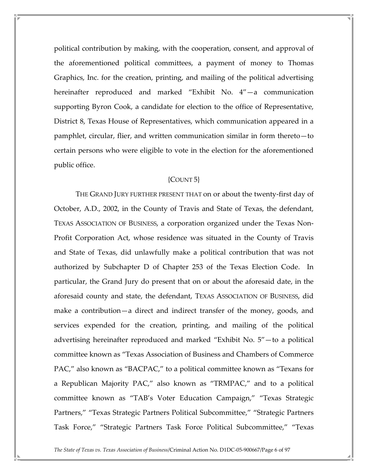political contribution by making, with the cooperation, consent, and approval of the aforementioned political committees, a payment of money to Thomas Graphics, Inc. for the creation, printing, and mailing of the political advertising hereinafter reproduced and marked "Exhibit No. 4"—a communication supporting Byron Cook, a candidate for election to the office of Representative, District 8, Texas House of Representatives, which communication appeared in a pamphlet, circular, flier, and written communication similar in form thereto—to certain persons who were eligible to vote in the election for the aforementioned public office.

## {COUNT 5}

 THE GRAND JURY FURTHER PRESENT THAT on or about the twenty-first day of October, A.D., 2002, in the County of Travis and State of Texas, the defendant, TEXAS ASSOCIATION OF BUSINESS, a corporation organized under the Texas Non-Profit Corporation Act, whose residence was situated in the County of Travis and State of Texas, did unlawfully make a political contribution that was not authorized by Subchapter D of Chapter 253 of the Texas Election Code. In particular, the Grand Jury do present that on or about the aforesaid date, in the aforesaid county and state, the defendant, TEXAS ASSOCIATION OF BUSINESS, did make a contribution—a direct and indirect transfer of the money, goods, and services expended for the creation, printing, and mailing of the political advertising hereinafter reproduced and marked "Exhibit No. 5"—to a political committee known as "Texas Association of Business and Chambers of Commerce PAC," also known as "BACPAC," to a political committee known as "Texans for a Republican Majority PAC," also known as "TRMPAC," and to a political committee known as "TAB's Voter Education Campaign," "Texas Strategic Partners," "Texas Strategic Partners Political Subcommittee," "Strategic Partners Task Force," "Strategic Partners Task Force Political Subcommittee," "Texas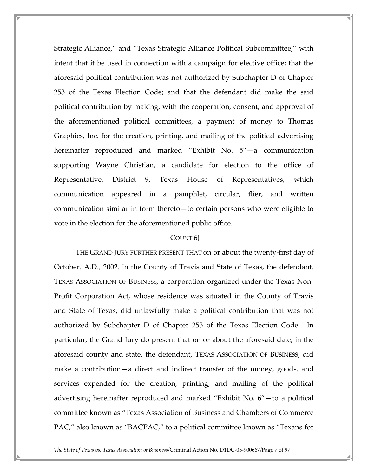Strategic Alliance," and "Texas Strategic Alliance Political Subcommittee," with intent that it be used in connection with a campaign for elective office; that the aforesaid political contribution was not authorized by Subchapter D of Chapter 253 of the Texas Election Code; and that the defendant did make the said political contribution by making, with the cooperation, consent, and approval of the aforementioned political committees, a payment of money to Thomas Graphics, Inc. for the creation, printing, and mailing of the political advertising hereinafter reproduced and marked "Exhibit No. 5"—a communication supporting Wayne Christian, a candidate for election to the office of Representative, District 9, Texas House of Representatives, which communication appeared in a pamphlet, circular, flier, and written communication similar in form thereto—to certain persons who were eligible to vote in the election for the aforementioned public office.

## ${COUNT6}$

 THE GRAND JURY FURTHER PRESENT THAT on or about the twenty-first day of October, A.D., 2002, in the County of Travis and State of Texas, the defendant, TEXAS ASSOCIATION OF BUSINESS, a corporation organized under the Texas Non-Profit Corporation Act, whose residence was situated in the County of Travis and State of Texas, did unlawfully make a political contribution that was not authorized by Subchapter D of Chapter 253 of the Texas Election Code. In particular, the Grand Jury do present that on or about the aforesaid date, in the aforesaid county and state, the defendant, TEXAS ASSOCIATION OF BUSINESS, did make a contribution—a direct and indirect transfer of the money, goods, and services expended for the creation, printing, and mailing of the political advertising hereinafter reproduced and marked "Exhibit No. 6"—to a political committee known as "Texas Association of Business and Chambers of Commerce PAC," also known as "BACPAC," to a political committee known as "Texans for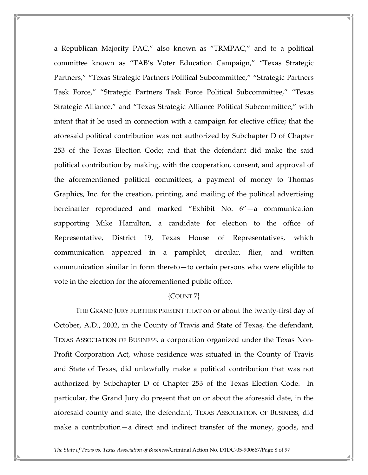a Republican Majority PAC," also known as "TRMPAC," and to a political committee known as "TAB's Voter Education Campaign," "Texas Strategic Partners," "Texas Strategic Partners Political Subcommittee," "Strategic Partners Task Force," "Strategic Partners Task Force Political Subcommittee," "Texas Strategic Alliance," and "Texas Strategic Alliance Political Subcommittee," with intent that it be used in connection with a campaign for elective office; that the aforesaid political contribution was not authorized by Subchapter D of Chapter 253 of the Texas Election Code; and that the defendant did make the said political contribution by making, with the cooperation, consent, and approval of the aforementioned political committees, a payment of money to Thomas Graphics, Inc. for the creation, printing, and mailing of the political advertising hereinafter reproduced and marked "Exhibit No. 6"—a communication supporting Mike Hamilton, a candidate for election to the office of Representative, District 19, Texas House of Representatives, which communication appeared in a pamphlet, circular, flier, and written communication similar in form thereto—to certain persons who were eligible to vote in the election for the aforementioned public office.

## {COUNT 7}

 THE GRAND JURY FURTHER PRESENT THAT on or about the twenty-first day of October, A.D., 2002, in the County of Travis and State of Texas, the defendant, TEXAS ASSOCIATION OF BUSINESS, a corporation organized under the Texas Non-Profit Corporation Act, whose residence was situated in the County of Travis and State of Texas, did unlawfully make a political contribution that was not authorized by Subchapter D of Chapter 253 of the Texas Election Code. In particular, the Grand Jury do present that on or about the aforesaid date, in the aforesaid county and state, the defendant, TEXAS ASSOCIATION OF BUSINESS, did make a contribution—a direct and indirect transfer of the money, goods, and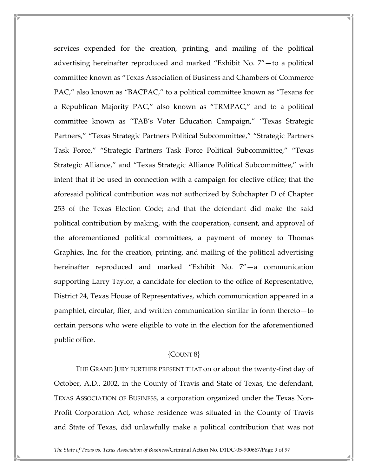services expended for the creation, printing, and mailing of the political advertising hereinafter reproduced and marked "Exhibit No. 7"—to a political committee known as "Texas Association of Business and Chambers of Commerce PAC," also known as "BACPAC," to a political committee known as "Texans for a Republican Majority PAC," also known as "TRMPAC," and to a political committee known as "TAB's Voter Education Campaign," "Texas Strategic Partners," "Texas Strategic Partners Political Subcommittee," "Strategic Partners Task Force," "Strategic Partners Task Force Political Subcommittee," "Texas Strategic Alliance," and "Texas Strategic Alliance Political Subcommittee," with intent that it be used in connection with a campaign for elective office; that the aforesaid political contribution was not authorized by Subchapter D of Chapter 253 of the Texas Election Code; and that the defendant did make the said political contribution by making, with the cooperation, consent, and approval of the aforementioned political committees, a payment of money to Thomas Graphics, Inc. for the creation, printing, and mailing of the political advertising hereinafter reproduced and marked "Exhibit No. 7"—a communication supporting Larry Taylor, a candidate for election to the office of Representative, District 24, Texas House of Representatives, which communication appeared in a pamphlet, circular, flier, and written communication similar in form thereto—to certain persons who were eligible to vote in the election for the aforementioned public office.

#### {COUNT 8}

 THE GRAND JURY FURTHER PRESENT THAT on or about the twenty-first day of October, A.D., 2002, in the County of Travis and State of Texas, the defendant, TEXAS ASSOCIATION OF BUSINESS, a corporation organized under the Texas Non-Profit Corporation Act, whose residence was situated in the County of Travis and State of Texas, did unlawfully make a political contribution that was not

The State of Texas vs. Texas Association of Business/Criminal Action No. D1DC-05-900667/Page 9 of 97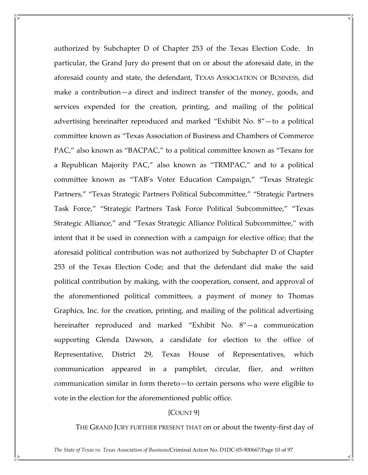authorized by Subchapter D of Chapter 253 of the Texas Election Code. In particular, the Grand Jury do present that on or about the aforesaid date, in the aforesaid county and state, the defendant, TEXAS ASSOCIATION OF BUSINESS, did make a contribution—a direct and indirect transfer of the money, goods, and services expended for the creation, printing, and mailing of the political advertising hereinafter reproduced and marked "Exhibit No. 8"—to a political committee known as "Texas Association of Business and Chambers of Commerce PAC," also known as "BACPAC," to a political committee known as "Texans for a Republican Majority PAC," also known as "TRMPAC," and to a political committee known as "TAB's Voter Education Campaign," "Texas Strategic Partners," "Texas Strategic Partners Political Subcommittee," "Strategic Partners Task Force," "Strategic Partners Task Force Political Subcommittee," "Texas Strategic Alliance," and "Texas Strategic Alliance Political Subcommittee," with intent that it be used in connection with a campaign for elective office; that the aforesaid political contribution was not authorized by Subchapter D of Chapter 253 of the Texas Election Code; and that the defendant did make the said political contribution by making, with the cooperation, consent, and approval of the aforementioned political committees, a payment of money to Thomas Graphics, Inc. for the creation, printing, and mailing of the political advertising hereinafter reproduced and marked "Exhibit No. 8"—a communication supporting Glenda Dawson, a candidate for election to the office of Representative, District 29, Texas House of Representatives, which communication appeared in a pamphlet, circular, flier, and written communication similar in form thereto—to certain persons who were eligible to vote in the election for the aforementioned public office.

## {COUNT 9}

THE GRAND JURY FURTHER PRESENT THAT on or about the twenty-first day of

The State of Texas vs. Texas Association of Business/Criminal Action No. D1DC-05-900667/Page 10 of 97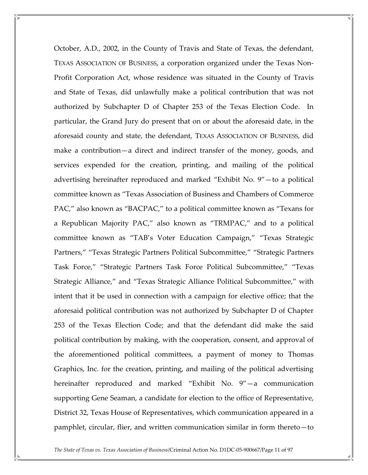October, A.D., 2002, in the County of Travis and State of Texas, the defendant, TEXAS ASSOCIATION OF BUSINESS, a corporation organized under the Texas Non-Profit Corporation Act, whose residence was situated in the County of Travis and State of Texas, did unlawfully make a political contribution that was not authorized by Subchapter D of Chapter 253 of the Texas Election Code. In particular, the Grand Jury do present that on or about the aforesaid date, in the aforesaid county and state, the defendant, TEXAS ASSOCIATION OF BUSINESS, did make a contribution—a direct and indirect transfer of the money, goods, and services expended for the creation, printing, and mailing of the political advertising hereinafter reproduced and marked "Exhibit No. 9"—to a political committee known as "Texas Association of Business and Chambers of Commerce PAC," also known as "BACPAC," to a political committee known as "Texans for a Republican Majority PAC," also known as "TRMPAC," and to a political committee known as "TAB's Voter Education Campaign," "Texas Strategic Partners," "Texas Strategic Partners Political Subcommittee," "Strategic Partners Task Force," "Strategic Partners Task Force Political Subcommittee," "Texas Strategic Alliance," and "Texas Strategic Alliance Political Subcommittee," with intent that it be used in connection with a campaign for elective office; that the aforesaid political contribution was not authorized by Subchapter D of Chapter 253 of the Texas Election Code; and that the defendant did make the said political contribution by making, with the cooperation, consent, and approval of the aforementioned political committees, a payment of money to Thomas Graphics, Inc. for the creation, printing, and mailing of the political advertising hereinafter reproduced and marked "Exhibit No. 9"—a communication supporting Gene Seaman, a candidate for election to the office of Representative, District 32, Texas House of Representatives, which communication appeared in a pamphlet, circular, flier, and written communication similar in form thereto—to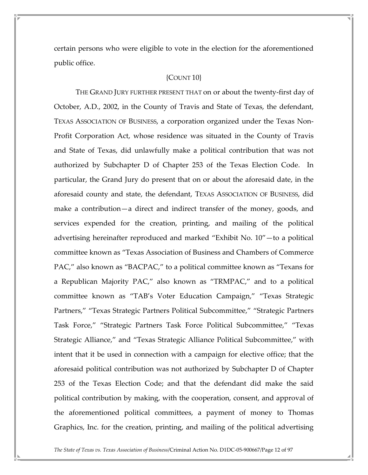certain persons who were eligible to vote in the election for the aforementioned public office.

#### {COUNT 10}

 THE GRAND JURY FURTHER PRESENT THAT on or about the twenty-first day of October, A.D., 2002, in the County of Travis and State of Texas, the defendant, TEXAS ASSOCIATION OF BUSINESS, a corporation organized under the Texas Non-Profit Corporation Act, whose residence was situated in the County of Travis and State of Texas, did unlawfully make a political contribution that was not authorized by Subchapter D of Chapter 253 of the Texas Election Code. In particular, the Grand Jury do present that on or about the aforesaid date, in the aforesaid county and state, the defendant, TEXAS ASSOCIATION OF BUSINESS, did make a contribution—a direct and indirect transfer of the money, goods, and services expended for the creation, printing, and mailing of the political advertising hereinafter reproduced and marked "Exhibit No. 10"—to a political committee known as "Texas Association of Business and Chambers of Commerce PAC," also known as "BACPAC," to a political committee known as "Texans for a Republican Majority PAC," also known as "TRMPAC," and to a political committee known as "TAB's Voter Education Campaign," "Texas Strategic Partners," "Texas Strategic Partners Political Subcommittee," "Strategic Partners Task Force," "Strategic Partners Task Force Political Subcommittee," "Texas Strategic Alliance," and "Texas Strategic Alliance Political Subcommittee," with intent that it be used in connection with a campaign for elective office; that the aforesaid political contribution was not authorized by Subchapter D of Chapter 253 of the Texas Election Code; and that the defendant did make the said political contribution by making, with the cooperation, consent, and approval of the aforementioned political committees, a payment of money to Thomas Graphics, Inc. for the creation, printing, and mailing of the political advertising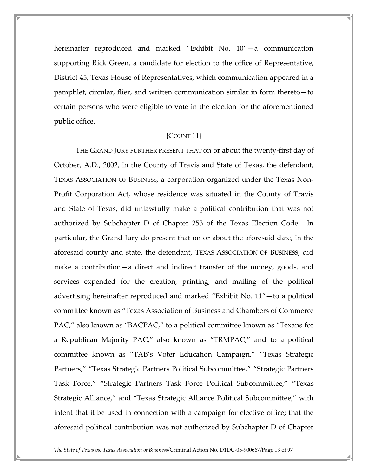hereinafter reproduced and marked "Exhibit No. 10"—a communication supporting Rick Green, a candidate for election to the office of Representative, District 45, Texas House of Representatives, which communication appeared in a pamphlet, circular, flier, and written communication similar in form thereto—to certain persons who were eligible to vote in the election for the aforementioned public office.

## {COUNT 11}

 THE GRAND JURY FURTHER PRESENT THAT on or about the twenty-first day of October, A.D., 2002, in the County of Travis and State of Texas, the defendant, TEXAS ASSOCIATION OF BUSINESS, a corporation organized under the Texas Non-Profit Corporation Act, whose residence was situated in the County of Travis and State of Texas, did unlawfully make a political contribution that was not authorized by Subchapter D of Chapter 253 of the Texas Election Code. In particular, the Grand Jury do present that on or about the aforesaid date, in the aforesaid county and state, the defendant, TEXAS ASSOCIATION OF BUSINESS, did make a contribution—a direct and indirect transfer of the money, goods, and services expended for the creation, printing, and mailing of the political advertising hereinafter reproduced and marked "Exhibit No. 11"—to a political committee known as "Texas Association of Business and Chambers of Commerce PAC," also known as "BACPAC," to a political committee known as "Texans for a Republican Majority PAC," also known as "TRMPAC," and to a political committee known as "TAB's Voter Education Campaign," "Texas Strategic Partners," "Texas Strategic Partners Political Subcommittee," "Strategic Partners Task Force," "Strategic Partners Task Force Political Subcommittee," "Texas Strategic Alliance," and "Texas Strategic Alliance Political Subcommittee," with intent that it be used in connection with a campaign for elective office; that the aforesaid political contribution was not authorized by Subchapter D of Chapter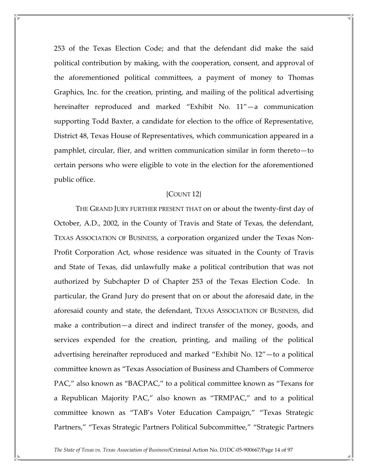253 of the Texas Election Code; and that the defendant did make the said political contribution by making, with the cooperation, consent, and approval of the aforementioned political committees, a payment of money to Thomas Graphics, Inc. for the creation, printing, and mailing of the political advertising hereinafter reproduced and marked "Exhibit No. 11"—a communication supporting Todd Baxter, a candidate for election to the office of Representative, District 48, Texas House of Representatives, which communication appeared in a pamphlet, circular, flier, and written communication similar in form thereto—to certain persons who were eligible to vote in the election for the aforementioned public office.

## {COUNT 12}

 THE GRAND JURY FURTHER PRESENT THAT on or about the twenty-first day of October, A.D., 2002, in the County of Travis and State of Texas, the defendant, TEXAS ASSOCIATION OF BUSINESS, a corporation organized under the Texas Non-Profit Corporation Act, whose residence was situated in the County of Travis and State of Texas, did unlawfully make a political contribution that was not authorized by Subchapter D of Chapter 253 of the Texas Election Code. In particular, the Grand Jury do present that on or about the aforesaid date, in the aforesaid county and state, the defendant, TEXAS ASSOCIATION OF BUSINESS, did make a contribution—a direct and indirect transfer of the money, goods, and services expended for the creation, printing, and mailing of the political advertising hereinafter reproduced and marked "Exhibit No. 12"—to a political committee known as "Texas Association of Business and Chambers of Commerce PAC," also known as "BACPAC," to a political committee known as "Texans for a Republican Majority PAC," also known as "TRMPAC," and to a political committee known as "TAB's Voter Education Campaign," "Texas Strategic Partners," "Texas Strategic Partners Political Subcommittee," "Strategic Partners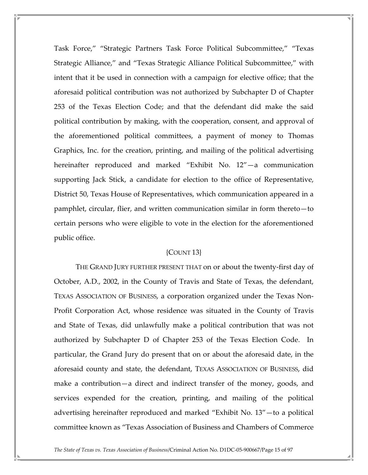Task Force," "Strategic Partners Task Force Political Subcommittee," "Texas Strategic Alliance," and "Texas Strategic Alliance Political Subcommittee," with intent that it be used in connection with a campaign for elective office; that the aforesaid political contribution was not authorized by Subchapter D of Chapter 253 of the Texas Election Code; and that the defendant did make the said political contribution by making, with the cooperation, consent, and approval of the aforementioned political committees, a payment of money to Thomas Graphics, Inc. for the creation, printing, and mailing of the political advertising hereinafter reproduced and marked "Exhibit No. 12"—a communication supporting Jack Stick, a candidate for election to the office of Representative, District 50, Texas House of Representatives, which communication appeared in a pamphlet, circular, flier, and written communication similar in form thereto—to certain persons who were eligible to vote in the election for the aforementioned public office.

## {COUNT 13}

 THE GRAND JURY FURTHER PRESENT THAT on or about the twenty-first day of October, A.D., 2002, in the County of Travis and State of Texas, the defendant, TEXAS ASSOCIATION OF BUSINESS, a corporation organized under the Texas Non-Profit Corporation Act, whose residence was situated in the County of Travis and State of Texas, did unlawfully make a political contribution that was not authorized by Subchapter D of Chapter 253 of the Texas Election Code. In particular, the Grand Jury do present that on or about the aforesaid date, in the aforesaid county and state, the defendant, TEXAS ASSOCIATION OF BUSINESS, did make a contribution—a direct and indirect transfer of the money, goods, and services expended for the creation, printing, and mailing of the political advertising hereinafter reproduced and marked "Exhibit No. 13"—to a political committee known as "Texas Association of Business and Chambers of Commerce

The State of Texas vs. Texas Association of Business/Criminal Action No. D1DC-05-900667/Page 15 of 97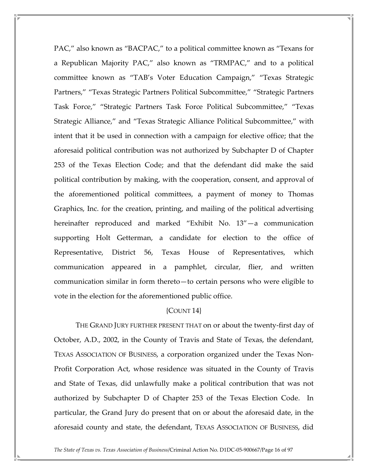PAC," also known as "BACPAC," to a political committee known as "Texans for a Republican Majority PAC," also known as "TRMPAC," and to a political committee known as "TAB's Voter Education Campaign," "Texas Strategic Partners," "Texas Strategic Partners Political Subcommittee," "Strategic Partners Task Force," "Strategic Partners Task Force Political Subcommittee," "Texas Strategic Alliance," and "Texas Strategic Alliance Political Subcommittee," with intent that it be used in connection with a campaign for elective office; that the aforesaid political contribution was not authorized by Subchapter D of Chapter 253 of the Texas Election Code; and that the defendant did make the said political contribution by making, with the cooperation, consent, and approval of the aforementioned political committees, a payment of money to Thomas Graphics, Inc. for the creation, printing, and mailing of the political advertising hereinafter reproduced and marked "Exhibit No. 13"—a communication supporting Holt Getterman, a candidate for election to the office of Representative, District 56, Texas House of Representatives, which communication appeared in a pamphlet, circular, flier, and written communication similar in form thereto—to certain persons who were eligible to vote in the election for the aforementioned public office.

## {COUNT 14}

 THE GRAND JURY FURTHER PRESENT THAT on or about the twenty-first day of October, A.D., 2002, in the County of Travis and State of Texas, the defendant, TEXAS ASSOCIATION OF BUSINESS, a corporation organized under the Texas Non-Profit Corporation Act, whose residence was situated in the County of Travis and State of Texas, did unlawfully make a political contribution that was not authorized by Subchapter D of Chapter 253 of the Texas Election Code. In particular, the Grand Jury do present that on or about the aforesaid date, in the aforesaid county and state, the defendant, TEXAS ASSOCIATION OF BUSINESS, did

The State of Texas vs. Texas Association of Business/Criminal Action No. D1DC-05-900667/Page 16 of 97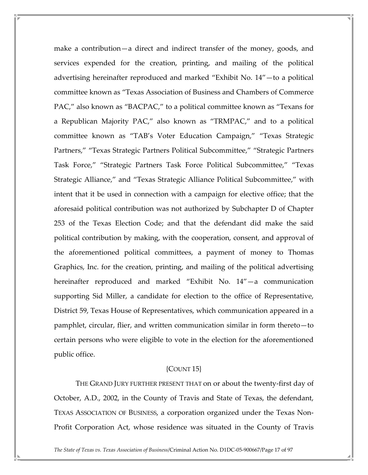make a contribution—a direct and indirect transfer of the money, goods, and services expended for the creation, printing, and mailing of the political advertising hereinafter reproduced and marked "Exhibit No. 14"—to a political committee known as "Texas Association of Business and Chambers of Commerce PAC," also known as "BACPAC," to a political committee known as "Texans for a Republican Majority PAC," also known as "TRMPAC," and to a political committee known as "TAB's Voter Education Campaign," "Texas Strategic Partners," "Texas Strategic Partners Political Subcommittee," "Strategic Partners Task Force," "Strategic Partners Task Force Political Subcommittee," "Texas Strategic Alliance," and "Texas Strategic Alliance Political Subcommittee," with intent that it be used in connection with a campaign for elective office; that the aforesaid political contribution was not authorized by Subchapter D of Chapter 253 of the Texas Election Code; and that the defendant did make the said political contribution by making, with the cooperation, consent, and approval of the aforementioned political committees, a payment of money to Thomas Graphics, Inc. for the creation, printing, and mailing of the political advertising hereinafter reproduced and marked "Exhibit No. 14"—a communication supporting Sid Miller, a candidate for election to the office of Representative, District 59, Texas House of Representatives, which communication appeared in a pamphlet, circular, flier, and written communication similar in form thereto—to certain persons who were eligible to vote in the election for the aforementioned public office.

## {COUNT 15}

 THE GRAND JURY FURTHER PRESENT THAT on or about the twenty-first day of October, A.D., 2002, in the County of Travis and State of Texas, the defendant, TEXAS ASSOCIATION OF BUSINESS, a corporation organized under the Texas Non-Profit Corporation Act, whose residence was situated in the County of Travis

The State of Texas vs. Texas Association of Business/Criminal Action No. D1DC-05-900667/Page 17 of 97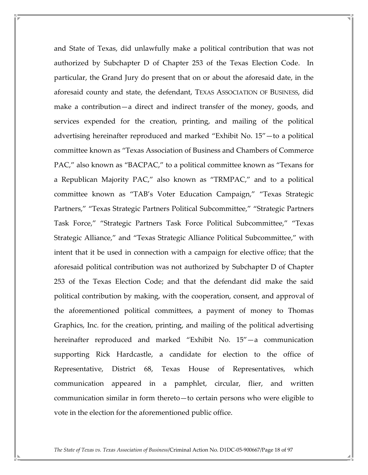and State of Texas, did unlawfully make a political contribution that was not authorized by Subchapter D of Chapter 253 of the Texas Election Code. In particular, the Grand Jury do present that on or about the aforesaid date, in the aforesaid county and state, the defendant, TEXAS ASSOCIATION OF BUSINESS, did make a contribution—a direct and indirect transfer of the money, goods, and services expended for the creation, printing, and mailing of the political advertising hereinafter reproduced and marked "Exhibit No. 15"—to a political committee known as "Texas Association of Business and Chambers of Commerce PAC," also known as "BACPAC," to a political committee known as "Texans for a Republican Majority PAC," also known as "TRMPAC," and to a political committee known as "TAB's Voter Education Campaign," "Texas Strategic Partners," "Texas Strategic Partners Political Subcommittee," "Strategic Partners Task Force," "Strategic Partners Task Force Political Subcommittee," "Texas Strategic Alliance," and "Texas Strategic Alliance Political Subcommittee," with intent that it be used in connection with a campaign for elective office; that the aforesaid political contribution was not authorized by Subchapter D of Chapter 253 of the Texas Election Code; and that the defendant did make the said political contribution by making, with the cooperation, consent, and approval of the aforementioned political committees, a payment of money to Thomas Graphics, Inc. for the creation, printing, and mailing of the political advertising hereinafter reproduced and marked "Exhibit No. 15"—a communication supporting Rick Hardcastle, a candidate for election to the office of Representative, District 68, Texas House of Representatives, which communication appeared in a pamphlet, circular, flier, and written communication similar in form thereto—to certain persons who were eligible to vote in the election for the aforementioned public office.

The State of Texas vs. Texas Association of Business/Criminal Action No. D1DC-05-900667/Page 18 of 97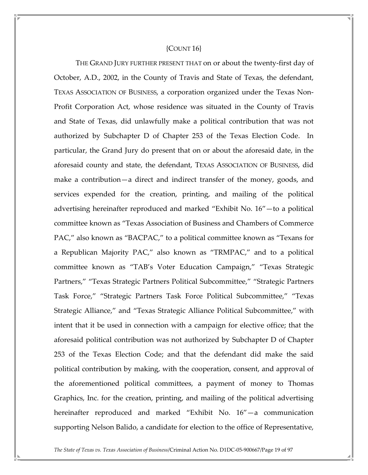#### ${COUNT16}$

 THE GRAND JURY FURTHER PRESENT THAT on or about the twenty-first day of October, A.D., 2002, in the County of Travis and State of Texas, the defendant, TEXAS ASSOCIATION OF BUSINESS, a corporation organized under the Texas Non-Profit Corporation Act, whose residence was situated in the County of Travis and State of Texas, did unlawfully make a political contribution that was not authorized by Subchapter D of Chapter 253 of the Texas Election Code. In particular, the Grand Jury do present that on or about the aforesaid date, in the aforesaid county and state, the defendant, TEXAS ASSOCIATION OF BUSINESS, did make a contribution—a direct and indirect transfer of the money, goods, and services expended for the creation, printing, and mailing of the political advertising hereinafter reproduced and marked "Exhibit No. 16"—to a political committee known as "Texas Association of Business and Chambers of Commerce PAC," also known as "BACPAC," to a political committee known as "Texans for a Republican Majority PAC," also known as "TRMPAC," and to a political committee known as "TAB's Voter Education Campaign," "Texas Strategic Partners," "Texas Strategic Partners Political Subcommittee," "Strategic Partners Task Force," "Strategic Partners Task Force Political Subcommittee," "Texas Strategic Alliance," and "Texas Strategic Alliance Political Subcommittee," with intent that it be used in connection with a campaign for elective office; that the aforesaid political contribution was not authorized by Subchapter D of Chapter 253 of the Texas Election Code; and that the defendant did make the said political contribution by making, with the cooperation, consent, and approval of the aforementioned political committees, a payment of money to Thomas Graphics, Inc. for the creation, printing, and mailing of the political advertising hereinafter reproduced and marked "Exhibit No. 16"—a communication supporting Nelson Balido, a candidate for election to the office of Representative,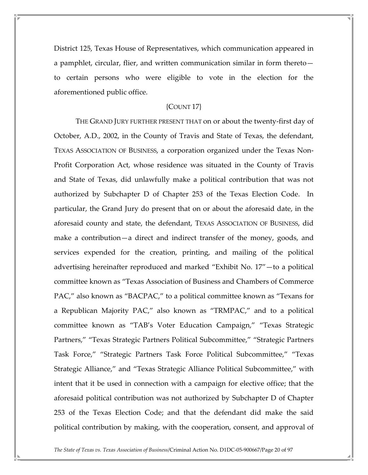District 125, Texas House of Representatives, which communication appeared in a pamphlet, circular, flier, and written communication similar in form thereto to certain persons who were eligible to vote in the election for the aforementioned public office.

## {COUNT 17}

 THE GRAND JURY FURTHER PRESENT THAT on or about the twenty-first day of October, A.D., 2002, in the County of Travis and State of Texas, the defendant, TEXAS ASSOCIATION OF BUSINESS, a corporation organized under the Texas Non-Profit Corporation Act, whose residence was situated in the County of Travis and State of Texas, did unlawfully make a political contribution that was not authorized by Subchapter D of Chapter 253 of the Texas Election Code. In particular, the Grand Jury do present that on or about the aforesaid date, in the aforesaid county and state, the defendant, TEXAS ASSOCIATION OF BUSINESS, did make a contribution—a direct and indirect transfer of the money, goods, and services expended for the creation, printing, and mailing of the political advertising hereinafter reproduced and marked "Exhibit No. 17"—to a political committee known as "Texas Association of Business and Chambers of Commerce PAC," also known as "BACPAC," to a political committee known as "Texans for a Republican Majority PAC," also known as "TRMPAC," and to a political committee known as "TAB's Voter Education Campaign," "Texas Strategic Partners," "Texas Strategic Partners Political Subcommittee," "Strategic Partners Task Force," "Strategic Partners Task Force Political Subcommittee," "Texas Strategic Alliance," and "Texas Strategic Alliance Political Subcommittee," with intent that it be used in connection with a campaign for elective office; that the aforesaid political contribution was not authorized by Subchapter D of Chapter 253 of the Texas Election Code; and that the defendant did make the said political contribution by making, with the cooperation, consent, and approval of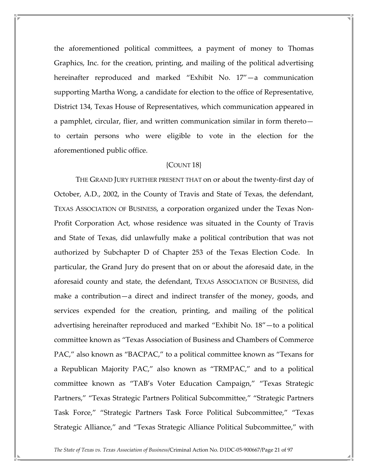the aforementioned political committees, a payment of money to Thomas Graphics, Inc. for the creation, printing, and mailing of the political advertising hereinafter reproduced and marked "Exhibit No. 17"—a communication supporting Martha Wong, a candidate for election to the office of Representative, District 134, Texas House of Representatives, which communication appeared in a pamphlet, circular, flier, and written communication similar in form thereto to certain persons who were eligible to vote in the election for the aforementioned public office.

## {COUNT 18}

 THE GRAND JURY FURTHER PRESENT THAT on or about the twenty-first day of October, A.D., 2002, in the County of Travis and State of Texas, the defendant, TEXAS ASSOCIATION OF BUSINESS, a corporation organized under the Texas Non-Profit Corporation Act, whose residence was situated in the County of Travis and State of Texas, did unlawfully make a political contribution that was not authorized by Subchapter D of Chapter 253 of the Texas Election Code. In particular, the Grand Jury do present that on or about the aforesaid date, in the aforesaid county and state, the defendant, TEXAS ASSOCIATION OF BUSINESS, did make a contribution—a direct and indirect transfer of the money, goods, and services expended for the creation, printing, and mailing of the political advertising hereinafter reproduced and marked "Exhibit No. 18"—to a political committee known as "Texas Association of Business and Chambers of Commerce PAC," also known as "BACPAC," to a political committee known as "Texans for a Republican Majority PAC," also known as "TRMPAC," and to a political committee known as "TAB's Voter Education Campaign," "Texas Strategic Partners," "Texas Strategic Partners Political Subcommittee," "Strategic Partners Task Force," "Strategic Partners Task Force Political Subcommittee," "Texas Strategic Alliance," and "Texas Strategic Alliance Political Subcommittee," with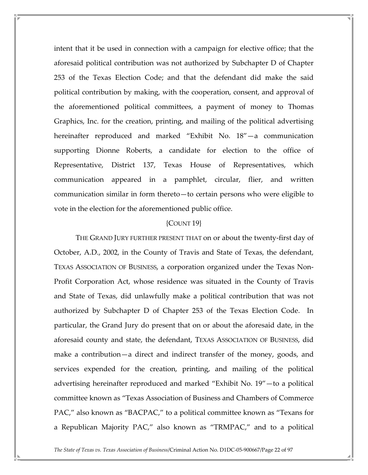intent that it be used in connection with a campaign for elective office; that the aforesaid political contribution was not authorized by Subchapter D of Chapter 253 of the Texas Election Code; and that the defendant did make the said political contribution by making, with the cooperation, consent, and approval of the aforementioned political committees, a payment of money to Thomas Graphics, Inc. for the creation, printing, and mailing of the political advertising hereinafter reproduced and marked "Exhibit No. 18"—a communication supporting Dionne Roberts, a candidate for election to the office of Representative, District 137, Texas House of Representatives, which communication appeared in a pamphlet, circular, flier, and written communication similar in form thereto—to certain persons who were eligible to vote in the election for the aforementioned public office.

#### {COUNT 19}

 THE GRAND JURY FURTHER PRESENT THAT on or about the twenty-first day of October, A.D., 2002, in the County of Travis and State of Texas, the defendant, TEXAS ASSOCIATION OF BUSINESS, a corporation organized under the Texas Non-Profit Corporation Act, whose residence was situated in the County of Travis and State of Texas, did unlawfully make a political contribution that was not authorized by Subchapter D of Chapter 253 of the Texas Election Code. In particular, the Grand Jury do present that on or about the aforesaid date, in the aforesaid county and state, the defendant, TEXAS ASSOCIATION OF BUSINESS, did make a contribution—a direct and indirect transfer of the money, goods, and services expended for the creation, printing, and mailing of the political advertising hereinafter reproduced and marked "Exhibit No. 19"—to a political committee known as "Texas Association of Business and Chambers of Commerce PAC," also known as "BACPAC," to a political committee known as "Texans for a Republican Majority PAC," also known as "TRMPAC," and to a political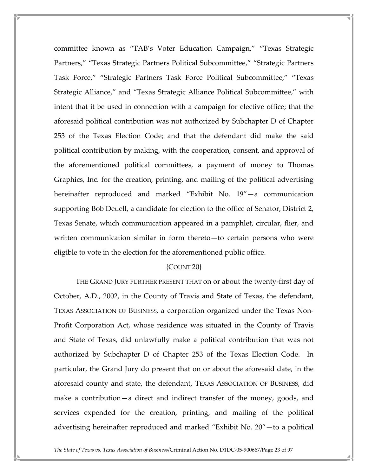committee known as "TAB's Voter Education Campaign," "Texas Strategic Partners," "Texas Strategic Partners Political Subcommittee," "Strategic Partners Task Force," "Strategic Partners Task Force Political Subcommittee," "Texas Strategic Alliance," and "Texas Strategic Alliance Political Subcommittee," with intent that it be used in connection with a campaign for elective office; that the aforesaid political contribution was not authorized by Subchapter D of Chapter 253 of the Texas Election Code; and that the defendant did make the said political contribution by making, with the cooperation, consent, and approval of the aforementioned political committees, a payment of money to Thomas Graphics, Inc. for the creation, printing, and mailing of the political advertising hereinafter reproduced and marked "Exhibit No. 19"—a communication supporting Bob Deuell, a candidate for election to the office of Senator, District 2, Texas Senate, which communication appeared in a pamphlet, circular, flier, and written communication similar in form thereto—to certain persons who were eligible to vote in the election for the aforementioned public office.

## ${COUNT 20}$

 THE GRAND JURY FURTHER PRESENT THAT on or about the twenty-first day of October, A.D., 2002, in the County of Travis and State of Texas, the defendant, TEXAS ASSOCIATION OF BUSINESS, a corporation organized under the Texas Non-Profit Corporation Act, whose residence was situated in the County of Travis and State of Texas, did unlawfully make a political contribution that was not authorized by Subchapter D of Chapter 253 of the Texas Election Code. In particular, the Grand Jury do present that on or about the aforesaid date, in the aforesaid county and state, the defendant, TEXAS ASSOCIATION OF BUSINESS, did make a contribution—a direct and indirect transfer of the money, goods, and services expended for the creation, printing, and mailing of the political advertising hereinafter reproduced and marked "Exhibit No. 20"—to a political

The State of Texas vs. Texas Association of Business/Criminal Action No. D1DC-05-900667/Page 23 of 97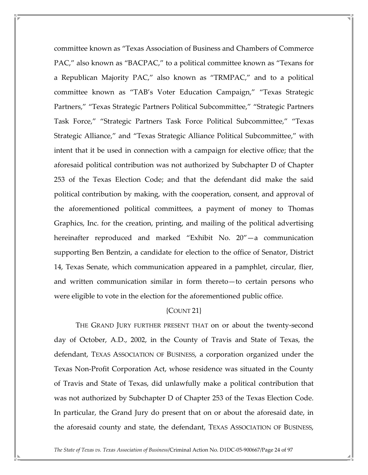committee known as "Texas Association of Business and Chambers of Commerce PAC," also known as "BACPAC," to a political committee known as "Texans for a Republican Majority PAC," also known as "TRMPAC," and to a political committee known as "TAB's Voter Education Campaign," "Texas Strategic Partners," "Texas Strategic Partners Political Subcommittee," "Strategic Partners Task Force," "Strategic Partners Task Force Political Subcommittee," "Texas Strategic Alliance," and "Texas Strategic Alliance Political Subcommittee," with intent that it be used in connection with a campaign for elective office; that the aforesaid political contribution was not authorized by Subchapter D of Chapter 253 of the Texas Election Code; and that the defendant did make the said political contribution by making, with the cooperation, consent, and approval of the aforementioned political committees, a payment of money to Thomas Graphics, Inc. for the creation, printing, and mailing of the political advertising hereinafter reproduced and marked "Exhibit No. 20"—a communication supporting Ben Bentzin, a candidate for election to the office of Senator, District 14, Texas Senate, which communication appeared in a pamphlet, circular, flier, and written communication similar in form thereto—to certain persons who were eligible to vote in the election for the aforementioned public office.

## {COUNT 21}

 THE GRAND JURY FURTHER PRESENT THAT on or about the twenty-second day of October, A.D., 2002, in the County of Travis and State of Texas, the defendant, TEXAS ASSOCIATION OF BUSINESS, a corporation organized under the Texas Non-Profit Corporation Act, whose residence was situated in the County of Travis and State of Texas, did unlawfully make a political contribution that was not authorized by Subchapter D of Chapter 253 of the Texas Election Code. In particular, the Grand Jury do present that on or about the aforesaid date, in the aforesaid county and state, the defendant, TEXAS ASSOCIATION OF BUSINESS,

The State of Texas vs. Texas Association of Business/Criminal Action No. D1DC-05-900667/Page 24 of 97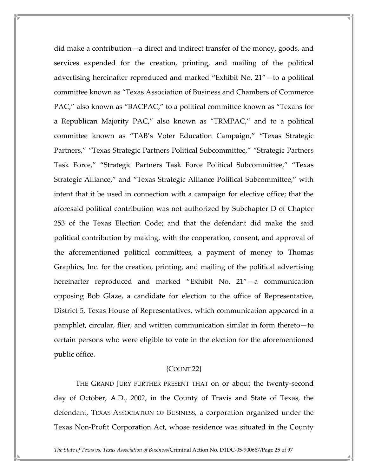did make a contribution—a direct and indirect transfer of the money, goods, and services expended for the creation, printing, and mailing of the political advertising hereinafter reproduced and marked "Exhibit No. 21"—to a political committee known as "Texas Association of Business and Chambers of Commerce PAC," also known as "BACPAC," to a political committee known as "Texans for a Republican Majority PAC," also known as "TRMPAC," and to a political committee known as "TAB's Voter Education Campaign," "Texas Strategic Partners," "Texas Strategic Partners Political Subcommittee," "Strategic Partners Task Force," "Strategic Partners Task Force Political Subcommittee," "Texas Strategic Alliance," and "Texas Strategic Alliance Political Subcommittee," with intent that it be used in connection with a campaign for elective office; that the aforesaid political contribution was not authorized by Subchapter D of Chapter 253 of the Texas Election Code; and that the defendant did make the said political contribution by making, with the cooperation, consent, and approval of the aforementioned political committees, a payment of money to Thomas Graphics, Inc. for the creation, printing, and mailing of the political advertising hereinafter reproduced and marked "Exhibit No. 21"—a communication opposing Bob Glaze, a candidate for election to the office of Representative, District 5, Texas House of Representatives, which communication appeared in a pamphlet, circular, flier, and written communication similar in form thereto—to certain persons who were eligible to vote in the election for the aforementioned public office.

## {COUNT 22}

 THE GRAND JURY FURTHER PRESENT THAT on or about the twenty-second day of October, A.D., 2002, in the County of Travis and State of Texas, the defendant, TEXAS ASSOCIATION OF BUSINESS, a corporation organized under the Texas Non-Profit Corporation Act, whose residence was situated in the County

The State of Texas vs. Texas Association of Business/Criminal Action No. D1DC-05-900667/Page 25 of 97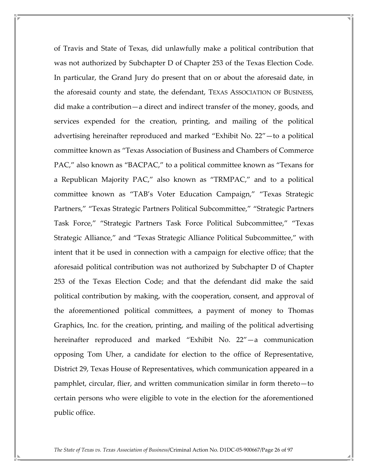of Travis and State of Texas, did unlawfully make a political contribution that was not authorized by Subchapter D of Chapter 253 of the Texas Election Code. In particular, the Grand Jury do present that on or about the aforesaid date, in the aforesaid county and state, the defendant, TEXAS ASSOCIATION OF BUSINESS, did make a contribution—a direct and indirect transfer of the money, goods, and services expended for the creation, printing, and mailing of the political advertising hereinafter reproduced and marked "Exhibit No. 22"—to a political committee known as "Texas Association of Business and Chambers of Commerce PAC," also known as "BACPAC," to a political committee known as "Texans for a Republican Majority PAC," also known as "TRMPAC," and to a political committee known as "TAB's Voter Education Campaign," "Texas Strategic Partners," "Texas Strategic Partners Political Subcommittee," "Strategic Partners Task Force," "Strategic Partners Task Force Political Subcommittee," "Texas Strategic Alliance," and "Texas Strategic Alliance Political Subcommittee," with intent that it be used in connection with a campaign for elective office; that the aforesaid political contribution was not authorized by Subchapter D of Chapter 253 of the Texas Election Code; and that the defendant did make the said political contribution by making, with the cooperation, consent, and approval of the aforementioned political committees, a payment of money to Thomas Graphics, Inc. for the creation, printing, and mailing of the political advertising hereinafter reproduced and marked "Exhibit No. 22"—a communication opposing Tom Uher, a candidate for election to the office of Representative, District 29, Texas House of Representatives, which communication appeared in a pamphlet, circular, flier, and written communication similar in form thereto—to certain persons who were eligible to vote in the election for the aforementioned public office.

The State of Texas vs. Texas Association of Business/Criminal Action No. D1DC-05-900667/Page 26 of 97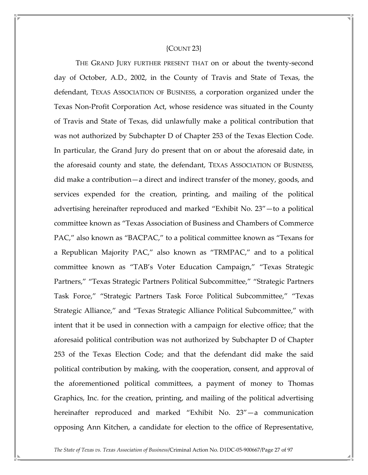#### {COUNT 23}

 THE GRAND JURY FURTHER PRESENT THAT on or about the twenty-second day of October, A.D., 2002, in the County of Travis and State of Texas, the defendant, TEXAS ASSOCIATION OF BUSINESS, a corporation organized under the Texas Non-Profit Corporation Act, whose residence was situated in the County of Travis and State of Texas, did unlawfully make a political contribution that was not authorized by Subchapter D of Chapter 253 of the Texas Election Code. In particular, the Grand Jury do present that on or about the aforesaid date, in the aforesaid county and state, the defendant, TEXAS ASSOCIATION OF BUSINESS, did make a contribution—a direct and indirect transfer of the money, goods, and services expended for the creation, printing, and mailing of the political advertising hereinafter reproduced and marked "Exhibit No. 23"—to a political committee known as "Texas Association of Business and Chambers of Commerce PAC," also known as "BACPAC," to a political committee known as "Texans for a Republican Majority PAC," also known as "TRMPAC," and to a political committee known as "TAB's Voter Education Campaign," "Texas Strategic Partners," "Texas Strategic Partners Political Subcommittee," "Strategic Partners Task Force," "Strategic Partners Task Force Political Subcommittee," "Texas Strategic Alliance," and "Texas Strategic Alliance Political Subcommittee," with intent that it be used in connection with a campaign for elective office; that the aforesaid political contribution was not authorized by Subchapter D of Chapter 253 of the Texas Election Code; and that the defendant did make the said political contribution by making, with the cooperation, consent, and approval of the aforementioned political committees, a payment of money to Thomas Graphics, Inc. for the creation, printing, and mailing of the political advertising hereinafter reproduced and marked "Exhibit No. 23"—a communication opposing Ann Kitchen, a candidate for election to the office of Representative,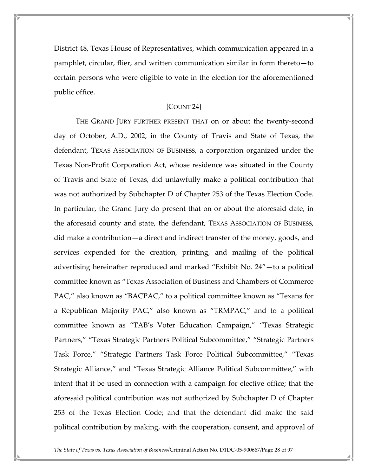District 48, Texas House of Representatives, which communication appeared in a pamphlet, circular, flier, and written communication similar in form thereto—to certain persons who were eligible to vote in the election for the aforementioned public office.

## {COUNT 24}

 THE GRAND JURY FURTHER PRESENT THAT on or about the twenty-second day of October, A.D., 2002, in the County of Travis and State of Texas, the defendant, TEXAS ASSOCIATION OF BUSINESS, a corporation organized under the Texas Non-Profit Corporation Act, whose residence was situated in the County of Travis and State of Texas, did unlawfully make a political contribution that was not authorized by Subchapter D of Chapter 253 of the Texas Election Code. In particular, the Grand Jury do present that on or about the aforesaid date, in the aforesaid county and state, the defendant, TEXAS ASSOCIATION OF BUSINESS, did make a contribution—a direct and indirect transfer of the money, goods, and services expended for the creation, printing, and mailing of the political advertising hereinafter reproduced and marked "Exhibit No. 24"—to a political committee known as "Texas Association of Business and Chambers of Commerce PAC," also known as "BACPAC," to a political committee known as "Texans for a Republican Majority PAC," also known as "TRMPAC," and to a political committee known as "TAB's Voter Education Campaign," "Texas Strategic Partners," "Texas Strategic Partners Political Subcommittee," "Strategic Partners Task Force," "Strategic Partners Task Force Political Subcommittee," "Texas Strategic Alliance," and "Texas Strategic Alliance Political Subcommittee," with intent that it be used in connection with a campaign for elective office; that the aforesaid political contribution was not authorized by Subchapter D of Chapter 253 of the Texas Election Code; and that the defendant did make the said political contribution by making, with the cooperation, consent, and approval of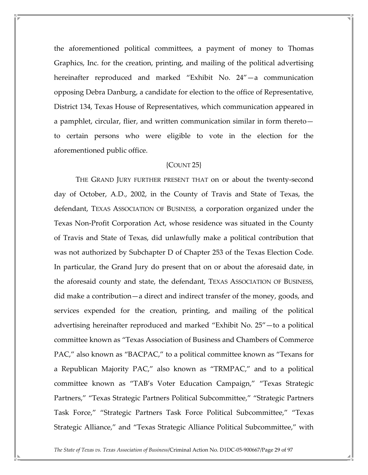the aforementioned political committees, a payment of money to Thomas Graphics, Inc. for the creation, printing, and mailing of the political advertising hereinafter reproduced and marked "Exhibit No. 24"—a communication opposing Debra Danburg, a candidate for election to the office of Representative, District 134, Texas House of Representatives, which communication appeared in a pamphlet, circular, flier, and written communication similar in form thereto to certain persons who were eligible to vote in the election for the aforementioned public office.

## {COUNT 25}

 THE GRAND JURY FURTHER PRESENT THAT on or about the twenty-second day of October, A.D., 2002, in the County of Travis and State of Texas, the defendant, TEXAS ASSOCIATION OF BUSINESS, a corporation organized under the Texas Non-Profit Corporation Act, whose residence was situated in the County of Travis and State of Texas, did unlawfully make a political contribution that was not authorized by Subchapter D of Chapter 253 of the Texas Election Code. In particular, the Grand Jury do present that on or about the aforesaid date, in the aforesaid county and state, the defendant, TEXAS ASSOCIATION OF BUSINESS, did make a contribution—a direct and indirect transfer of the money, goods, and services expended for the creation, printing, and mailing of the political advertising hereinafter reproduced and marked "Exhibit No. 25"—to a political committee known as "Texas Association of Business and Chambers of Commerce PAC," also known as "BACPAC," to a political committee known as "Texans for a Republican Majority PAC," also known as "TRMPAC," and to a political committee known as "TAB's Voter Education Campaign," "Texas Strategic Partners," "Texas Strategic Partners Political Subcommittee," "Strategic Partners Task Force," "Strategic Partners Task Force Political Subcommittee," "Texas Strategic Alliance," and "Texas Strategic Alliance Political Subcommittee," with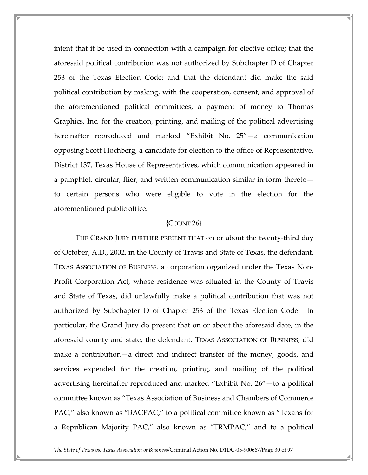intent that it be used in connection with a campaign for elective office; that the aforesaid political contribution was not authorized by Subchapter D of Chapter 253 of the Texas Election Code; and that the defendant did make the said political contribution by making, with the cooperation, consent, and approval of the aforementioned political committees, a payment of money to Thomas Graphics, Inc. for the creation, printing, and mailing of the political advertising hereinafter reproduced and marked "Exhibit No. 25"—a communication opposing Scott Hochberg, a candidate for election to the office of Representative, District 137, Texas House of Representatives, which communication appeared in a pamphlet, circular, flier, and written communication similar in form thereto to certain persons who were eligible to vote in the election for the aforementioned public office.

#### {COUNT 26}

 THE GRAND JURY FURTHER PRESENT THAT on or about the twenty-third day of October, A.D., 2002, in the County of Travis and State of Texas, the defendant, TEXAS ASSOCIATION OF BUSINESS, a corporation organized under the Texas Non-Profit Corporation Act, whose residence was situated in the County of Travis and State of Texas, did unlawfully make a political contribution that was not authorized by Subchapter D of Chapter 253 of the Texas Election Code. In particular, the Grand Jury do present that on or about the aforesaid date, in the aforesaid county and state, the defendant, TEXAS ASSOCIATION OF BUSINESS, did make a contribution—a direct and indirect transfer of the money, goods, and services expended for the creation, printing, and mailing of the political advertising hereinafter reproduced and marked "Exhibit No. 26"—to a political committee known as "Texas Association of Business and Chambers of Commerce PAC," also known as "BACPAC," to a political committee known as "Texans for a Republican Majority PAC," also known as "TRMPAC," and to a political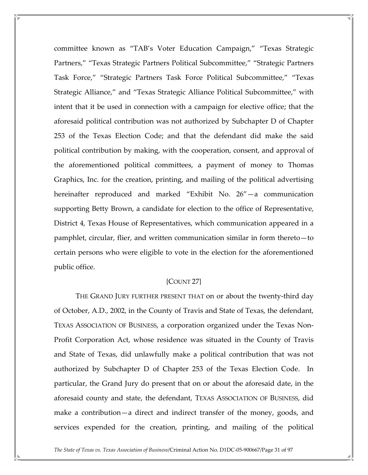committee known as "TAB's Voter Education Campaign," "Texas Strategic Partners," "Texas Strategic Partners Political Subcommittee," "Strategic Partners Task Force," "Strategic Partners Task Force Political Subcommittee," "Texas Strategic Alliance," and "Texas Strategic Alliance Political Subcommittee," with intent that it be used in connection with a campaign for elective office; that the aforesaid political contribution was not authorized by Subchapter D of Chapter 253 of the Texas Election Code; and that the defendant did make the said political contribution by making, with the cooperation, consent, and approval of the aforementioned political committees, a payment of money to Thomas Graphics, Inc. for the creation, printing, and mailing of the political advertising hereinafter reproduced and marked "Exhibit No. 26"—a communication supporting Betty Brown, a candidate for election to the office of Representative, District 4, Texas House of Representatives, which communication appeared in a pamphlet, circular, flier, and written communication similar in form thereto—to certain persons who were eligible to vote in the election for the aforementioned public office.

## {COUNT 27}

 THE GRAND JURY FURTHER PRESENT THAT on or about the twenty-third day of October, A.D., 2002, in the County of Travis and State of Texas, the defendant, TEXAS ASSOCIATION OF BUSINESS, a corporation organized under the Texas Non-Profit Corporation Act, whose residence was situated in the County of Travis and State of Texas, did unlawfully make a political contribution that was not authorized by Subchapter D of Chapter 253 of the Texas Election Code. In particular, the Grand Jury do present that on or about the aforesaid date, in the aforesaid county and state, the defendant, TEXAS ASSOCIATION OF BUSINESS, did make a contribution—a direct and indirect transfer of the money, goods, and services expended for the creation, printing, and mailing of the political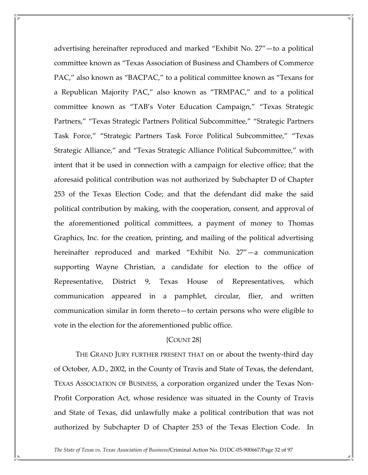advertising hereinafter reproduced and marked "Exhibit No. 27"—to a political committee known as "Texas Association of Business and Chambers of Commerce PAC," also known as "BACPAC," to a political committee known as "Texans for a Republican Majority PAC," also known as "TRMPAC," and to a political committee known as "TAB's Voter Education Campaign," "Texas Strategic Partners," "Texas Strategic Partners Political Subcommittee," "Strategic Partners Task Force," "Strategic Partners Task Force Political Subcommittee," "Texas Strategic Alliance," and "Texas Strategic Alliance Political Subcommittee," with intent that it be used in connection with a campaign for elective office; that the aforesaid political contribution was not authorized by Subchapter D of Chapter 253 of the Texas Election Code; and that the defendant did make the said political contribution by making, with the cooperation, consent, and approval of the aforementioned political committees, a payment of money to Thomas Graphics, Inc. for the creation, printing, and mailing of the political advertising hereinafter reproduced and marked "Exhibit No. 27"—a communication supporting Wayne Christian, a candidate for election to the office of Representative, District 9, Texas House of Representatives, which communication appeared in a pamphlet, circular, flier, and written communication similar in form thereto—to certain persons who were eligible to vote in the election for the aforementioned public office.

## {COUNT 28}

 THE GRAND JURY FURTHER PRESENT THAT on or about the twenty-third day of October, A.D., 2002, in the County of Travis and State of Texas, the defendant, TEXAS ASSOCIATION OF BUSINESS, a corporation organized under the Texas Non-Profit Corporation Act, whose residence was situated in the County of Travis and State of Texas, did unlawfully make a political contribution that was not authorized by Subchapter D of Chapter 253 of the Texas Election Code. In

The State of Texas vs. Texas Association of Business/Criminal Action No. D1DC-05-900667/Page 32 of 97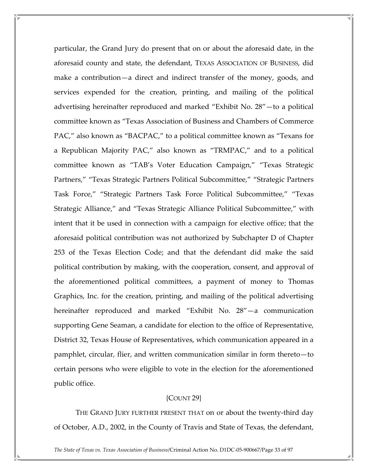particular, the Grand Jury do present that on or about the aforesaid date, in the aforesaid county and state, the defendant, TEXAS ASSOCIATION OF BUSINESS, did make a contribution—a direct and indirect transfer of the money, goods, and services expended for the creation, printing, and mailing of the political advertising hereinafter reproduced and marked "Exhibit No. 28"—to a political committee known as "Texas Association of Business and Chambers of Commerce PAC," also known as "BACPAC," to a political committee known as "Texans for a Republican Majority PAC," also known as "TRMPAC," and to a political committee known as "TAB's Voter Education Campaign," "Texas Strategic Partners," "Texas Strategic Partners Political Subcommittee," "Strategic Partners Task Force," "Strategic Partners Task Force Political Subcommittee," "Texas Strategic Alliance," and "Texas Strategic Alliance Political Subcommittee," with intent that it be used in connection with a campaign for elective office; that the aforesaid political contribution was not authorized by Subchapter D of Chapter 253 of the Texas Election Code; and that the defendant did make the said political contribution by making, with the cooperation, consent, and approval of the aforementioned political committees, a payment of money to Thomas Graphics, Inc. for the creation, printing, and mailing of the political advertising hereinafter reproduced and marked "Exhibit No. 28"—a communication supporting Gene Seaman, a candidate for election to the office of Representative, District 32, Texas House of Representatives, which communication appeared in a pamphlet, circular, flier, and written communication similar in form thereto—to certain persons who were eligible to vote in the election for the aforementioned public office.

## {COUNT 29}

 THE GRAND JURY FURTHER PRESENT THAT on or about the twenty-third day of October, A.D., 2002, in the County of Travis and State of Texas, the defendant,

The State of Texas vs. Texas Association of Business/Criminal Action No. D1DC-05-900667/Page 33 of 97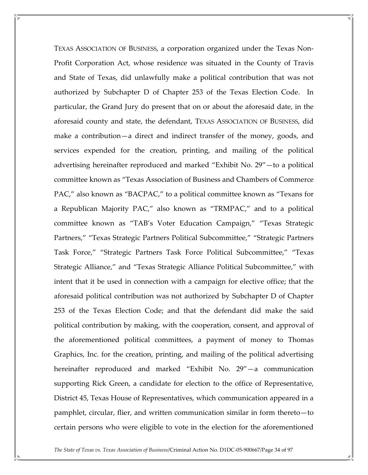TEXAS ASSOCIATION OF BUSINESS, a corporation organized under the Texas Non-Profit Corporation Act, whose residence was situated in the County of Travis and State of Texas, did unlawfully make a political contribution that was not authorized by Subchapter D of Chapter 253 of the Texas Election Code. In particular, the Grand Jury do present that on or about the aforesaid date, in the aforesaid county and state, the defendant, TEXAS ASSOCIATION OF BUSINESS, did make a contribution—a direct and indirect transfer of the money, goods, and services expended for the creation, printing, and mailing of the political advertising hereinafter reproduced and marked "Exhibit No. 29"—to a political committee known as "Texas Association of Business and Chambers of Commerce PAC," also known as "BACPAC," to a political committee known as "Texans for a Republican Majority PAC," also known as "TRMPAC," and to a political committee known as "TAB's Voter Education Campaign," "Texas Strategic Partners," "Texas Strategic Partners Political Subcommittee," "Strategic Partners Task Force," "Strategic Partners Task Force Political Subcommittee," "Texas Strategic Alliance," and "Texas Strategic Alliance Political Subcommittee," with intent that it be used in connection with a campaign for elective office; that the aforesaid political contribution was not authorized by Subchapter D of Chapter 253 of the Texas Election Code; and that the defendant did make the said political contribution by making, with the cooperation, consent, and approval of the aforementioned political committees, a payment of money to Thomas Graphics, Inc. for the creation, printing, and mailing of the political advertising hereinafter reproduced and marked "Exhibit No. 29"—a communication supporting Rick Green, a candidate for election to the office of Representative, District 45, Texas House of Representatives, which communication appeared in a pamphlet, circular, flier, and written communication similar in form thereto—to certain persons who were eligible to vote in the election for the aforementioned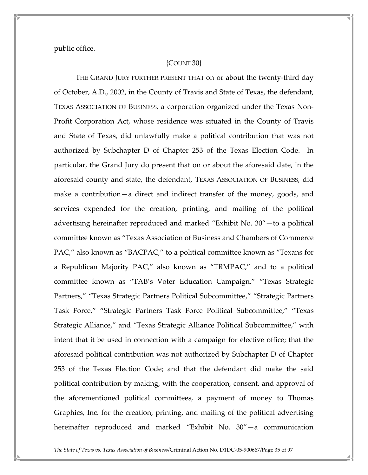public office.

## {COUNT 30}

 THE GRAND JURY FURTHER PRESENT THAT on or about the twenty-third day of October, A.D., 2002, in the County of Travis and State of Texas, the defendant, TEXAS ASSOCIATION OF BUSINESS, a corporation organized under the Texas Non-Profit Corporation Act, whose residence was situated in the County of Travis and State of Texas, did unlawfully make a political contribution that was not authorized by Subchapter D of Chapter 253 of the Texas Election Code. In particular, the Grand Jury do present that on or about the aforesaid date, in the aforesaid county and state, the defendant, TEXAS ASSOCIATION OF BUSINESS, did make a contribution—a direct and indirect transfer of the money, goods, and services expended for the creation, printing, and mailing of the political advertising hereinafter reproduced and marked "Exhibit No. 30"—to a political committee known as "Texas Association of Business and Chambers of Commerce PAC," also known as "BACPAC," to a political committee known as "Texans for a Republican Majority PAC," also known as "TRMPAC," and to a political committee known as "TAB's Voter Education Campaign," "Texas Strategic Partners," "Texas Strategic Partners Political Subcommittee," "Strategic Partners Task Force," "Strategic Partners Task Force Political Subcommittee," "Texas Strategic Alliance," and "Texas Strategic Alliance Political Subcommittee," with intent that it be used in connection with a campaign for elective office; that the aforesaid political contribution was not authorized by Subchapter D of Chapter 253 of the Texas Election Code; and that the defendant did make the said political contribution by making, with the cooperation, consent, and approval of the aforementioned political committees, a payment of money to Thomas Graphics, Inc. for the creation, printing, and mailing of the political advertising hereinafter reproduced and marked "Exhibit No. 30"—a communication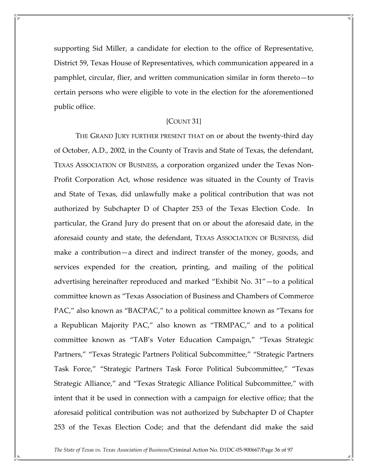supporting Sid Miller, a candidate for election to the office of Representative, District 59, Texas House of Representatives, which communication appeared in a pamphlet, circular, flier, and written communication similar in form thereto—to certain persons who were eligible to vote in the election for the aforementioned public office.

#### ${COUNT}$  31 $}$

 THE GRAND JURY FURTHER PRESENT THAT on or about the twenty-third day of October, A.D., 2002, in the County of Travis and State of Texas, the defendant, TEXAS ASSOCIATION OF BUSINESS, a corporation organized under the Texas Non-Profit Corporation Act, whose residence was situated in the County of Travis and State of Texas, did unlawfully make a political contribution that was not authorized by Subchapter D of Chapter 253 of the Texas Election Code. In particular, the Grand Jury do present that on or about the aforesaid date, in the aforesaid county and state, the defendant, TEXAS ASSOCIATION OF BUSINESS, did make a contribution—a direct and indirect transfer of the money, goods, and services expended for the creation, printing, and mailing of the political advertising hereinafter reproduced and marked "Exhibit No. 31"—to a political committee known as "Texas Association of Business and Chambers of Commerce PAC," also known as "BACPAC," to a political committee known as "Texans for a Republican Majority PAC," also known as "TRMPAC," and to a political committee known as "TAB's Voter Education Campaign," "Texas Strategic Partners," "Texas Strategic Partners Political Subcommittee," "Strategic Partners Task Force," "Strategic Partners Task Force Political Subcommittee," "Texas Strategic Alliance," and "Texas Strategic Alliance Political Subcommittee," with intent that it be used in connection with a campaign for elective office; that the aforesaid political contribution was not authorized by Subchapter D of Chapter 253 of the Texas Election Code; and that the defendant did make the said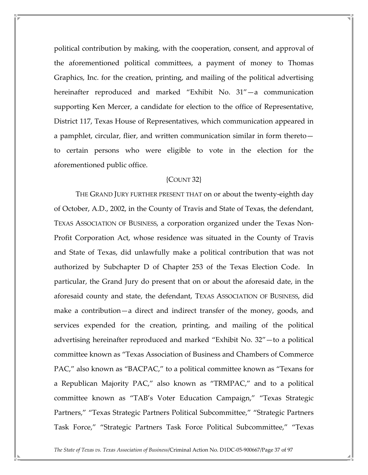political contribution by making, with the cooperation, consent, and approval of the aforementioned political committees, a payment of money to Thomas Graphics, Inc. for the creation, printing, and mailing of the political advertising hereinafter reproduced and marked "Exhibit No. 31"—a communication supporting Ken Mercer, a candidate for election to the office of Representative, District 117, Texas House of Representatives, which communication appeared in a pamphlet, circular, flier, and written communication similar in form thereto to certain persons who were eligible to vote in the election for the aforementioned public office.

## {COUNT 32}

 THE GRAND JURY FURTHER PRESENT THAT on or about the twenty-eighth day of October, A.D., 2002, in the County of Travis and State of Texas, the defendant, TEXAS ASSOCIATION OF BUSINESS, a corporation organized under the Texas Non-Profit Corporation Act, whose residence was situated in the County of Travis and State of Texas, did unlawfully make a political contribution that was not authorized by Subchapter D of Chapter 253 of the Texas Election Code. In particular, the Grand Jury do present that on or about the aforesaid date, in the aforesaid county and state, the defendant, TEXAS ASSOCIATION OF BUSINESS, did make a contribution—a direct and indirect transfer of the money, goods, and services expended for the creation, printing, and mailing of the political advertising hereinafter reproduced and marked "Exhibit No. 32"—to a political committee known as "Texas Association of Business and Chambers of Commerce PAC," also known as "BACPAC," to a political committee known as "Texans for a Republican Majority PAC," also known as "TRMPAC," and to a political committee known as "TAB's Voter Education Campaign," "Texas Strategic Partners," "Texas Strategic Partners Political Subcommittee," "Strategic Partners Task Force," "Strategic Partners Task Force Political Subcommittee," "Texas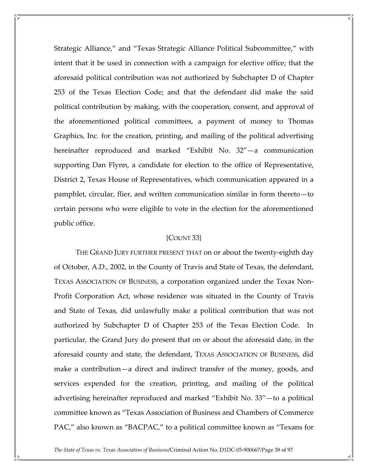Strategic Alliance," and "Texas Strategic Alliance Political Subcommittee," with intent that it be used in connection with a campaign for elective office; that the aforesaid political contribution was not authorized by Subchapter D of Chapter 253 of the Texas Election Code; and that the defendant did make the said political contribution by making, with the cooperation, consent, and approval of the aforementioned political committees, a payment of money to Thomas Graphics, Inc. for the creation, printing, and mailing of the political advertising hereinafter reproduced and marked "Exhibit No. 32"—a communication supporting Dan Flynn, a candidate for election to the office of Representative, District 2, Texas House of Representatives, which communication appeared in a pamphlet, circular, flier, and written communication similar in form thereto—to certain persons who were eligible to vote in the election for the aforementioned public office.

## {COUNT 33}

 THE GRAND JURY FURTHER PRESENT THAT on or about the twenty-eighth day of October, A.D., 2002, in the County of Travis and State of Texas, the defendant, TEXAS ASSOCIATION OF BUSINESS, a corporation organized under the Texas Non-Profit Corporation Act, whose residence was situated in the County of Travis and State of Texas, did unlawfully make a political contribution that was not authorized by Subchapter D of Chapter 253 of the Texas Election Code. In particular, the Grand Jury do present that on or about the aforesaid date, in the aforesaid county and state, the defendant, TEXAS ASSOCIATION OF BUSINESS, did make a contribution—a direct and indirect transfer of the money, goods, and services expended for the creation, printing, and mailing of the political advertising hereinafter reproduced and marked "Exhibit No. 33"—to a political committee known as "Texas Association of Business and Chambers of Commerce PAC," also known as "BACPAC," to a political committee known as "Texans for

The State of Texas vs. Texas Association of Business/Criminal Action No. D1DC-05-900667/Page 38 of 97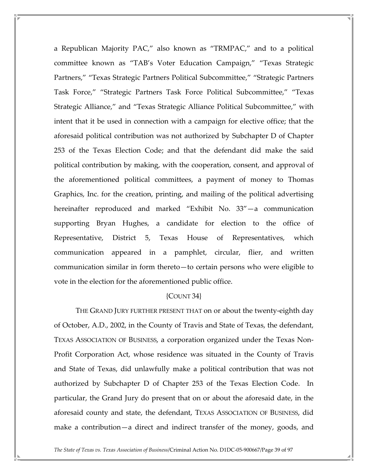a Republican Majority PAC," also known as "TRMPAC," and to a political committee known as "TAB's Voter Education Campaign," "Texas Strategic Partners," "Texas Strategic Partners Political Subcommittee," "Strategic Partners Task Force," "Strategic Partners Task Force Political Subcommittee," "Texas Strategic Alliance," and "Texas Strategic Alliance Political Subcommittee," with intent that it be used in connection with a campaign for elective office; that the aforesaid political contribution was not authorized by Subchapter D of Chapter 253 of the Texas Election Code; and that the defendant did make the said political contribution by making, with the cooperation, consent, and approval of the aforementioned political committees, a payment of money to Thomas Graphics, Inc. for the creation, printing, and mailing of the political advertising hereinafter reproduced and marked "Exhibit No. 33"—a communication supporting Bryan Hughes, a candidate for election to the office of Representative, District 5, Texas House of Representatives, which communication appeared in a pamphlet, circular, flier, and written communication similar in form thereto—to certain persons who were eligible to vote in the election for the aforementioned public office.

## ${COUNT}$  34 ${}$

 THE GRAND JURY FURTHER PRESENT THAT on or about the twenty-eighth day of October, A.D., 2002, in the County of Travis and State of Texas, the defendant, TEXAS ASSOCIATION OF BUSINESS, a corporation organized under the Texas Non-Profit Corporation Act, whose residence was situated in the County of Travis and State of Texas, did unlawfully make a political contribution that was not authorized by Subchapter D of Chapter 253 of the Texas Election Code. In particular, the Grand Jury do present that on or about the aforesaid date, in the aforesaid county and state, the defendant, TEXAS ASSOCIATION OF BUSINESS, did make a contribution—a direct and indirect transfer of the money, goods, and

The State of Texas vs. Texas Association of Business/Criminal Action No. D1DC-05-900667/Page 39 of 97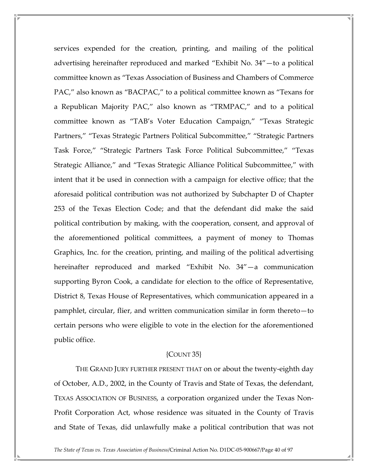services expended for the creation, printing, and mailing of the political advertising hereinafter reproduced and marked "Exhibit No. 34"—to a political committee known as "Texas Association of Business and Chambers of Commerce PAC," also known as "BACPAC," to a political committee known as "Texans for a Republican Majority PAC," also known as "TRMPAC," and to a political committee known as "TAB's Voter Education Campaign," "Texas Strategic Partners," "Texas Strategic Partners Political Subcommittee," "Strategic Partners Task Force," "Strategic Partners Task Force Political Subcommittee," "Texas Strategic Alliance," and "Texas Strategic Alliance Political Subcommittee," with intent that it be used in connection with a campaign for elective office; that the aforesaid political contribution was not authorized by Subchapter D of Chapter 253 of the Texas Election Code; and that the defendant did make the said political contribution by making, with the cooperation, consent, and approval of the aforementioned political committees, a payment of money to Thomas Graphics, Inc. for the creation, printing, and mailing of the political advertising hereinafter reproduced and marked "Exhibit No. 34"—a communication supporting Byron Cook, a candidate for election to the office of Representative, District 8, Texas House of Representatives, which communication appeared in a pamphlet, circular, flier, and written communication similar in form thereto—to certain persons who were eligible to vote in the election for the aforementioned public office.

#### ${COUNT}$  35 $}$

 THE GRAND JURY FURTHER PRESENT THAT on or about the twenty-eighth day of October, A.D., 2002, in the County of Travis and State of Texas, the defendant, TEXAS ASSOCIATION OF BUSINESS, a corporation organized under the Texas Non-Profit Corporation Act, whose residence was situated in the County of Travis and State of Texas, did unlawfully make a political contribution that was not

The State of Texas vs. Texas Association of Business/Criminal Action No. D1DC-05-900667/Page 40 of 97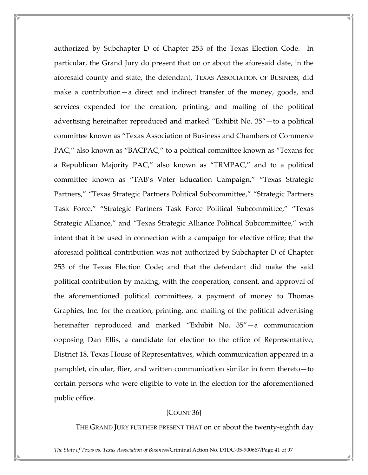authorized by Subchapter D of Chapter 253 of the Texas Election Code. In particular, the Grand Jury do present that on or about the aforesaid date, in the aforesaid county and state, the defendant, TEXAS ASSOCIATION OF BUSINESS, did make a contribution—a direct and indirect transfer of the money, goods, and services expended for the creation, printing, and mailing of the political advertising hereinafter reproduced and marked "Exhibit No. 35"—to a political committee known as "Texas Association of Business and Chambers of Commerce PAC," also known as "BACPAC," to a political committee known as "Texans for a Republican Majority PAC," also known as "TRMPAC," and to a political committee known as "TAB's Voter Education Campaign," "Texas Strategic Partners," "Texas Strategic Partners Political Subcommittee," "Strategic Partners Task Force," "Strategic Partners Task Force Political Subcommittee," "Texas Strategic Alliance," and "Texas Strategic Alliance Political Subcommittee," with intent that it be used in connection with a campaign for elective office; that the aforesaid political contribution was not authorized by Subchapter D of Chapter 253 of the Texas Election Code; and that the defendant did make the said political contribution by making, with the cooperation, consent, and approval of the aforementioned political committees, a payment of money to Thomas Graphics, Inc. for the creation, printing, and mailing of the political advertising hereinafter reproduced and marked "Exhibit No. 35"—a communication opposing Dan Ellis, a candidate for election to the office of Representative, District 18, Texas House of Representatives, which communication appeared in a pamphlet, circular, flier, and written communication similar in form thereto—to certain persons who were eligible to vote in the election for the aforementioned public office.

# {COUNT 36}

THE GRAND JURY FURTHER PRESENT THAT on or about the twenty-eighth day

The State of Texas vs. Texas Association of Business/Criminal Action No. D1DC-05-900667/Page 41 of 97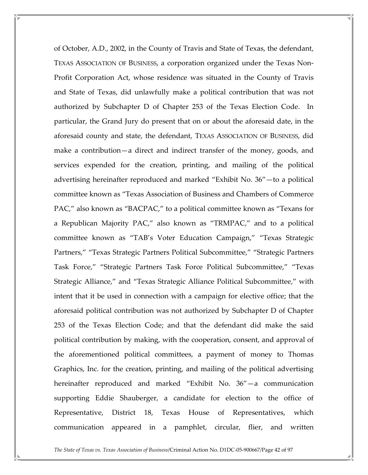of October, A.D., 2002, in the County of Travis and State of Texas, the defendant, TEXAS ASSOCIATION OF BUSINESS, a corporation organized under the Texas Non-Profit Corporation Act, whose residence was situated in the County of Travis and State of Texas, did unlawfully make a political contribution that was not authorized by Subchapter D of Chapter 253 of the Texas Election Code. In particular, the Grand Jury do present that on or about the aforesaid date, in the aforesaid county and state, the defendant, TEXAS ASSOCIATION OF BUSINESS, did make a contribution—a direct and indirect transfer of the money, goods, and services expended for the creation, printing, and mailing of the political advertising hereinafter reproduced and marked "Exhibit No. 36"—to a political committee known as "Texas Association of Business and Chambers of Commerce PAC," also known as "BACPAC," to a political committee known as "Texans for a Republican Majority PAC," also known as "TRMPAC," and to a political committee known as "TAB's Voter Education Campaign," "Texas Strategic Partners," "Texas Strategic Partners Political Subcommittee," "Strategic Partners Task Force," "Strategic Partners Task Force Political Subcommittee," "Texas Strategic Alliance," and "Texas Strategic Alliance Political Subcommittee," with intent that it be used in connection with a campaign for elective office; that the aforesaid political contribution was not authorized by Subchapter D of Chapter 253 of the Texas Election Code; and that the defendant did make the said political contribution by making, with the cooperation, consent, and approval of the aforementioned political committees, a payment of money to Thomas Graphics, Inc. for the creation, printing, and mailing of the political advertising hereinafter reproduced and marked "Exhibit No. 36"—a communication supporting Eddie Shauberger, a candidate for election to the office of Representative, District 18, Texas House of Representatives, which communication appeared in a pamphlet, circular, flier, and written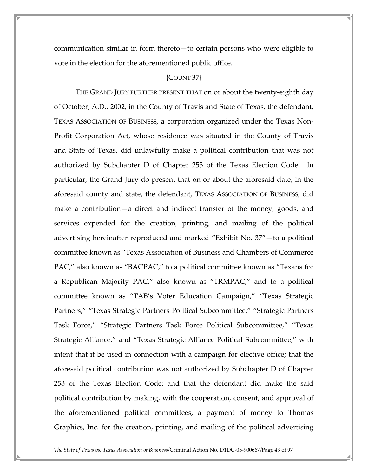communication similar in form thereto—to certain persons who were eligible to vote in the election for the aforementioned public office.

#### {COUNT 37}

 THE GRAND JURY FURTHER PRESENT THAT on or about the twenty-eighth day of October, A.D., 2002, in the County of Travis and State of Texas, the defendant, TEXAS ASSOCIATION OF BUSINESS, a corporation organized under the Texas Non-Profit Corporation Act, whose residence was situated in the County of Travis and State of Texas, did unlawfully make a political contribution that was not authorized by Subchapter D of Chapter 253 of the Texas Election Code. In particular, the Grand Jury do present that on or about the aforesaid date, in the aforesaid county and state, the defendant, TEXAS ASSOCIATION OF BUSINESS, did make a contribution—a direct and indirect transfer of the money, goods, and services expended for the creation, printing, and mailing of the political advertising hereinafter reproduced and marked "Exhibit No. 37"—to a political committee known as "Texas Association of Business and Chambers of Commerce PAC," also known as "BACPAC," to a political committee known as "Texans for a Republican Majority PAC," also known as "TRMPAC," and to a political committee known as "TAB's Voter Education Campaign," "Texas Strategic Partners," "Texas Strategic Partners Political Subcommittee," "Strategic Partners Task Force," "Strategic Partners Task Force Political Subcommittee," "Texas Strategic Alliance," and "Texas Strategic Alliance Political Subcommittee," with intent that it be used in connection with a campaign for elective office; that the aforesaid political contribution was not authorized by Subchapter D of Chapter 253 of the Texas Election Code; and that the defendant did make the said political contribution by making, with the cooperation, consent, and approval of the aforementioned political committees, a payment of money to Thomas Graphics, Inc. for the creation, printing, and mailing of the political advertising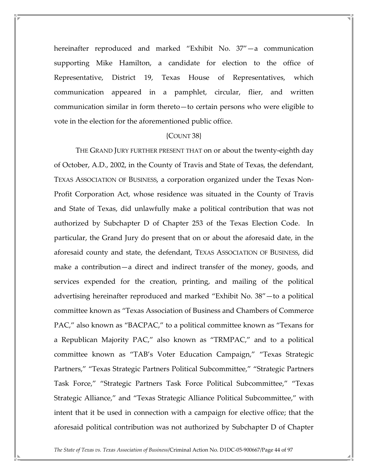hereinafter reproduced and marked "Exhibit No. 37"—a communication supporting Mike Hamilton, a candidate for election to the office of Representative, District 19, Texas House of Representatives, which communication appeared in a pamphlet, circular, flier, and written communication similar in form thereto—to certain persons who were eligible to vote in the election for the aforementioned public office.

#### {COUNT 38}

 THE GRAND JURY FURTHER PRESENT THAT on or about the twenty-eighth day of October, A.D., 2002, in the County of Travis and State of Texas, the defendant, TEXAS ASSOCIATION OF BUSINESS, a corporation organized under the Texas Non-Profit Corporation Act, whose residence was situated in the County of Travis and State of Texas, did unlawfully make a political contribution that was not authorized by Subchapter D of Chapter 253 of the Texas Election Code. In particular, the Grand Jury do present that on or about the aforesaid date, in the aforesaid county and state, the defendant, TEXAS ASSOCIATION OF BUSINESS, did make a contribution—a direct and indirect transfer of the money, goods, and services expended for the creation, printing, and mailing of the political advertising hereinafter reproduced and marked "Exhibit No. 38"—to a political committee known as "Texas Association of Business and Chambers of Commerce PAC," also known as "BACPAC," to a political committee known as "Texans for a Republican Majority PAC," also known as "TRMPAC," and to a political committee known as "TAB's Voter Education Campaign," "Texas Strategic Partners," "Texas Strategic Partners Political Subcommittee," "Strategic Partners Task Force," "Strategic Partners Task Force Political Subcommittee," "Texas Strategic Alliance," and "Texas Strategic Alliance Political Subcommittee," with intent that it be used in connection with a campaign for elective office; that the aforesaid political contribution was not authorized by Subchapter D of Chapter

The State of Texas vs. Texas Association of Business/Criminal Action No. D1DC-05-900667/Page 44 of 97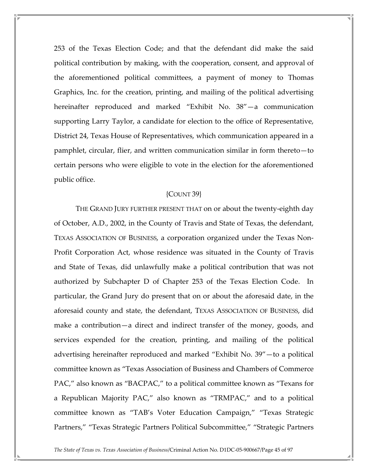253 of the Texas Election Code; and that the defendant did make the said political contribution by making, with the cooperation, consent, and approval of the aforementioned political committees, a payment of money to Thomas Graphics, Inc. for the creation, printing, and mailing of the political advertising hereinafter reproduced and marked "Exhibit No. 38"—a communication supporting Larry Taylor, a candidate for election to the office of Representative, District 24, Texas House of Representatives, which communication appeared in a pamphlet, circular, flier, and written communication similar in form thereto—to certain persons who were eligible to vote in the election for the aforementioned public office.

## {COUNT 39}

 THE GRAND JURY FURTHER PRESENT THAT on or about the twenty-eighth day of October, A.D., 2002, in the County of Travis and State of Texas, the defendant, TEXAS ASSOCIATION OF BUSINESS, a corporation organized under the Texas Non-Profit Corporation Act, whose residence was situated in the County of Travis and State of Texas, did unlawfully make a political contribution that was not authorized by Subchapter D of Chapter 253 of the Texas Election Code. In particular, the Grand Jury do present that on or about the aforesaid date, in the aforesaid county and state, the defendant, TEXAS ASSOCIATION OF BUSINESS, did make a contribution—a direct and indirect transfer of the money, goods, and services expended for the creation, printing, and mailing of the political advertising hereinafter reproduced and marked "Exhibit No. 39"—to a political committee known as "Texas Association of Business and Chambers of Commerce PAC," also known as "BACPAC," to a political committee known as "Texans for a Republican Majority PAC," also known as "TRMPAC," and to a political committee known as "TAB's Voter Education Campaign," "Texas Strategic Partners," "Texas Strategic Partners Political Subcommittee," "Strategic Partners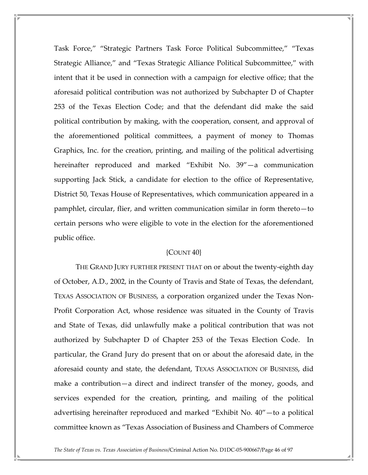Task Force," "Strategic Partners Task Force Political Subcommittee," "Texas Strategic Alliance," and "Texas Strategic Alliance Political Subcommittee," with intent that it be used in connection with a campaign for elective office; that the aforesaid political contribution was not authorized by Subchapter D of Chapter 253 of the Texas Election Code; and that the defendant did make the said political contribution by making, with the cooperation, consent, and approval of the aforementioned political committees, a payment of money to Thomas Graphics, Inc. for the creation, printing, and mailing of the political advertising hereinafter reproduced and marked "Exhibit No. 39"—a communication supporting Jack Stick, a candidate for election to the office of Representative, District 50, Texas House of Representatives, which communication appeared in a pamphlet, circular, flier, and written communication similar in form thereto—to certain persons who were eligible to vote in the election for the aforementioned public office.

# {COUNT 40}

 THE GRAND JURY FURTHER PRESENT THAT on or about the twenty-eighth day of October, A.D., 2002, in the County of Travis and State of Texas, the defendant, TEXAS ASSOCIATION OF BUSINESS, a corporation organized under the Texas Non-Profit Corporation Act, whose residence was situated in the County of Travis and State of Texas, did unlawfully make a political contribution that was not authorized by Subchapter D of Chapter 253 of the Texas Election Code. In particular, the Grand Jury do present that on or about the aforesaid date, in the aforesaid county and state, the defendant, TEXAS ASSOCIATION OF BUSINESS, did make a contribution—a direct and indirect transfer of the money, goods, and services expended for the creation, printing, and mailing of the political advertising hereinafter reproduced and marked "Exhibit No. 40"—to a political committee known as "Texas Association of Business and Chambers of Commerce

The State of Texas vs. Texas Association of Business/Criminal Action No. D1DC-05-900667/Page 46 of 97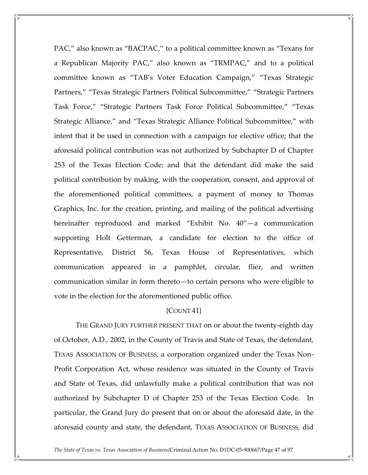PAC," also known as "BACPAC," to a political committee known as "Texans for a Republican Majority PAC," also known as "TRMPAC," and to a political committee known as "TAB's Voter Education Campaign," "Texas Strategic Partners," "Texas Strategic Partners Political Subcommittee," "Strategic Partners Task Force," "Strategic Partners Task Force Political Subcommittee," "Texas Strategic Alliance," and "Texas Strategic Alliance Political Subcommittee," with intent that it be used in connection with a campaign for elective office; that the aforesaid political contribution was not authorized by Subchapter D of Chapter 253 of the Texas Election Code; and that the defendant did make the said political contribution by making, with the cooperation, consent, and approval of the aforementioned political committees, a payment of money to Thomas Graphics, Inc. for the creation, printing, and mailing of the political advertising hereinafter reproduced and marked "Exhibit No. 40"—a communication supporting Holt Getterman, a candidate for election to the office of Representative, District 56, Texas House of Representatives, which communication appeared in a pamphlet, circular, flier, and written communication similar in form thereto—to certain persons who were eligible to vote in the election for the aforementioned public office.

# ${COUNT 41}$

 THE GRAND JURY FURTHER PRESENT THAT on or about the twenty-eighth day of October, A.D., 2002, in the County of Travis and State of Texas, the defendant, TEXAS ASSOCIATION OF BUSINESS, a corporation organized under the Texas Non-Profit Corporation Act, whose residence was situated in the County of Travis and State of Texas, did unlawfully make a political contribution that was not authorized by Subchapter D of Chapter 253 of the Texas Election Code. In particular, the Grand Jury do present that on or about the aforesaid date, in the aforesaid county and state, the defendant, TEXAS ASSOCIATION OF BUSINESS, did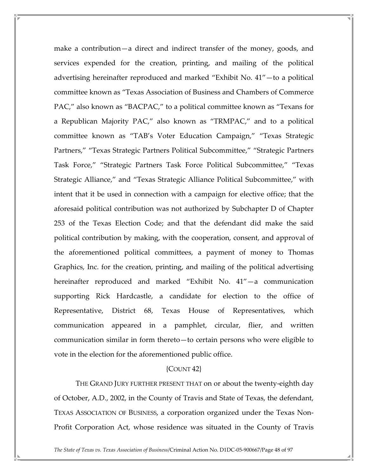make a contribution—a direct and indirect transfer of the money, goods, and services expended for the creation, printing, and mailing of the political advertising hereinafter reproduced and marked "Exhibit No. 41"—to a political committee known as "Texas Association of Business and Chambers of Commerce PAC," also known as "BACPAC," to a political committee known as "Texans for a Republican Majority PAC," also known as "TRMPAC," and to a political committee known as "TAB's Voter Education Campaign," "Texas Strategic Partners," "Texas Strategic Partners Political Subcommittee," "Strategic Partners Task Force," "Strategic Partners Task Force Political Subcommittee," "Texas Strategic Alliance," and "Texas Strategic Alliance Political Subcommittee," with intent that it be used in connection with a campaign for elective office; that the aforesaid political contribution was not authorized by Subchapter D of Chapter 253 of the Texas Election Code; and that the defendant did make the said political contribution by making, with the cooperation, consent, and approval of the aforementioned political committees, a payment of money to Thomas Graphics, Inc. for the creation, printing, and mailing of the political advertising hereinafter reproduced and marked "Exhibit No. 41"—a communication supporting Rick Hardcastle, a candidate for election to the office of Representative, District 68, Texas House of Representatives, which communication appeared in a pamphlet, circular, flier, and written communication similar in form thereto—to certain persons who were eligible to vote in the election for the aforementioned public office.

### {COUNT 42}

 THE GRAND JURY FURTHER PRESENT THAT on or about the twenty-eighth day of October, A.D., 2002, in the County of Travis and State of Texas, the defendant, TEXAS ASSOCIATION OF BUSINESS, a corporation organized under the Texas Non-Profit Corporation Act, whose residence was situated in the County of Travis

The State of Texas vs. Texas Association of Business/Criminal Action No. D1DC-05-900667/Page 48 of 97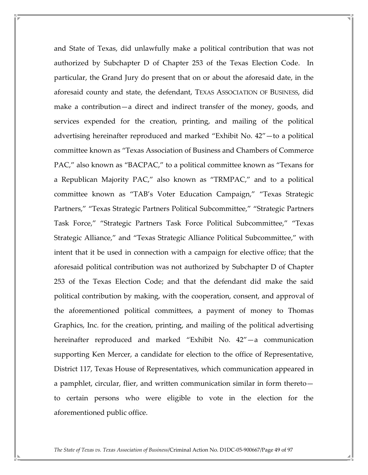and State of Texas, did unlawfully make a political contribution that was not authorized by Subchapter D of Chapter 253 of the Texas Election Code. In particular, the Grand Jury do present that on or about the aforesaid date, in the aforesaid county and state, the defendant, TEXAS ASSOCIATION OF BUSINESS, did make a contribution—a direct and indirect transfer of the money, goods, and services expended for the creation, printing, and mailing of the political advertising hereinafter reproduced and marked "Exhibit No. 42"—to a political committee known as "Texas Association of Business and Chambers of Commerce PAC," also known as "BACPAC," to a political committee known as "Texans for a Republican Majority PAC," also known as "TRMPAC," and to a political committee known as "TAB's Voter Education Campaign," "Texas Strategic Partners," "Texas Strategic Partners Political Subcommittee," "Strategic Partners Task Force," "Strategic Partners Task Force Political Subcommittee," "Texas Strategic Alliance," and "Texas Strategic Alliance Political Subcommittee," with intent that it be used in connection with a campaign for elective office; that the aforesaid political contribution was not authorized by Subchapter D of Chapter 253 of the Texas Election Code; and that the defendant did make the said political contribution by making, with the cooperation, consent, and approval of the aforementioned political committees, a payment of money to Thomas Graphics, Inc. for the creation, printing, and mailing of the political advertising hereinafter reproduced and marked "Exhibit No. 42"—a communication supporting Ken Mercer, a candidate for election to the office of Representative, District 117, Texas House of Representatives, which communication appeared in a pamphlet, circular, flier, and written communication similar in form thereto to certain persons who were eligible to vote in the election for the aforementioned public office.

The State of Texas vs. Texas Association of Business/Criminal Action No. D1DC-05-900667/Page 49 of 97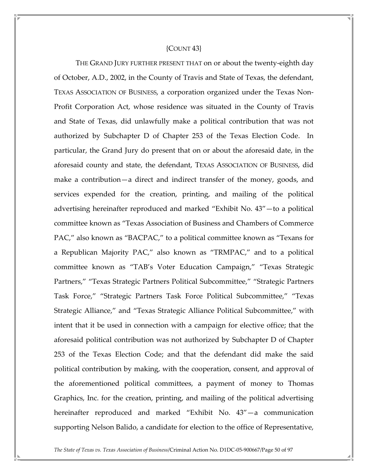#### ${COUNT 43}$

 THE GRAND JURY FURTHER PRESENT THAT on or about the twenty-eighth day of October, A.D., 2002, in the County of Travis and State of Texas, the defendant, TEXAS ASSOCIATION OF BUSINESS, a corporation organized under the Texas Non-Profit Corporation Act, whose residence was situated in the County of Travis and State of Texas, did unlawfully make a political contribution that was not authorized by Subchapter D of Chapter 253 of the Texas Election Code. In particular, the Grand Jury do present that on or about the aforesaid date, in the aforesaid county and state, the defendant, TEXAS ASSOCIATION OF BUSINESS, did make a contribution—a direct and indirect transfer of the money, goods, and services expended for the creation, printing, and mailing of the political advertising hereinafter reproduced and marked "Exhibit No. 43"—to a political committee known as "Texas Association of Business and Chambers of Commerce PAC," also known as "BACPAC," to a political committee known as "Texans for a Republican Majority PAC," also known as "TRMPAC," and to a political committee known as "TAB's Voter Education Campaign," "Texas Strategic Partners," "Texas Strategic Partners Political Subcommittee," "Strategic Partners Task Force," "Strategic Partners Task Force Political Subcommittee," "Texas Strategic Alliance," and "Texas Strategic Alliance Political Subcommittee," with intent that it be used in connection with a campaign for elective office; that the aforesaid political contribution was not authorized by Subchapter D of Chapter 253 of the Texas Election Code; and that the defendant did make the said political contribution by making, with the cooperation, consent, and approval of the aforementioned political committees, a payment of money to Thomas Graphics, Inc. for the creation, printing, and mailing of the political advertising hereinafter reproduced and marked "Exhibit No. 43"—a communication supporting Nelson Balido, a candidate for election to the office of Representative,

The State of Texas vs. Texas Association of Business/Criminal Action No. D1DC-05-900667/Page 50 of 97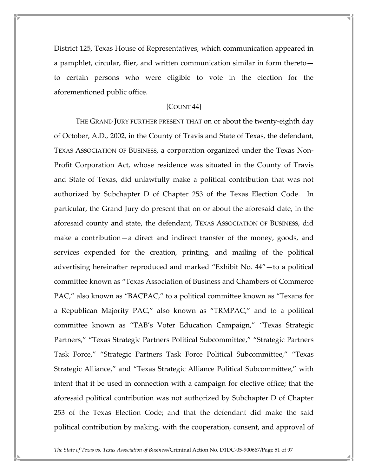District 125, Texas House of Representatives, which communication appeared in a pamphlet, circular, flier, and written communication similar in form thereto to certain persons who were eligible to vote in the election for the aforementioned public office.

## {COUNT 44}

 THE GRAND JURY FURTHER PRESENT THAT on or about the twenty-eighth day of October, A.D., 2002, in the County of Travis and State of Texas, the defendant, TEXAS ASSOCIATION OF BUSINESS, a corporation organized under the Texas Non-Profit Corporation Act, whose residence was situated in the County of Travis and State of Texas, did unlawfully make a political contribution that was not authorized by Subchapter D of Chapter 253 of the Texas Election Code. In particular, the Grand Jury do present that on or about the aforesaid date, in the aforesaid county and state, the defendant, TEXAS ASSOCIATION OF BUSINESS, did make a contribution—a direct and indirect transfer of the money, goods, and services expended for the creation, printing, and mailing of the political advertising hereinafter reproduced and marked "Exhibit No. 44"—to a political committee known as "Texas Association of Business and Chambers of Commerce PAC," also known as "BACPAC," to a political committee known as "Texans for a Republican Majority PAC," also known as "TRMPAC," and to a political committee known as "TAB's Voter Education Campaign," "Texas Strategic Partners," "Texas Strategic Partners Political Subcommittee," "Strategic Partners Task Force," "Strategic Partners Task Force Political Subcommittee," "Texas Strategic Alliance," and "Texas Strategic Alliance Political Subcommittee," with intent that it be used in connection with a campaign for elective office; that the aforesaid political contribution was not authorized by Subchapter D of Chapter 253 of the Texas Election Code; and that the defendant did make the said political contribution by making, with the cooperation, consent, and approval of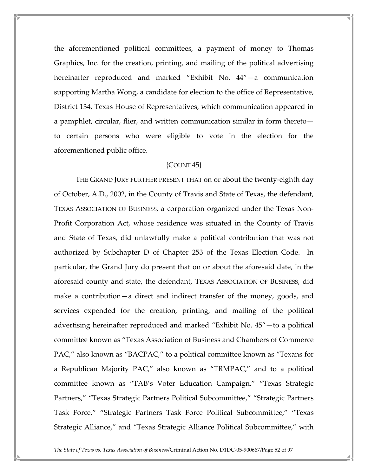the aforementioned political committees, a payment of money to Thomas Graphics, Inc. for the creation, printing, and mailing of the political advertising hereinafter reproduced and marked "Exhibit No. 44"—a communication supporting Martha Wong, a candidate for election to the office of Representative, District 134, Texas House of Representatives, which communication appeared in a pamphlet, circular, flier, and written communication similar in form thereto to certain persons who were eligible to vote in the election for the aforementioned public office.

# ${COUNT 45}$

 THE GRAND JURY FURTHER PRESENT THAT on or about the twenty-eighth day of October, A.D., 2002, in the County of Travis and State of Texas, the defendant, TEXAS ASSOCIATION OF BUSINESS, a corporation organized under the Texas Non-Profit Corporation Act, whose residence was situated in the County of Travis and State of Texas, did unlawfully make a political contribution that was not authorized by Subchapter D of Chapter 253 of the Texas Election Code. In particular, the Grand Jury do present that on or about the aforesaid date, in the aforesaid county and state, the defendant, TEXAS ASSOCIATION OF BUSINESS, did make a contribution—a direct and indirect transfer of the money, goods, and services expended for the creation, printing, and mailing of the political advertising hereinafter reproduced and marked "Exhibit No. 45"—to a political committee known as "Texas Association of Business and Chambers of Commerce PAC," also known as "BACPAC," to a political committee known as "Texans for a Republican Majority PAC," also known as "TRMPAC," and to a political committee known as "TAB's Voter Education Campaign," "Texas Strategic Partners," "Texas Strategic Partners Political Subcommittee," "Strategic Partners Task Force," "Strategic Partners Task Force Political Subcommittee," "Texas Strategic Alliance," and "Texas Strategic Alliance Political Subcommittee," with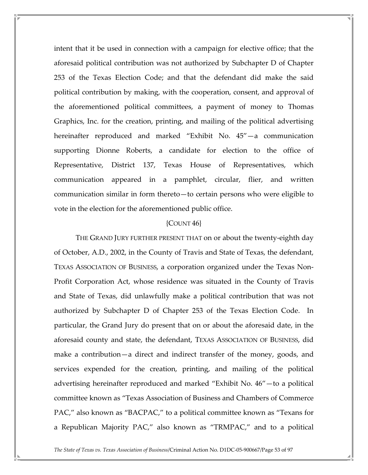intent that it be used in connection with a campaign for elective office; that the aforesaid political contribution was not authorized by Subchapter D of Chapter 253 of the Texas Election Code; and that the defendant did make the said political contribution by making, with the cooperation, consent, and approval of the aforementioned political committees, a payment of money to Thomas Graphics, Inc. for the creation, printing, and mailing of the political advertising hereinafter reproduced and marked "Exhibit No. 45"—a communication supporting Dionne Roberts, a candidate for election to the office of Representative, District 137, Texas House of Representatives, which communication appeared in a pamphlet, circular, flier, and written communication similar in form thereto—to certain persons who were eligible to vote in the election for the aforementioned public office.

#### ${COUNT 46}$

 THE GRAND JURY FURTHER PRESENT THAT on or about the twenty-eighth day of October, A.D., 2002, in the County of Travis and State of Texas, the defendant, TEXAS ASSOCIATION OF BUSINESS, a corporation organized under the Texas Non-Profit Corporation Act, whose residence was situated in the County of Travis and State of Texas, did unlawfully make a political contribution that was not authorized by Subchapter D of Chapter 253 of the Texas Election Code. In particular, the Grand Jury do present that on or about the aforesaid date, in the aforesaid county and state, the defendant, TEXAS ASSOCIATION OF BUSINESS, did make a contribution—a direct and indirect transfer of the money, goods, and services expended for the creation, printing, and mailing of the political advertising hereinafter reproduced and marked "Exhibit No. 46"—to a political committee known as "Texas Association of Business and Chambers of Commerce PAC," also known as "BACPAC," to a political committee known as "Texans for a Republican Majority PAC," also known as "TRMPAC," and to a political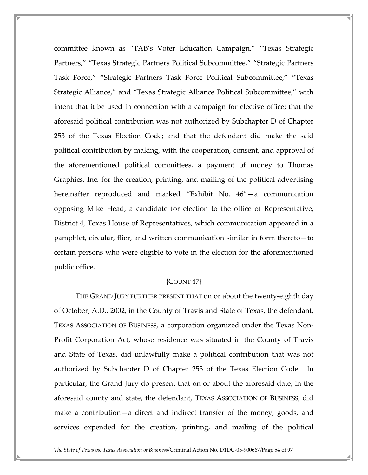committee known as "TAB's Voter Education Campaign," "Texas Strategic Partners," "Texas Strategic Partners Political Subcommittee," "Strategic Partners Task Force," "Strategic Partners Task Force Political Subcommittee," "Texas Strategic Alliance," and "Texas Strategic Alliance Political Subcommittee," with intent that it be used in connection with a campaign for elective office; that the aforesaid political contribution was not authorized by Subchapter D of Chapter 253 of the Texas Election Code; and that the defendant did make the said political contribution by making, with the cooperation, consent, and approval of the aforementioned political committees, a payment of money to Thomas Graphics, Inc. for the creation, printing, and mailing of the political advertising hereinafter reproduced and marked "Exhibit No. 46"—a communication opposing Mike Head, a candidate for election to the office of Representative, District 4, Texas House of Representatives, which communication appeared in a pamphlet, circular, flier, and written communication similar in form thereto—to certain persons who were eligible to vote in the election for the aforementioned public office.

## {COUNT 47}

 THE GRAND JURY FURTHER PRESENT THAT on or about the twenty-eighth day of October, A.D., 2002, in the County of Travis and State of Texas, the defendant, TEXAS ASSOCIATION OF BUSINESS, a corporation organized under the Texas Non-Profit Corporation Act, whose residence was situated in the County of Travis and State of Texas, did unlawfully make a political contribution that was not authorized by Subchapter D of Chapter 253 of the Texas Election Code. In particular, the Grand Jury do present that on or about the aforesaid date, in the aforesaid county and state, the defendant, TEXAS ASSOCIATION OF BUSINESS, did make a contribution—a direct and indirect transfer of the money, goods, and services expended for the creation, printing, and mailing of the political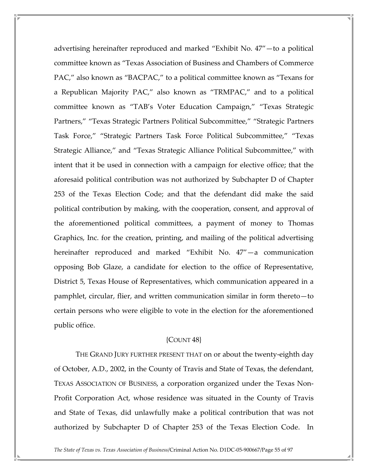advertising hereinafter reproduced and marked "Exhibit No. 47"—to a political committee known as "Texas Association of Business and Chambers of Commerce PAC," also known as "BACPAC," to a political committee known as "Texans for a Republican Majority PAC," also known as "TRMPAC," and to a political committee known as "TAB's Voter Education Campaign," "Texas Strategic Partners," "Texas Strategic Partners Political Subcommittee," "Strategic Partners Task Force," "Strategic Partners Task Force Political Subcommittee," "Texas Strategic Alliance," and "Texas Strategic Alliance Political Subcommittee," with intent that it be used in connection with a campaign for elective office; that the aforesaid political contribution was not authorized by Subchapter D of Chapter 253 of the Texas Election Code; and that the defendant did make the said political contribution by making, with the cooperation, consent, and approval of the aforementioned political committees, a payment of money to Thomas Graphics, Inc. for the creation, printing, and mailing of the political advertising hereinafter reproduced and marked "Exhibit No. 47"—a communication opposing Bob Glaze, a candidate for election to the office of Representative, District 5, Texas House of Representatives, which communication appeared in a pamphlet, circular, flier, and written communication similar in form thereto—to certain persons who were eligible to vote in the election for the aforementioned public office.

# {COUNT 48}

 THE GRAND JURY FURTHER PRESENT THAT on or about the twenty-eighth day of October, A.D., 2002, in the County of Travis and State of Texas, the defendant, TEXAS ASSOCIATION OF BUSINESS, a corporation organized under the Texas Non-Profit Corporation Act, whose residence was situated in the County of Travis and State of Texas, did unlawfully make a political contribution that was not authorized by Subchapter D of Chapter 253 of the Texas Election Code. In

The State of Texas vs. Texas Association of Business/Criminal Action No. D1DC-05-900667/Page 55 of 97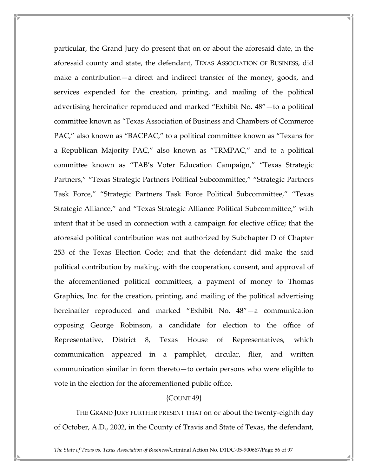particular, the Grand Jury do present that on or about the aforesaid date, in the aforesaid county and state, the defendant, TEXAS ASSOCIATION OF BUSINESS, did make a contribution—a direct and indirect transfer of the money, goods, and services expended for the creation, printing, and mailing of the political advertising hereinafter reproduced and marked "Exhibit No. 48"—to a political committee known as "Texas Association of Business and Chambers of Commerce PAC," also known as "BACPAC," to a political committee known as "Texans for a Republican Majority PAC," also known as "TRMPAC," and to a political committee known as "TAB's Voter Education Campaign," "Texas Strategic Partners," "Texas Strategic Partners Political Subcommittee," "Strategic Partners Task Force," "Strategic Partners Task Force Political Subcommittee," "Texas Strategic Alliance," and "Texas Strategic Alliance Political Subcommittee," with intent that it be used in connection with a campaign for elective office; that the aforesaid political contribution was not authorized by Subchapter D of Chapter 253 of the Texas Election Code; and that the defendant did make the said political contribution by making, with the cooperation, consent, and approval of the aforementioned political committees, a payment of money to Thomas Graphics, Inc. for the creation, printing, and mailing of the political advertising hereinafter reproduced and marked "Exhibit No. 48"—a communication opposing George Robinson, a candidate for election to the office of Representative, District 8, Texas House of Representatives, which communication appeared in a pamphlet, circular, flier, and written communication similar in form thereto—to certain persons who were eligible to vote in the election for the aforementioned public office.

# {COUNT 49}

 THE GRAND JURY FURTHER PRESENT THAT on or about the twenty-eighth day of October, A.D., 2002, in the County of Travis and State of Texas, the defendant,

The State of Texas vs. Texas Association of Business/Criminal Action No. D1DC-05-900667/Page 56 of 97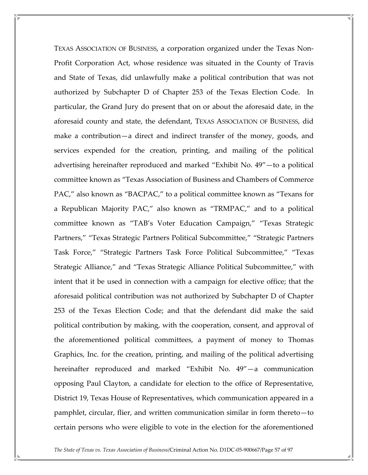TEXAS ASSOCIATION OF BUSINESS, a corporation organized under the Texas Non-Profit Corporation Act, whose residence was situated in the County of Travis and State of Texas, did unlawfully make a political contribution that was not authorized by Subchapter D of Chapter 253 of the Texas Election Code. In particular, the Grand Jury do present that on or about the aforesaid date, in the aforesaid county and state, the defendant, TEXAS ASSOCIATION OF BUSINESS, did make a contribution—a direct and indirect transfer of the money, goods, and services expended for the creation, printing, and mailing of the political advertising hereinafter reproduced and marked "Exhibit No. 49"—to a political committee known as "Texas Association of Business and Chambers of Commerce PAC," also known as "BACPAC," to a political committee known as "Texans for a Republican Majority PAC," also known as "TRMPAC," and to a political committee known as "TAB's Voter Education Campaign," "Texas Strategic Partners," "Texas Strategic Partners Political Subcommittee," "Strategic Partners Task Force," "Strategic Partners Task Force Political Subcommittee," "Texas Strategic Alliance," and "Texas Strategic Alliance Political Subcommittee," with intent that it be used in connection with a campaign for elective office; that the aforesaid political contribution was not authorized by Subchapter D of Chapter 253 of the Texas Election Code; and that the defendant did make the said political contribution by making, with the cooperation, consent, and approval of the aforementioned political committees, a payment of money to Thomas Graphics, Inc. for the creation, printing, and mailing of the political advertising hereinafter reproduced and marked "Exhibit No. 49"—a communication opposing Paul Clayton, a candidate for election to the office of Representative, District 19, Texas House of Representatives, which communication appeared in a pamphlet, circular, flier, and written communication similar in form thereto—to certain persons who were eligible to vote in the election for the aforementioned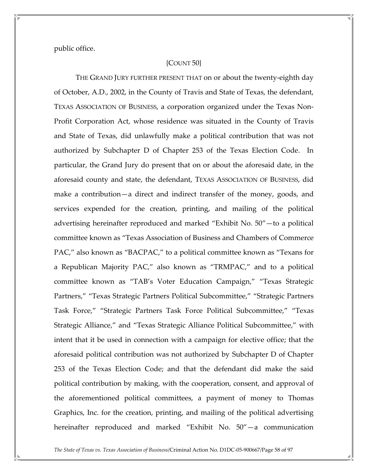public office.

# {COUNT 50}

 THE GRAND JURY FURTHER PRESENT THAT on or about the twenty-eighth day of October, A.D., 2002, in the County of Travis and State of Texas, the defendant, TEXAS ASSOCIATION OF BUSINESS, a corporation organized under the Texas Non-Profit Corporation Act, whose residence was situated in the County of Travis and State of Texas, did unlawfully make a political contribution that was not authorized by Subchapter D of Chapter 253 of the Texas Election Code. In particular, the Grand Jury do present that on or about the aforesaid date, in the aforesaid county and state, the defendant, TEXAS ASSOCIATION OF BUSINESS, did make a contribution—a direct and indirect transfer of the money, goods, and services expended for the creation, printing, and mailing of the political advertising hereinafter reproduced and marked "Exhibit No. 50"—to a political committee known as "Texas Association of Business and Chambers of Commerce PAC," also known as "BACPAC," to a political committee known as "Texans for a Republican Majority PAC," also known as "TRMPAC," and to a political committee known as "TAB's Voter Education Campaign," "Texas Strategic Partners," "Texas Strategic Partners Political Subcommittee," "Strategic Partners Task Force," "Strategic Partners Task Force Political Subcommittee," "Texas Strategic Alliance," and "Texas Strategic Alliance Political Subcommittee," with intent that it be used in connection with a campaign for elective office; that the aforesaid political contribution was not authorized by Subchapter D of Chapter 253 of the Texas Election Code; and that the defendant did make the said political contribution by making, with the cooperation, consent, and approval of the aforementioned political committees, a payment of money to Thomas Graphics, Inc. for the creation, printing, and mailing of the political advertising hereinafter reproduced and marked "Exhibit No. 50"—a communication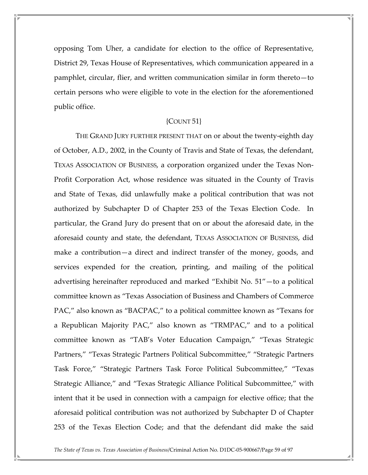opposing Tom Uher, a candidate for election to the office of Representative, District 29, Texas House of Representatives, which communication appeared in a pamphlet, circular, flier, and written communication similar in form thereto—to certain persons who were eligible to vote in the election for the aforementioned public office.

#### ${COUNT}$  51 $}$

 THE GRAND JURY FURTHER PRESENT THAT on or about the twenty-eighth day of October, A.D., 2002, in the County of Travis and State of Texas, the defendant, TEXAS ASSOCIATION OF BUSINESS, a corporation organized under the Texas Non-Profit Corporation Act, whose residence was situated in the County of Travis and State of Texas, did unlawfully make a political contribution that was not authorized by Subchapter D of Chapter 253 of the Texas Election Code. In particular, the Grand Jury do present that on or about the aforesaid date, in the aforesaid county and state, the defendant, TEXAS ASSOCIATION OF BUSINESS, did make a contribution—a direct and indirect transfer of the money, goods, and services expended for the creation, printing, and mailing of the political advertising hereinafter reproduced and marked "Exhibit No. 51"—to a political committee known as "Texas Association of Business and Chambers of Commerce PAC," also known as "BACPAC," to a political committee known as "Texans for a Republican Majority PAC," also known as "TRMPAC," and to a political committee known as "TAB's Voter Education Campaign," "Texas Strategic Partners," "Texas Strategic Partners Political Subcommittee," "Strategic Partners Task Force," "Strategic Partners Task Force Political Subcommittee," "Texas Strategic Alliance," and "Texas Strategic Alliance Political Subcommittee," with intent that it be used in connection with a campaign for elective office; that the aforesaid political contribution was not authorized by Subchapter D of Chapter 253 of the Texas Election Code; and that the defendant did make the said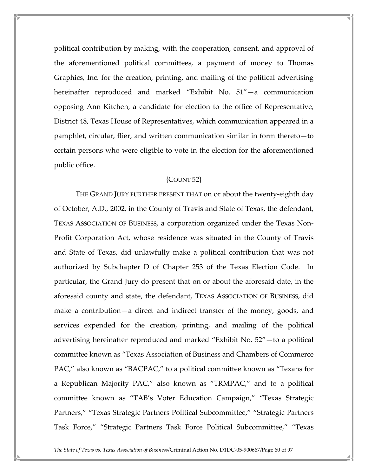political contribution by making, with the cooperation, consent, and approval of the aforementioned political committees, a payment of money to Thomas Graphics, Inc. for the creation, printing, and mailing of the political advertising hereinafter reproduced and marked "Exhibit No. 51"—a communication opposing Ann Kitchen, a candidate for election to the office of Representative, District 48, Texas House of Representatives, which communication appeared in a pamphlet, circular, flier, and written communication similar in form thereto—to certain persons who were eligible to vote in the election for the aforementioned public office.

# {COUNT 52}

 THE GRAND JURY FURTHER PRESENT THAT on or about the twenty-eighth day of October, A.D., 2002, in the County of Travis and State of Texas, the defendant, TEXAS ASSOCIATION OF BUSINESS, a corporation organized under the Texas Non-Profit Corporation Act, whose residence was situated in the County of Travis and State of Texas, did unlawfully make a political contribution that was not authorized by Subchapter D of Chapter 253 of the Texas Election Code. In particular, the Grand Jury do present that on or about the aforesaid date, in the aforesaid county and state, the defendant, TEXAS ASSOCIATION OF BUSINESS, did make a contribution—a direct and indirect transfer of the money, goods, and services expended for the creation, printing, and mailing of the political advertising hereinafter reproduced and marked "Exhibit No. 52"—to a political committee known as "Texas Association of Business and Chambers of Commerce PAC," also known as "BACPAC," to a political committee known as "Texans for a Republican Majority PAC," also known as "TRMPAC," and to a political committee known as "TAB's Voter Education Campaign," "Texas Strategic Partners," "Texas Strategic Partners Political Subcommittee," "Strategic Partners Task Force," "Strategic Partners Task Force Political Subcommittee," "Texas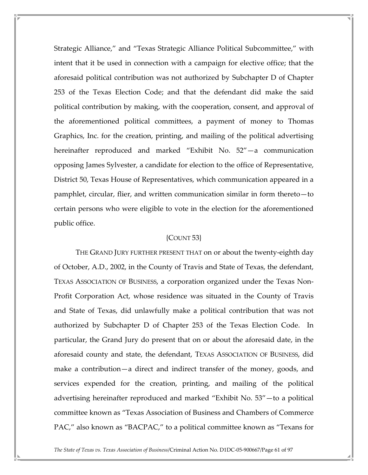Strategic Alliance," and "Texas Strategic Alliance Political Subcommittee," with intent that it be used in connection with a campaign for elective office; that the aforesaid political contribution was not authorized by Subchapter D of Chapter 253 of the Texas Election Code; and that the defendant did make the said political contribution by making, with the cooperation, consent, and approval of the aforementioned political committees, a payment of money to Thomas Graphics, Inc. for the creation, printing, and mailing of the political advertising hereinafter reproduced and marked "Exhibit No. 52"—a communication opposing James Sylvester, a candidate for election to the office of Representative, District 50, Texas House of Representatives, which communication appeared in a pamphlet, circular, flier, and written communication similar in form thereto—to certain persons who were eligible to vote in the election for the aforementioned public office.

## {COUNT 53}

 THE GRAND JURY FURTHER PRESENT THAT on or about the twenty-eighth day of October, A.D., 2002, in the County of Travis and State of Texas, the defendant, TEXAS ASSOCIATION OF BUSINESS, a corporation organized under the Texas Non-Profit Corporation Act, whose residence was situated in the County of Travis and State of Texas, did unlawfully make a political contribution that was not authorized by Subchapter D of Chapter 253 of the Texas Election Code. In particular, the Grand Jury do present that on or about the aforesaid date, in the aforesaid county and state, the defendant, TEXAS ASSOCIATION OF BUSINESS, did make a contribution—a direct and indirect transfer of the money, goods, and services expended for the creation, printing, and mailing of the political advertising hereinafter reproduced and marked "Exhibit No. 53"—to a political committee known as "Texas Association of Business and Chambers of Commerce PAC," also known as "BACPAC," to a political committee known as "Texans for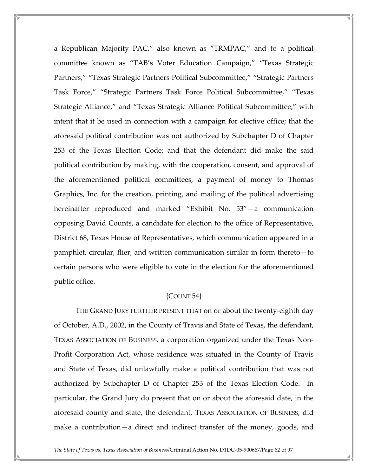a Republican Majority PAC," also known as "TRMPAC," and to a political committee known as "TAB's Voter Education Campaign," "Texas Strategic Partners," "Texas Strategic Partners Political Subcommittee," "Strategic Partners Task Force," "Strategic Partners Task Force Political Subcommittee," "Texas Strategic Alliance," and "Texas Strategic Alliance Political Subcommittee," with intent that it be used in connection with a campaign for elective office; that the aforesaid political contribution was not authorized by Subchapter D of Chapter 253 of the Texas Election Code; and that the defendant did make the said political contribution by making, with the cooperation, consent, and approval of the aforementioned political committees, a payment of money to Thomas Graphics, Inc. for the creation, printing, and mailing of the political advertising hereinafter reproduced and marked "Exhibit No. 53"—a communication opposing David Counts, a candidate for election to the office of Representative, District 68, Texas House of Representatives, which communication appeared in a pamphlet, circular, flier, and written communication similar in form thereto—to certain persons who were eligible to vote in the election for the aforementioned public office.

### ${COUNT}$  54 ${}$

 THE GRAND JURY FURTHER PRESENT THAT on or about the twenty-eighth day of October, A.D., 2002, in the County of Travis and State of Texas, the defendant, TEXAS ASSOCIATION OF BUSINESS, a corporation organized under the Texas Non-Profit Corporation Act, whose residence was situated in the County of Travis and State of Texas, did unlawfully make a political contribution that was not authorized by Subchapter D of Chapter 253 of the Texas Election Code. In particular, the Grand Jury do present that on or about the aforesaid date, in the aforesaid county and state, the defendant, TEXAS ASSOCIATION OF BUSINESS, did make a contribution—a direct and indirect transfer of the money, goods, and

The State of Texas vs. Texas Association of Business/Criminal Action No. D1DC-05-900667/Page 62 of 97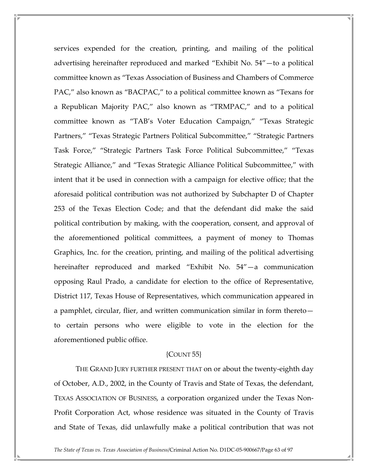services expended for the creation, printing, and mailing of the political advertising hereinafter reproduced and marked "Exhibit No. 54"—to a political committee known as "Texas Association of Business and Chambers of Commerce PAC," also known as "BACPAC," to a political committee known as "Texans for a Republican Majority PAC," also known as "TRMPAC," and to a political committee known as "TAB's Voter Education Campaign," "Texas Strategic Partners," "Texas Strategic Partners Political Subcommittee," "Strategic Partners Task Force," "Strategic Partners Task Force Political Subcommittee," "Texas Strategic Alliance," and "Texas Strategic Alliance Political Subcommittee," with intent that it be used in connection with a campaign for elective office; that the aforesaid political contribution was not authorized by Subchapter D of Chapter 253 of the Texas Election Code; and that the defendant did make the said political contribution by making, with the cooperation, consent, and approval of the aforementioned political committees, a payment of money to Thomas Graphics, Inc. for the creation, printing, and mailing of the political advertising hereinafter reproduced and marked "Exhibit No. 54"—a communication opposing Raul Prado, a candidate for election to the office of Representative, District 117, Texas House of Representatives, which communication appeared in a pamphlet, circular, flier, and written communication similar in form thereto to certain persons who were eligible to vote in the election for the aforementioned public office.

#### ${COUNT}$  55 $}$

 THE GRAND JURY FURTHER PRESENT THAT on or about the twenty-eighth day of October, A.D., 2002, in the County of Travis and State of Texas, the defendant, TEXAS ASSOCIATION OF BUSINESS, a corporation organized under the Texas Non-Profit Corporation Act, whose residence was situated in the County of Travis and State of Texas, did unlawfully make a political contribution that was not

The State of Texas vs. Texas Association of Business/Criminal Action No. D1DC-05-900667/Page 63 of 97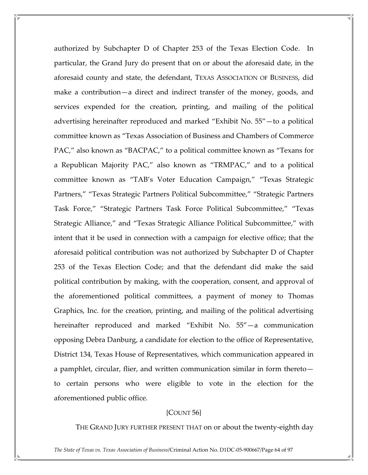authorized by Subchapter D of Chapter 253 of the Texas Election Code. In particular, the Grand Jury do present that on or about the aforesaid date, in the aforesaid county and state, the defendant, TEXAS ASSOCIATION OF BUSINESS, did make a contribution—a direct and indirect transfer of the money, goods, and services expended for the creation, printing, and mailing of the political advertising hereinafter reproduced and marked "Exhibit No. 55"—to a political committee known as "Texas Association of Business and Chambers of Commerce PAC," also known as "BACPAC," to a political committee known as "Texans for a Republican Majority PAC," also known as "TRMPAC," and to a political committee known as "TAB's Voter Education Campaign," "Texas Strategic Partners," "Texas Strategic Partners Political Subcommittee," "Strategic Partners Task Force," "Strategic Partners Task Force Political Subcommittee," "Texas Strategic Alliance," and "Texas Strategic Alliance Political Subcommittee," with intent that it be used in connection with a campaign for elective office; that the aforesaid political contribution was not authorized by Subchapter D of Chapter 253 of the Texas Election Code; and that the defendant did make the said political contribution by making, with the cooperation, consent, and approval of the aforementioned political committees, a payment of money to Thomas Graphics, Inc. for the creation, printing, and mailing of the political advertising hereinafter reproduced and marked "Exhibit No. 55"—a communication opposing Debra Danburg, a candidate for election to the office of Representative, District 134, Texas House of Representatives, which communication appeared in a pamphlet, circular, flier, and written communication similar in form thereto to certain persons who were eligible to vote in the election for the aforementioned public office.

# {COUNT 56}

THE GRAND JURY FURTHER PRESENT THAT on or about the twenty-eighth day

The State of Texas vs. Texas Association of Business/Criminal Action No. D1DC-05-900667/Page 64 of 97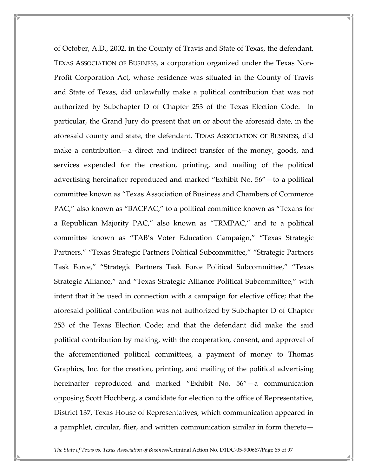of October, A.D., 2002, in the County of Travis and State of Texas, the defendant, TEXAS ASSOCIATION OF BUSINESS, a corporation organized under the Texas Non-Profit Corporation Act, whose residence was situated in the County of Travis and State of Texas, did unlawfully make a political contribution that was not authorized by Subchapter D of Chapter 253 of the Texas Election Code. In particular, the Grand Jury do present that on or about the aforesaid date, in the aforesaid county and state, the defendant, TEXAS ASSOCIATION OF BUSINESS, did make a contribution—a direct and indirect transfer of the money, goods, and services expended for the creation, printing, and mailing of the political advertising hereinafter reproduced and marked "Exhibit No. 56"—to a political committee known as "Texas Association of Business and Chambers of Commerce PAC," also known as "BACPAC," to a political committee known as "Texans for a Republican Majority PAC," also known as "TRMPAC," and to a political committee known as "TAB's Voter Education Campaign," "Texas Strategic Partners," "Texas Strategic Partners Political Subcommittee," "Strategic Partners Task Force," "Strategic Partners Task Force Political Subcommittee," "Texas Strategic Alliance," and "Texas Strategic Alliance Political Subcommittee," with intent that it be used in connection with a campaign for elective office; that the aforesaid political contribution was not authorized by Subchapter D of Chapter 253 of the Texas Election Code; and that the defendant did make the said political contribution by making, with the cooperation, consent, and approval of the aforementioned political committees, a payment of money to Thomas Graphics, Inc. for the creation, printing, and mailing of the political advertising hereinafter reproduced and marked "Exhibit No. 56"—a communication opposing Scott Hochberg, a candidate for election to the office of Representative, District 137, Texas House of Representatives, which communication appeared in a pamphlet, circular, flier, and written communication similar in form thereto—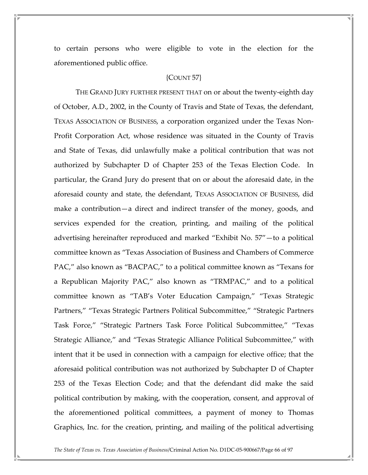to certain persons who were eligible to vote in the election for the aforementioned public office.

#### {COUNT 57}

 THE GRAND JURY FURTHER PRESENT THAT on or about the twenty-eighth day of October, A.D., 2002, in the County of Travis and State of Texas, the defendant, TEXAS ASSOCIATION OF BUSINESS, a corporation organized under the Texas Non-Profit Corporation Act, whose residence was situated in the County of Travis and State of Texas, did unlawfully make a political contribution that was not authorized by Subchapter D of Chapter 253 of the Texas Election Code. In particular, the Grand Jury do present that on or about the aforesaid date, in the aforesaid county and state, the defendant, TEXAS ASSOCIATION OF BUSINESS, did make a contribution—a direct and indirect transfer of the money, goods, and services expended for the creation, printing, and mailing of the political advertising hereinafter reproduced and marked "Exhibit No. 57"—to a political committee known as "Texas Association of Business and Chambers of Commerce PAC," also known as "BACPAC," to a political committee known as "Texans for a Republican Majority PAC," also known as "TRMPAC," and to a political committee known as "TAB's Voter Education Campaign," "Texas Strategic Partners," "Texas Strategic Partners Political Subcommittee," "Strategic Partners Task Force," "Strategic Partners Task Force Political Subcommittee," "Texas Strategic Alliance," and "Texas Strategic Alliance Political Subcommittee," with intent that it be used in connection with a campaign for elective office; that the aforesaid political contribution was not authorized by Subchapter D of Chapter 253 of the Texas Election Code; and that the defendant did make the said political contribution by making, with the cooperation, consent, and approval of the aforementioned political committees, a payment of money to Thomas Graphics, Inc. for the creation, printing, and mailing of the political advertising

The State of Texas vs. Texas Association of Business/Criminal Action No. D1DC-05-900667/Page 66 of 97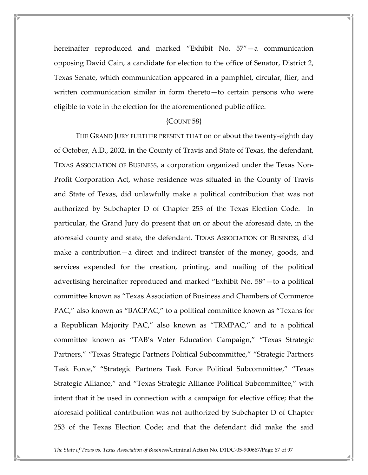hereinafter reproduced and marked "Exhibit No. 57"—a communication opposing David Cain, a candidate for election to the office of Senator, District 2, Texas Senate, which communication appeared in a pamphlet, circular, flier, and written communication similar in form thereto—to certain persons who were eligible to vote in the election for the aforementioned public office.

#### ${COUNT}$  58 $}$

 THE GRAND JURY FURTHER PRESENT THAT on or about the twenty-eighth day of October, A.D., 2002, in the County of Travis and State of Texas, the defendant, TEXAS ASSOCIATION OF BUSINESS, a corporation organized under the Texas Non-Profit Corporation Act, whose residence was situated in the County of Travis and State of Texas, did unlawfully make a political contribution that was not authorized by Subchapter D of Chapter 253 of the Texas Election Code. In particular, the Grand Jury do present that on or about the aforesaid date, in the aforesaid county and state, the defendant, TEXAS ASSOCIATION OF BUSINESS, did make a contribution—a direct and indirect transfer of the money, goods, and services expended for the creation, printing, and mailing of the political advertising hereinafter reproduced and marked "Exhibit No. 58"—to a political committee known as "Texas Association of Business and Chambers of Commerce PAC," also known as "BACPAC," to a political committee known as "Texans for a Republican Majority PAC," also known as "TRMPAC," and to a political committee known as "TAB's Voter Education Campaign," "Texas Strategic Partners," "Texas Strategic Partners Political Subcommittee," "Strategic Partners Task Force," "Strategic Partners Task Force Political Subcommittee," "Texas Strategic Alliance," and "Texas Strategic Alliance Political Subcommittee," with intent that it be used in connection with a campaign for elective office; that the aforesaid political contribution was not authorized by Subchapter D of Chapter 253 of the Texas Election Code; and that the defendant did make the said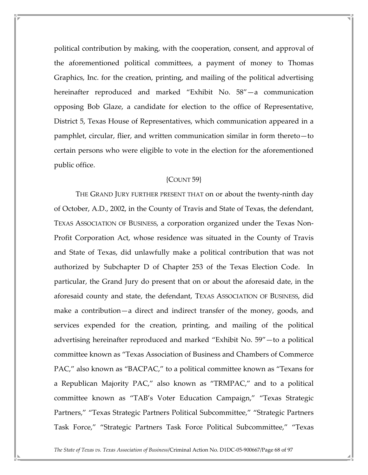political contribution by making, with the cooperation, consent, and approval of the aforementioned political committees, a payment of money to Thomas Graphics, Inc. for the creation, printing, and mailing of the political advertising hereinafter reproduced and marked "Exhibit No. 58"—a communication opposing Bob Glaze, a candidate for election to the office of Representative, District 5, Texas House of Representatives, which communication appeared in a pamphlet, circular, flier, and written communication similar in form thereto—to certain persons who were eligible to vote in the election for the aforementioned public office.

### {COUNT 59}

 THE GRAND JURY FURTHER PRESENT THAT on or about the twenty-ninth day of October, A.D., 2002, in the County of Travis and State of Texas, the defendant, TEXAS ASSOCIATION OF BUSINESS, a corporation organized under the Texas Non-Profit Corporation Act, whose residence was situated in the County of Travis and State of Texas, did unlawfully make a political contribution that was not authorized by Subchapter D of Chapter 253 of the Texas Election Code. In particular, the Grand Jury do present that on or about the aforesaid date, in the aforesaid county and state, the defendant, TEXAS ASSOCIATION OF BUSINESS, did make a contribution—a direct and indirect transfer of the money, goods, and services expended for the creation, printing, and mailing of the political advertising hereinafter reproduced and marked "Exhibit No. 59"—to a political committee known as "Texas Association of Business and Chambers of Commerce PAC," also known as "BACPAC," to a political committee known as "Texans for a Republican Majority PAC," also known as "TRMPAC," and to a political committee known as "TAB's Voter Education Campaign," "Texas Strategic Partners," "Texas Strategic Partners Political Subcommittee," "Strategic Partners Task Force," "Strategic Partners Task Force Political Subcommittee," "Texas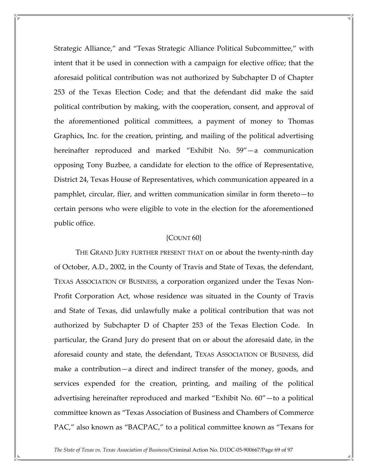Strategic Alliance," and "Texas Strategic Alliance Political Subcommittee," with intent that it be used in connection with a campaign for elective office; that the aforesaid political contribution was not authorized by Subchapter D of Chapter 253 of the Texas Election Code; and that the defendant did make the said political contribution by making, with the cooperation, consent, and approval of the aforementioned political committees, a payment of money to Thomas Graphics, Inc. for the creation, printing, and mailing of the political advertising hereinafter reproduced and marked "Exhibit No. 59"—a communication opposing Tony Buzbee, a candidate for election to the office of Representative, District 24, Texas House of Representatives, which communication appeared in a pamphlet, circular, flier, and written communication similar in form thereto—to certain persons who were eligible to vote in the election for the aforementioned public office.

## ${COUNT60}$

 THE GRAND JURY FURTHER PRESENT THAT on or about the twenty-ninth day of October, A.D., 2002, in the County of Travis and State of Texas, the defendant, TEXAS ASSOCIATION OF BUSINESS, a corporation organized under the Texas Non-Profit Corporation Act, whose residence was situated in the County of Travis and State of Texas, did unlawfully make a political contribution that was not authorized by Subchapter D of Chapter 253 of the Texas Election Code. In particular, the Grand Jury do present that on or about the aforesaid date, in the aforesaid county and state, the defendant, TEXAS ASSOCIATION OF BUSINESS, did make a contribution—a direct and indirect transfer of the money, goods, and services expended for the creation, printing, and mailing of the political advertising hereinafter reproduced and marked "Exhibit No. 60"—to a political committee known as "Texas Association of Business and Chambers of Commerce PAC," also known as "BACPAC," to a political committee known as "Texans for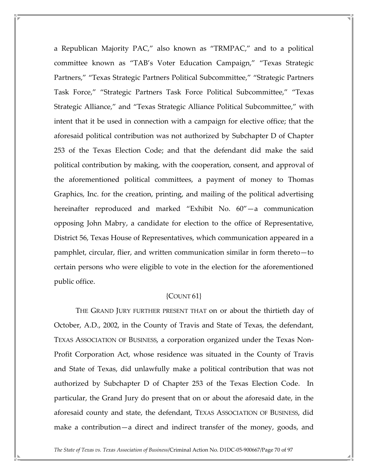a Republican Majority PAC," also known as "TRMPAC," and to a political committee known as "TAB's Voter Education Campaign," "Texas Strategic Partners," "Texas Strategic Partners Political Subcommittee," "Strategic Partners Task Force," "Strategic Partners Task Force Political Subcommittee," "Texas Strategic Alliance," and "Texas Strategic Alliance Political Subcommittee," with intent that it be used in connection with a campaign for elective office; that the aforesaid political contribution was not authorized by Subchapter D of Chapter 253 of the Texas Election Code; and that the defendant did make the said political contribution by making, with the cooperation, consent, and approval of the aforementioned political committees, a payment of money to Thomas Graphics, Inc. for the creation, printing, and mailing of the political advertising hereinafter reproduced and marked "Exhibit No. 60"—a communication opposing John Mabry, a candidate for election to the office of Representative, District 56, Texas House of Representatives, which communication appeared in a pamphlet, circular, flier, and written communication similar in form thereto—to certain persons who were eligible to vote in the election for the aforementioned public office.

### ${COUNT61}$

 THE GRAND JURY FURTHER PRESENT THAT on or about the thirtieth day of October, A.D., 2002, in the County of Travis and State of Texas, the defendant, TEXAS ASSOCIATION OF BUSINESS, a corporation organized under the Texas Non-Profit Corporation Act, whose residence was situated in the County of Travis and State of Texas, did unlawfully make a political contribution that was not authorized by Subchapter D of Chapter 253 of the Texas Election Code. In particular, the Grand Jury do present that on or about the aforesaid date, in the aforesaid county and state, the defendant, TEXAS ASSOCIATION OF BUSINESS, did make a contribution—a direct and indirect transfer of the money, goods, and

The State of Texas vs. Texas Association of Business/Criminal Action No. D1DC-05-900667/Page 70 of 97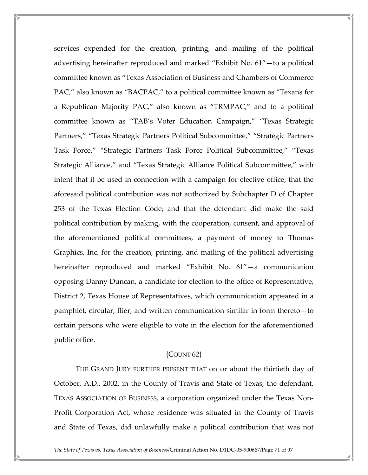services expended for the creation, printing, and mailing of the political advertising hereinafter reproduced and marked "Exhibit No. 61"—to a political committee known as "Texas Association of Business and Chambers of Commerce PAC," also known as "BACPAC," to a political committee known as "Texans for a Republican Majority PAC," also known as "TRMPAC," and to a political committee known as "TAB's Voter Education Campaign," "Texas Strategic Partners," "Texas Strategic Partners Political Subcommittee," "Strategic Partners Task Force," "Strategic Partners Task Force Political Subcommittee," "Texas Strategic Alliance," and "Texas Strategic Alliance Political Subcommittee," with intent that it be used in connection with a campaign for elective office; that the aforesaid political contribution was not authorized by Subchapter D of Chapter 253 of the Texas Election Code; and that the defendant did make the said political contribution by making, with the cooperation, consent, and approval of the aforementioned political committees, a payment of money to Thomas Graphics, Inc. for the creation, printing, and mailing of the political advertising hereinafter reproduced and marked "Exhibit No. 61"—a communication opposing Danny Duncan, a candidate for election to the office of Representative, District 2, Texas House of Representatives, which communication appeared in a pamphlet, circular, flier, and written communication similar in form thereto—to certain persons who were eligible to vote in the election for the aforementioned public office.

#### ${COUNT62}$

 THE GRAND JURY FURTHER PRESENT THAT on or about the thirtieth day of October, A.D., 2002, in the County of Travis and State of Texas, the defendant, TEXAS ASSOCIATION OF BUSINESS, a corporation organized under the Texas Non-Profit Corporation Act, whose residence was situated in the County of Travis and State of Texas, did unlawfully make a political contribution that was not

The State of Texas vs. Texas Association of Business/Criminal Action No. D1DC-05-900667/Page 71 of 97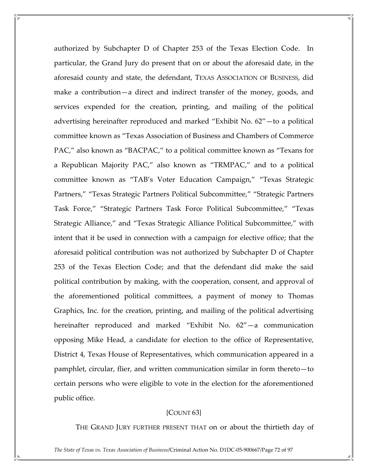authorized by Subchapter D of Chapter 253 of the Texas Election Code. In particular, the Grand Jury do present that on or about the aforesaid date, in the aforesaid county and state, the defendant, TEXAS ASSOCIATION OF BUSINESS, did make a contribution—a direct and indirect transfer of the money, goods, and services expended for the creation, printing, and mailing of the political advertising hereinafter reproduced and marked "Exhibit No. 62"—to a political committee known as "Texas Association of Business and Chambers of Commerce PAC," also known as "BACPAC," to a political committee known as "Texans for a Republican Majority PAC," also known as "TRMPAC," and to a political committee known as "TAB's Voter Education Campaign," "Texas Strategic Partners," "Texas Strategic Partners Political Subcommittee," "Strategic Partners Task Force," "Strategic Partners Task Force Political Subcommittee," "Texas Strategic Alliance," and "Texas Strategic Alliance Political Subcommittee," with intent that it be used in connection with a campaign for elective office; that the aforesaid political contribution was not authorized by Subchapter D of Chapter 253 of the Texas Election Code; and that the defendant did make the said political contribution by making, with the cooperation, consent, and approval of the aforementioned political committees, a payment of money to Thomas Graphics, Inc. for the creation, printing, and mailing of the political advertising hereinafter reproduced and marked "Exhibit No. 62"—a communication opposing Mike Head, a candidate for election to the office of Representative, District 4, Texas House of Representatives, which communication appeared in a pamphlet, circular, flier, and written communication similar in form thereto—to certain persons who were eligible to vote in the election for the aforementioned public office.

# ${COUNT 63}$

THE GRAND JURY FURTHER PRESENT THAT on or about the thirtieth day of

The State of Texas vs. Texas Association of Business/Criminal Action No. D1DC-05-900667/Page 72 of 97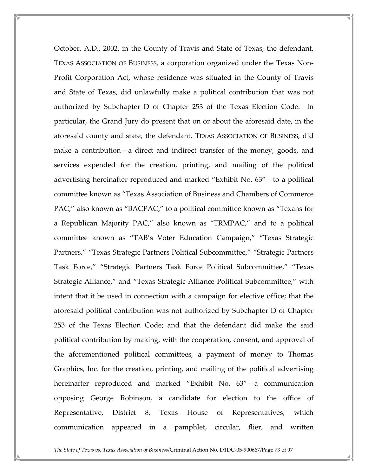October, A.D., 2002, in the County of Travis and State of Texas, the defendant, TEXAS ASSOCIATION OF BUSINESS, a corporation organized under the Texas Non-Profit Corporation Act, whose residence was situated in the County of Travis and State of Texas, did unlawfully make a political contribution that was not authorized by Subchapter D of Chapter 253 of the Texas Election Code. In particular, the Grand Jury do present that on or about the aforesaid date, in the aforesaid county and state, the defendant, TEXAS ASSOCIATION OF BUSINESS, did make a contribution—a direct and indirect transfer of the money, goods, and services expended for the creation, printing, and mailing of the political advertising hereinafter reproduced and marked "Exhibit No. 63"—to a political committee known as "Texas Association of Business and Chambers of Commerce PAC," also known as "BACPAC," to a political committee known as "Texans for a Republican Majority PAC," also known as "TRMPAC," and to a political committee known as "TAB's Voter Education Campaign," "Texas Strategic Partners," "Texas Strategic Partners Political Subcommittee," "Strategic Partners Task Force," "Strategic Partners Task Force Political Subcommittee," "Texas Strategic Alliance," and "Texas Strategic Alliance Political Subcommittee," with intent that it be used in connection with a campaign for elective office; that the aforesaid political contribution was not authorized by Subchapter D of Chapter 253 of the Texas Election Code; and that the defendant did make the said political contribution by making, with the cooperation, consent, and approval of the aforementioned political committees, a payment of money to Thomas Graphics, Inc. for the creation, printing, and mailing of the political advertising hereinafter reproduced and marked "Exhibit No. 63"—a communication opposing George Robinson, a candidate for election to the office of Representative, District 8, Texas House of Representatives, which communication appeared in a pamphlet, circular, flier, and written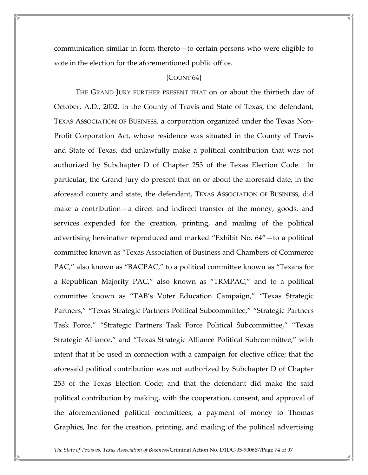communication similar in form thereto—to certain persons who were eligible to vote in the election for the aforementioned public office.

### ${COUNT 64}$

 THE GRAND JURY FURTHER PRESENT THAT on or about the thirtieth day of October, A.D., 2002, in the County of Travis and State of Texas, the defendant, TEXAS ASSOCIATION OF BUSINESS, a corporation organized under the Texas Non-Profit Corporation Act, whose residence was situated in the County of Travis and State of Texas, did unlawfully make a political contribution that was not authorized by Subchapter D of Chapter 253 of the Texas Election Code. In particular, the Grand Jury do present that on or about the aforesaid date, in the aforesaid county and state, the defendant, TEXAS ASSOCIATION OF BUSINESS, did make a contribution—a direct and indirect transfer of the money, goods, and services expended for the creation, printing, and mailing of the political advertising hereinafter reproduced and marked "Exhibit No. 64"—to a political committee known as "Texas Association of Business and Chambers of Commerce PAC," also known as "BACPAC," to a political committee known as "Texans for a Republican Majority PAC," also known as "TRMPAC," and to a political committee known as "TAB's Voter Education Campaign," "Texas Strategic Partners," "Texas Strategic Partners Political Subcommittee," "Strategic Partners Task Force," "Strategic Partners Task Force Political Subcommittee," "Texas Strategic Alliance," and "Texas Strategic Alliance Political Subcommittee," with intent that it be used in connection with a campaign for elective office; that the aforesaid political contribution was not authorized by Subchapter D of Chapter 253 of the Texas Election Code; and that the defendant did make the said political contribution by making, with the cooperation, consent, and approval of the aforementioned political committees, a payment of money to Thomas Graphics, Inc. for the creation, printing, and mailing of the political advertising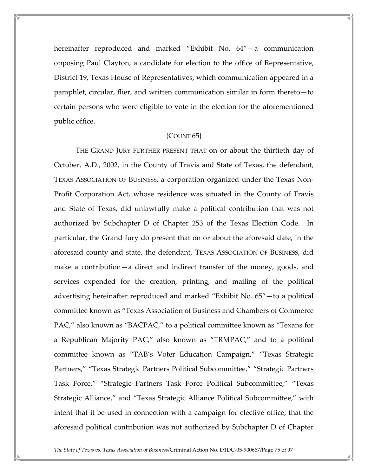hereinafter reproduced and marked "Exhibit No. 64"—a communication opposing Paul Clayton, a candidate for election to the office of Representative, District 19, Texas House of Representatives, which communication appeared in a pamphlet, circular, flier, and written communication similar in form thereto—to certain persons who were eligible to vote in the election for the aforementioned public office.

# {COUNT 65}

 THE GRAND JURY FURTHER PRESENT THAT on or about the thirtieth day of October, A.D., 2002, in the County of Travis and State of Texas, the defendant, TEXAS ASSOCIATION OF BUSINESS, a corporation organized under the Texas Non-Profit Corporation Act, whose residence was situated in the County of Travis and State of Texas, did unlawfully make a political contribution that was not authorized by Subchapter D of Chapter 253 of the Texas Election Code. In particular, the Grand Jury do present that on or about the aforesaid date, in the aforesaid county and state, the defendant, TEXAS ASSOCIATION OF BUSINESS, did make a contribution—a direct and indirect transfer of the money, goods, and services expended for the creation, printing, and mailing of the political advertising hereinafter reproduced and marked "Exhibit No. 65"—to a political committee known as "Texas Association of Business and Chambers of Commerce PAC," also known as "BACPAC," to a political committee known as "Texans for a Republican Majority PAC," also known as "TRMPAC," and to a political committee known as "TAB's Voter Education Campaign," "Texas Strategic Partners," "Texas Strategic Partners Political Subcommittee," "Strategic Partners Task Force," "Strategic Partners Task Force Political Subcommittee," "Texas Strategic Alliance," and "Texas Strategic Alliance Political Subcommittee," with intent that it be used in connection with a campaign for elective office; that the aforesaid political contribution was not authorized by Subchapter D of Chapter

The State of Texas vs. Texas Association of Business/Criminal Action No. D1DC-05-900667/Page 75 of 97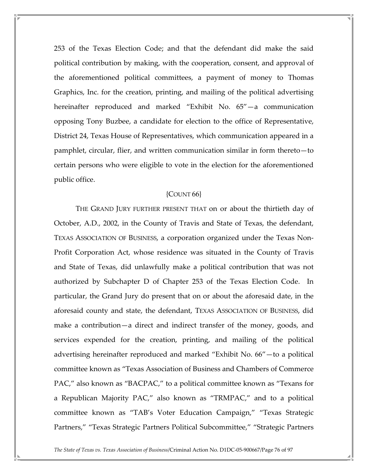253 of the Texas Election Code; and that the defendant did make the said political contribution by making, with the cooperation, consent, and approval of the aforementioned political committees, a payment of money to Thomas Graphics, Inc. for the creation, printing, and mailing of the political advertising hereinafter reproduced and marked "Exhibit No. 65"—a communication opposing Tony Buzbee, a candidate for election to the office of Representative, District 24, Texas House of Representatives, which communication appeared in a pamphlet, circular, flier, and written communication similar in form thereto—to certain persons who were eligible to vote in the election for the aforementioned public office.

# ${COUNT66}$

 THE GRAND JURY FURTHER PRESENT THAT on or about the thirtieth day of October, A.D., 2002, in the County of Travis and State of Texas, the defendant, TEXAS ASSOCIATION OF BUSINESS, a corporation organized under the Texas Non-Profit Corporation Act, whose residence was situated in the County of Travis and State of Texas, did unlawfully make a political contribution that was not authorized by Subchapter D of Chapter 253 of the Texas Election Code. In particular, the Grand Jury do present that on or about the aforesaid date, in the aforesaid county and state, the defendant, TEXAS ASSOCIATION OF BUSINESS, did make a contribution—a direct and indirect transfer of the money, goods, and services expended for the creation, printing, and mailing of the political advertising hereinafter reproduced and marked "Exhibit No. 66"—to a political committee known as "Texas Association of Business and Chambers of Commerce PAC," also known as "BACPAC," to a political committee known as "Texans for a Republican Majority PAC," also known as "TRMPAC," and to a political committee known as "TAB's Voter Education Campaign," "Texas Strategic Partners," "Texas Strategic Partners Political Subcommittee," "Strategic Partners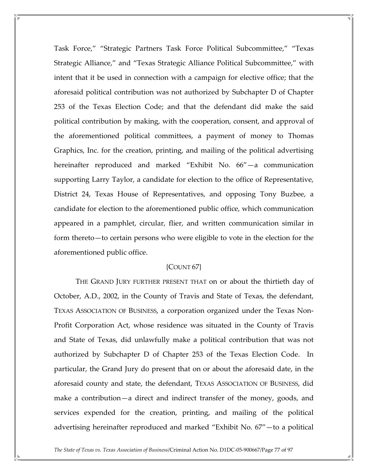Task Force," "Strategic Partners Task Force Political Subcommittee," "Texas Strategic Alliance," and "Texas Strategic Alliance Political Subcommittee," with intent that it be used in connection with a campaign for elective office; that the aforesaid political contribution was not authorized by Subchapter D of Chapter 253 of the Texas Election Code; and that the defendant did make the said political contribution by making, with the cooperation, consent, and approval of the aforementioned political committees, a payment of money to Thomas Graphics, Inc. for the creation, printing, and mailing of the political advertising hereinafter reproduced and marked "Exhibit No. 66"—a communication supporting Larry Taylor, a candidate for election to the office of Representative, District 24, Texas House of Representatives, and opposing Tony Buzbee, a candidate for election to the aforementioned public office, which communication appeared in a pamphlet, circular, flier, and written communication similar in form thereto—to certain persons who were eligible to vote in the election for the aforementioned public office.

## {COUNT 67}

 THE GRAND JURY FURTHER PRESENT THAT on or about the thirtieth day of October, A.D., 2002, in the County of Travis and State of Texas, the defendant, TEXAS ASSOCIATION OF BUSINESS, a corporation organized under the Texas Non-Profit Corporation Act, whose residence was situated in the County of Travis and State of Texas, did unlawfully make a political contribution that was not authorized by Subchapter D of Chapter 253 of the Texas Election Code. In particular, the Grand Jury do present that on or about the aforesaid date, in the aforesaid county and state, the defendant, TEXAS ASSOCIATION OF BUSINESS, did make a contribution—a direct and indirect transfer of the money, goods, and services expended for the creation, printing, and mailing of the political advertising hereinafter reproduced and marked "Exhibit No. 67"—to a political

The State of Texas vs. Texas Association of Business/Criminal Action No. D1DC-05-900667/Page 77 of 97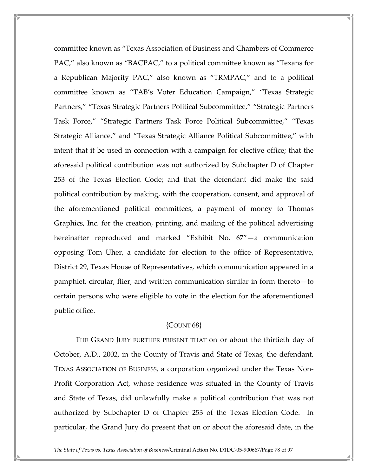committee known as "Texas Association of Business and Chambers of Commerce PAC," also known as "BACPAC," to a political committee known as "Texans for a Republican Majority PAC," also known as "TRMPAC," and to a political committee known as "TAB's Voter Education Campaign," "Texas Strategic Partners," "Texas Strategic Partners Political Subcommittee," "Strategic Partners Task Force," "Strategic Partners Task Force Political Subcommittee," "Texas Strategic Alliance," and "Texas Strategic Alliance Political Subcommittee," with intent that it be used in connection with a campaign for elective office; that the aforesaid political contribution was not authorized by Subchapter D of Chapter 253 of the Texas Election Code; and that the defendant did make the said political contribution by making, with the cooperation, consent, and approval of the aforementioned political committees, a payment of money to Thomas Graphics, Inc. for the creation, printing, and mailing of the political advertising hereinafter reproduced and marked "Exhibit No. 67"—a communication opposing Tom Uher, a candidate for election to the office of Representative, District 29, Texas House of Representatives, which communication appeared in a pamphlet, circular, flier, and written communication similar in form thereto—to certain persons who were eligible to vote in the election for the aforementioned public office.

# {COUNT 68}

 THE GRAND JURY FURTHER PRESENT THAT on or about the thirtieth day of October, A.D., 2002, in the County of Travis and State of Texas, the defendant, TEXAS ASSOCIATION OF BUSINESS, a corporation organized under the Texas Non-Profit Corporation Act, whose residence was situated in the County of Travis and State of Texas, did unlawfully make a political contribution that was not authorized by Subchapter D of Chapter 253 of the Texas Election Code. In particular, the Grand Jury do present that on or about the aforesaid date, in the

The State of Texas vs. Texas Association of Business/Criminal Action No. D1DC-05-900667/Page 78 of 97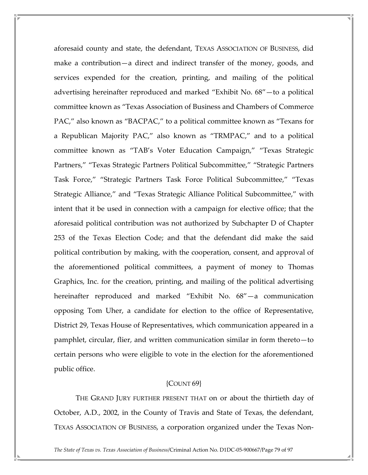aforesaid county and state, the defendant, TEXAS ASSOCIATION OF BUSINESS, did make a contribution—a direct and indirect transfer of the money, goods, and services expended for the creation, printing, and mailing of the political advertising hereinafter reproduced and marked "Exhibit No. 68"—to a political committee known as "Texas Association of Business and Chambers of Commerce PAC," also known as "BACPAC," to a political committee known as "Texans for a Republican Majority PAC," also known as "TRMPAC," and to a political committee known as "TAB's Voter Education Campaign," "Texas Strategic Partners," "Texas Strategic Partners Political Subcommittee," "Strategic Partners Task Force," "Strategic Partners Task Force Political Subcommittee," "Texas Strategic Alliance," and "Texas Strategic Alliance Political Subcommittee," with intent that it be used in connection with a campaign for elective office; that the aforesaid political contribution was not authorized by Subchapter D of Chapter 253 of the Texas Election Code; and that the defendant did make the said political contribution by making, with the cooperation, consent, and approval of the aforementioned political committees, a payment of money to Thomas Graphics, Inc. for the creation, printing, and mailing of the political advertising hereinafter reproduced and marked "Exhibit No. 68"—a communication opposing Tom Uher, a candidate for election to the office of Representative, District 29, Texas House of Representatives, which communication appeared in a pamphlet, circular, flier, and written communication similar in form thereto—to certain persons who were eligible to vote in the election for the aforementioned public office.

## ${COUNT 69}$

 THE GRAND JURY FURTHER PRESENT THAT on or about the thirtieth day of October, A.D., 2002, in the County of Travis and State of Texas, the defendant, TEXAS ASSOCIATION OF BUSINESS, a corporation organized under the Texas Non-

The State of Texas vs. Texas Association of Business/Criminal Action No. D1DC-05-900667/Page 79 of 97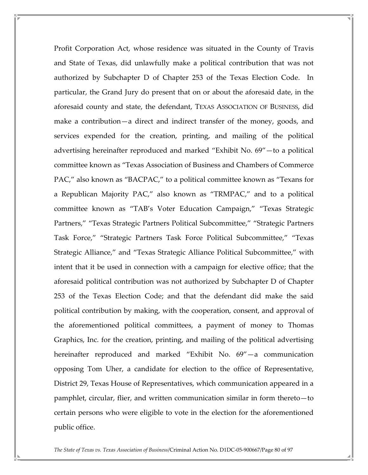Profit Corporation Act, whose residence was situated in the County of Travis and State of Texas, did unlawfully make a political contribution that was not authorized by Subchapter D of Chapter 253 of the Texas Election Code. In particular, the Grand Jury do present that on or about the aforesaid date, in the aforesaid county and state, the defendant, TEXAS ASSOCIATION OF BUSINESS, did make a contribution—a direct and indirect transfer of the money, goods, and services expended for the creation, printing, and mailing of the political advertising hereinafter reproduced and marked "Exhibit No. 69"—to a political committee known as "Texas Association of Business and Chambers of Commerce PAC," also known as "BACPAC," to a political committee known as "Texans for a Republican Majority PAC," also known as "TRMPAC," and to a political committee known as "TAB's Voter Education Campaign," "Texas Strategic Partners," "Texas Strategic Partners Political Subcommittee," "Strategic Partners Task Force," "Strategic Partners Task Force Political Subcommittee," "Texas Strategic Alliance," and "Texas Strategic Alliance Political Subcommittee," with intent that it be used in connection with a campaign for elective office; that the aforesaid political contribution was not authorized by Subchapter D of Chapter 253 of the Texas Election Code; and that the defendant did make the said political contribution by making, with the cooperation, consent, and approval of the aforementioned political committees, a payment of money to Thomas Graphics, Inc. for the creation, printing, and mailing of the political advertising hereinafter reproduced and marked "Exhibit No. 69"—a communication opposing Tom Uher, a candidate for election to the office of Representative, District 29, Texas House of Representatives, which communication appeared in a pamphlet, circular, flier, and written communication similar in form thereto—to certain persons who were eligible to vote in the election for the aforementioned public office.

The State of Texas vs. Texas Association of Business/Criminal Action No. D1DC-05-900667/Page 80 of 97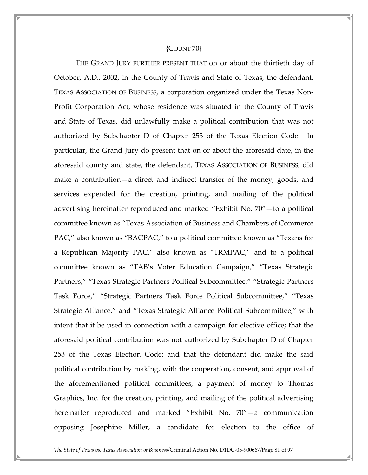### {COUNT 70}

 THE GRAND JURY FURTHER PRESENT THAT on or about the thirtieth day of October, A.D., 2002, in the County of Travis and State of Texas, the defendant, TEXAS ASSOCIATION OF BUSINESS, a corporation organized under the Texas Non-Profit Corporation Act, whose residence was situated in the County of Travis and State of Texas, did unlawfully make a political contribution that was not authorized by Subchapter D of Chapter 253 of the Texas Election Code. In particular, the Grand Jury do present that on or about the aforesaid date, in the aforesaid county and state, the defendant, TEXAS ASSOCIATION OF BUSINESS, did make a contribution—a direct and indirect transfer of the money, goods, and services expended for the creation, printing, and mailing of the political advertising hereinafter reproduced and marked "Exhibit No. 70"—to a political committee known as "Texas Association of Business and Chambers of Commerce PAC," also known as "BACPAC," to a political committee known as "Texans for a Republican Majority PAC," also known as "TRMPAC," and to a political committee known as "TAB's Voter Education Campaign," "Texas Strategic Partners," "Texas Strategic Partners Political Subcommittee," "Strategic Partners Task Force," "Strategic Partners Task Force Political Subcommittee," "Texas Strategic Alliance," and "Texas Strategic Alliance Political Subcommittee," with intent that it be used in connection with a campaign for elective office; that the aforesaid political contribution was not authorized by Subchapter D of Chapter 253 of the Texas Election Code; and that the defendant did make the said political contribution by making, with the cooperation, consent, and approval of the aforementioned political committees, a payment of money to Thomas Graphics, Inc. for the creation, printing, and mailing of the political advertising hereinafter reproduced and marked "Exhibit No. 70"—a communication opposing Josephine Miller, a candidate for election to the office of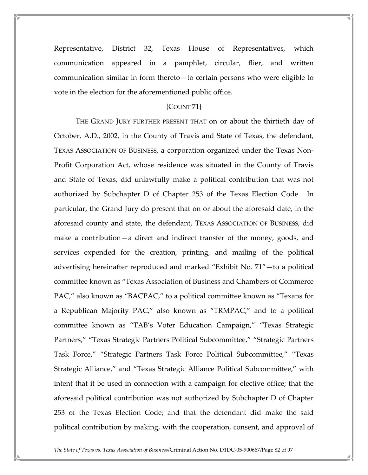Representative, District 32, Texas House of Representatives, which communication appeared in a pamphlet, circular, flier, and written communication similar in form thereto—to certain persons who were eligible to vote in the election for the aforementioned public office.

# {COUNT 71}

 THE GRAND JURY FURTHER PRESENT THAT on or about the thirtieth day of October, A.D., 2002, in the County of Travis and State of Texas, the defendant, TEXAS ASSOCIATION OF BUSINESS, a corporation organized under the Texas Non-Profit Corporation Act, whose residence was situated in the County of Travis and State of Texas, did unlawfully make a political contribution that was not authorized by Subchapter D of Chapter 253 of the Texas Election Code. In particular, the Grand Jury do present that on or about the aforesaid date, in the aforesaid county and state, the defendant, TEXAS ASSOCIATION OF BUSINESS, did make a contribution—a direct and indirect transfer of the money, goods, and services expended for the creation, printing, and mailing of the political advertising hereinafter reproduced and marked "Exhibit No. 71"—to a political committee known as "Texas Association of Business and Chambers of Commerce PAC," also known as "BACPAC," to a political committee known as "Texans for a Republican Majority PAC," also known as "TRMPAC," and to a political committee known as "TAB's Voter Education Campaign," "Texas Strategic Partners," "Texas Strategic Partners Political Subcommittee," "Strategic Partners Task Force," "Strategic Partners Task Force Political Subcommittee," "Texas Strategic Alliance," and "Texas Strategic Alliance Political Subcommittee," with intent that it be used in connection with a campaign for elective office; that the aforesaid political contribution was not authorized by Subchapter D of Chapter 253 of the Texas Election Code; and that the defendant did make the said political contribution by making, with the cooperation, consent, and approval of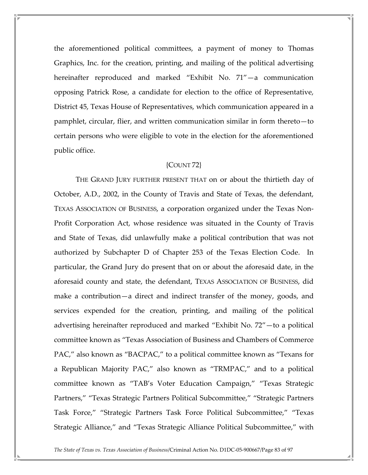the aforementioned political committees, a payment of money to Thomas Graphics, Inc. for the creation, printing, and mailing of the political advertising hereinafter reproduced and marked "Exhibit No. 71"—a communication opposing Patrick Rose, a candidate for election to the office of Representative, District 45, Texas House of Representatives, which communication appeared in a pamphlet, circular, flier, and written communication similar in form thereto—to certain persons who were eligible to vote in the election for the aforementioned public office.

# {COUNT 72}

 THE GRAND JURY FURTHER PRESENT THAT on or about the thirtieth day of October, A.D., 2002, in the County of Travis and State of Texas, the defendant, TEXAS ASSOCIATION OF BUSINESS, a corporation organized under the Texas Non-Profit Corporation Act, whose residence was situated in the County of Travis and State of Texas, did unlawfully make a political contribution that was not authorized by Subchapter D of Chapter 253 of the Texas Election Code. In particular, the Grand Jury do present that on or about the aforesaid date, in the aforesaid county and state, the defendant, TEXAS ASSOCIATION OF BUSINESS, did make a contribution—a direct and indirect transfer of the money, goods, and services expended for the creation, printing, and mailing of the political advertising hereinafter reproduced and marked "Exhibit No. 72"—to a political committee known as "Texas Association of Business and Chambers of Commerce PAC," also known as "BACPAC," to a political committee known as "Texans for a Republican Majority PAC," also known as "TRMPAC," and to a political committee known as "TAB's Voter Education Campaign," "Texas Strategic Partners," "Texas Strategic Partners Political Subcommittee," "Strategic Partners Task Force," "Strategic Partners Task Force Political Subcommittee," "Texas Strategic Alliance," and "Texas Strategic Alliance Political Subcommittee," with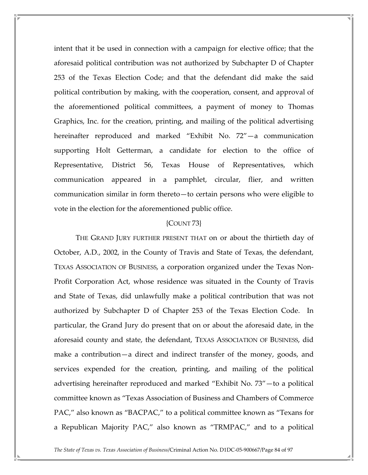intent that it be used in connection with a campaign for elective office; that the aforesaid political contribution was not authorized by Subchapter D of Chapter 253 of the Texas Election Code; and that the defendant did make the said political contribution by making, with the cooperation, consent, and approval of the aforementioned political committees, a payment of money to Thomas Graphics, Inc. for the creation, printing, and mailing of the political advertising hereinafter reproduced and marked "Exhibit No. 72"—a communication supporting Holt Getterman, a candidate for election to the office of Representative, District 56, Texas House of Representatives, which communication appeared in a pamphlet, circular, flier, and written communication similar in form thereto—to certain persons who were eligible to vote in the election for the aforementioned public office.

## {COUNT 73}

 THE GRAND JURY FURTHER PRESENT THAT on or about the thirtieth day of October, A.D., 2002, in the County of Travis and State of Texas, the defendant, TEXAS ASSOCIATION OF BUSINESS, a corporation organized under the Texas Non-Profit Corporation Act, whose residence was situated in the County of Travis and State of Texas, did unlawfully make a political contribution that was not authorized by Subchapter D of Chapter 253 of the Texas Election Code. In particular, the Grand Jury do present that on or about the aforesaid date, in the aforesaid county and state, the defendant, TEXAS ASSOCIATION OF BUSINESS, did make a contribution—a direct and indirect transfer of the money, goods, and services expended for the creation, printing, and mailing of the political advertising hereinafter reproduced and marked "Exhibit No. 73"—to a political committee known as "Texas Association of Business and Chambers of Commerce PAC," also known as "BACPAC," to a political committee known as "Texans for a Republican Majority PAC," also known as "TRMPAC," and to a political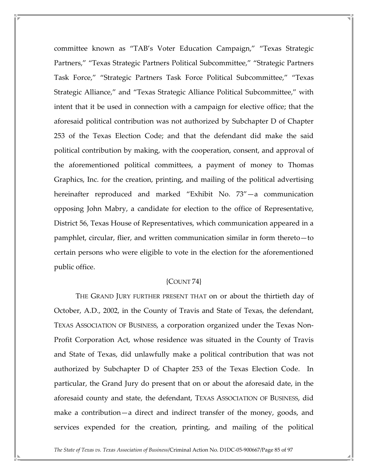committee known as "TAB's Voter Education Campaign," "Texas Strategic Partners," "Texas Strategic Partners Political Subcommittee," "Strategic Partners Task Force," "Strategic Partners Task Force Political Subcommittee," "Texas Strategic Alliance," and "Texas Strategic Alliance Political Subcommittee," with intent that it be used in connection with a campaign for elective office; that the aforesaid political contribution was not authorized by Subchapter D of Chapter 253 of the Texas Election Code; and that the defendant did make the said political contribution by making, with the cooperation, consent, and approval of the aforementioned political committees, a payment of money to Thomas Graphics, Inc. for the creation, printing, and mailing of the political advertising hereinafter reproduced and marked "Exhibit No. 73"—a communication opposing John Mabry, a candidate for election to the office of Representative, District 56, Texas House of Representatives, which communication appeared in a pamphlet, circular, flier, and written communication similar in form thereto—to certain persons who were eligible to vote in the election for the aforementioned public office.

## {COUNT 74}

 THE GRAND JURY FURTHER PRESENT THAT on or about the thirtieth day of October, A.D., 2002, in the County of Travis and State of Texas, the defendant, TEXAS ASSOCIATION OF BUSINESS, a corporation organized under the Texas Non-Profit Corporation Act, whose residence was situated in the County of Travis and State of Texas, did unlawfully make a political contribution that was not authorized by Subchapter D of Chapter 253 of the Texas Election Code. In particular, the Grand Jury do present that on or about the aforesaid date, in the aforesaid county and state, the defendant, TEXAS ASSOCIATION OF BUSINESS, did make a contribution—a direct and indirect transfer of the money, goods, and services expended for the creation, printing, and mailing of the political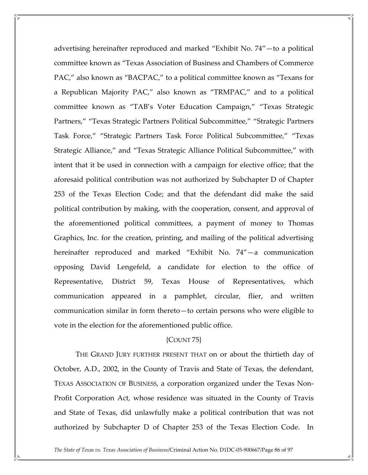advertising hereinafter reproduced and marked "Exhibit No. 74"—to a political committee known as "Texas Association of Business and Chambers of Commerce PAC," also known as "BACPAC," to a political committee known as "Texans for a Republican Majority PAC," also known as "TRMPAC," and to a political committee known as "TAB's Voter Education Campaign," "Texas Strategic Partners," "Texas Strategic Partners Political Subcommittee," "Strategic Partners Task Force," "Strategic Partners Task Force Political Subcommittee," "Texas Strategic Alliance," and "Texas Strategic Alliance Political Subcommittee," with intent that it be used in connection with a campaign for elective office; that the aforesaid political contribution was not authorized by Subchapter D of Chapter 253 of the Texas Election Code; and that the defendant did make the said political contribution by making, with the cooperation, consent, and approval of the aforementioned political committees, a payment of money to Thomas Graphics, Inc. for the creation, printing, and mailing of the political advertising hereinafter reproduced and marked "Exhibit No. 74"—a communication opposing David Lengefeld, a candidate for election to the office of Representative, District 59, Texas House of Representatives, which communication appeared in a pamphlet, circular, flier, and written communication similar in form thereto—to certain persons who were eligible to vote in the election for the aforementioned public office.

## {COUNT 75}

 THE GRAND JURY FURTHER PRESENT THAT on or about the thirtieth day of October, A.D., 2002, in the County of Travis and State of Texas, the defendant, TEXAS ASSOCIATION OF BUSINESS, a corporation organized under the Texas Non-Profit Corporation Act, whose residence was situated in the County of Travis and State of Texas, did unlawfully make a political contribution that was not authorized by Subchapter D of Chapter 253 of the Texas Election Code. In

The State of Texas vs. Texas Association of Business/Criminal Action No. D1DC-05-900667/Page 86 of 97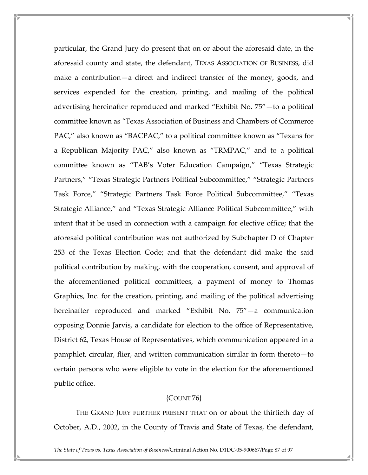particular, the Grand Jury do present that on or about the aforesaid date, in the aforesaid county and state, the defendant, TEXAS ASSOCIATION OF BUSINESS, did make a contribution—a direct and indirect transfer of the money, goods, and services expended for the creation, printing, and mailing of the political advertising hereinafter reproduced and marked "Exhibit No. 75"—to a political committee known as "Texas Association of Business and Chambers of Commerce PAC," also known as "BACPAC," to a political committee known as "Texans for a Republican Majority PAC," also known as "TRMPAC," and to a political committee known as "TAB's Voter Education Campaign," "Texas Strategic Partners," "Texas Strategic Partners Political Subcommittee," "Strategic Partners Task Force," "Strategic Partners Task Force Political Subcommittee," "Texas Strategic Alliance," and "Texas Strategic Alliance Political Subcommittee," with intent that it be used in connection with a campaign for elective office; that the aforesaid political contribution was not authorized by Subchapter D of Chapter 253 of the Texas Election Code; and that the defendant did make the said political contribution by making, with the cooperation, consent, and approval of the aforementioned political committees, a payment of money to Thomas Graphics, Inc. for the creation, printing, and mailing of the political advertising hereinafter reproduced and marked "Exhibit No. 75"—a communication opposing Donnie Jarvis, a candidate for election to the office of Representative, District 62, Texas House of Representatives, which communication appeared in a pamphlet, circular, flier, and written communication similar in form thereto—to certain persons who were eligible to vote in the election for the aforementioned public office.

# {COUNT 76}

 THE GRAND JURY FURTHER PRESENT THAT on or about the thirtieth day of October, A.D., 2002, in the County of Travis and State of Texas, the defendant,

The State of Texas vs. Texas Association of Business/Criminal Action No. D1DC-05-900667/Page 87 of 97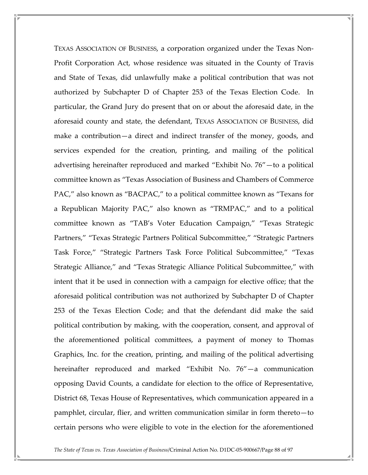TEXAS ASSOCIATION OF BUSINESS, a corporation organized under the Texas Non-Profit Corporation Act, whose residence was situated in the County of Travis and State of Texas, did unlawfully make a political contribution that was not authorized by Subchapter D of Chapter 253 of the Texas Election Code. In particular, the Grand Jury do present that on or about the aforesaid date, in the aforesaid county and state, the defendant, TEXAS ASSOCIATION OF BUSINESS, did make a contribution—a direct and indirect transfer of the money, goods, and services expended for the creation, printing, and mailing of the political advertising hereinafter reproduced and marked "Exhibit No. 76"—to a political committee known as "Texas Association of Business and Chambers of Commerce PAC," also known as "BACPAC," to a political committee known as "Texans for a Republican Majority PAC," also known as "TRMPAC," and to a political committee known as "TAB's Voter Education Campaign," "Texas Strategic Partners," "Texas Strategic Partners Political Subcommittee," "Strategic Partners Task Force," "Strategic Partners Task Force Political Subcommittee," "Texas Strategic Alliance," and "Texas Strategic Alliance Political Subcommittee," with intent that it be used in connection with a campaign for elective office; that the aforesaid political contribution was not authorized by Subchapter D of Chapter 253 of the Texas Election Code; and that the defendant did make the said political contribution by making, with the cooperation, consent, and approval of the aforementioned political committees, a payment of money to Thomas Graphics, Inc. for the creation, printing, and mailing of the political advertising hereinafter reproduced and marked "Exhibit No. 76"—a communication opposing David Counts, a candidate for election to the office of Representative, District 68, Texas House of Representatives, which communication appeared in a pamphlet, circular, flier, and written communication similar in form thereto—to certain persons who were eligible to vote in the election for the aforementioned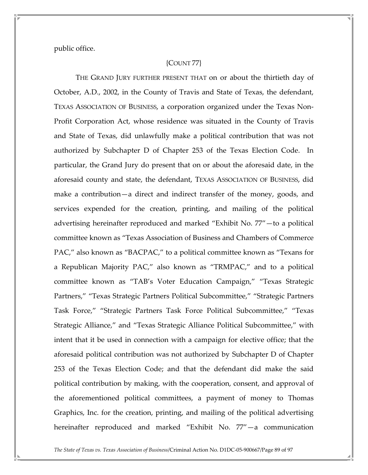public office.

# {COUNT 77}

 THE GRAND JURY FURTHER PRESENT THAT on or about the thirtieth day of October, A.D., 2002, in the County of Travis and State of Texas, the defendant, TEXAS ASSOCIATION OF BUSINESS, a corporation organized under the Texas Non-Profit Corporation Act, whose residence was situated in the County of Travis and State of Texas, did unlawfully make a political contribution that was not authorized by Subchapter D of Chapter 253 of the Texas Election Code. In particular, the Grand Jury do present that on or about the aforesaid date, in the aforesaid county and state, the defendant, TEXAS ASSOCIATION OF BUSINESS, did make a contribution—a direct and indirect transfer of the money, goods, and services expended for the creation, printing, and mailing of the political advertising hereinafter reproduced and marked "Exhibit No. 77"—to a political committee known as "Texas Association of Business and Chambers of Commerce PAC," also known as "BACPAC," to a political committee known as "Texans for a Republican Majority PAC," also known as "TRMPAC," and to a political committee known as "TAB's Voter Education Campaign," "Texas Strategic Partners," "Texas Strategic Partners Political Subcommittee," "Strategic Partners Task Force," "Strategic Partners Task Force Political Subcommittee," "Texas Strategic Alliance," and "Texas Strategic Alliance Political Subcommittee," with intent that it be used in connection with a campaign for elective office; that the aforesaid political contribution was not authorized by Subchapter D of Chapter 253 of the Texas Election Code; and that the defendant did make the said political contribution by making, with the cooperation, consent, and approval of the aforementioned political committees, a payment of money to Thomas Graphics, Inc. for the creation, printing, and mailing of the political advertising hereinafter reproduced and marked "Exhibit No. 77"—a communication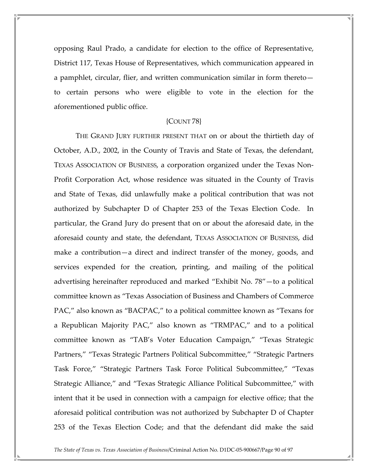opposing Raul Prado, a candidate for election to the office of Representative, District 117, Texas House of Representatives, which communication appeared in a pamphlet, circular, flier, and written communication similar in form thereto to certain persons who were eligible to vote in the election for the aforementioned public office.

#### {COUNT 78}

 THE GRAND JURY FURTHER PRESENT THAT on or about the thirtieth day of October, A.D., 2002, in the County of Travis and State of Texas, the defendant, TEXAS ASSOCIATION OF BUSINESS, a corporation organized under the Texas Non-Profit Corporation Act, whose residence was situated in the County of Travis and State of Texas, did unlawfully make a political contribution that was not authorized by Subchapter D of Chapter 253 of the Texas Election Code. In particular, the Grand Jury do present that on or about the aforesaid date, in the aforesaid county and state, the defendant, TEXAS ASSOCIATION OF BUSINESS, did make a contribution—a direct and indirect transfer of the money, goods, and services expended for the creation, printing, and mailing of the political advertising hereinafter reproduced and marked "Exhibit No. 78"—to a political committee known as "Texas Association of Business and Chambers of Commerce PAC," also known as "BACPAC," to a political committee known as "Texans for a Republican Majority PAC," also known as "TRMPAC," and to a political committee known as "TAB's Voter Education Campaign," "Texas Strategic Partners," "Texas Strategic Partners Political Subcommittee," "Strategic Partners Task Force," "Strategic Partners Task Force Political Subcommittee," "Texas Strategic Alliance," and "Texas Strategic Alliance Political Subcommittee," with intent that it be used in connection with a campaign for elective office; that the aforesaid political contribution was not authorized by Subchapter D of Chapter 253 of the Texas Election Code; and that the defendant did make the said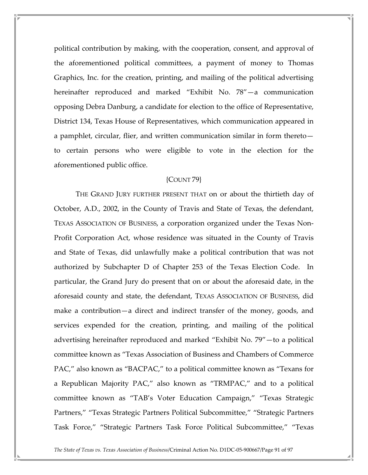political contribution by making, with the cooperation, consent, and approval of the aforementioned political committees, a payment of money to Thomas Graphics, Inc. for the creation, printing, and mailing of the political advertising hereinafter reproduced and marked "Exhibit No. 78"—a communication opposing Debra Danburg, a candidate for election to the office of Representative, District 134, Texas House of Representatives, which communication appeared in a pamphlet, circular, flier, and written communication similar in form thereto to certain persons who were eligible to vote in the election for the aforementioned public office.

## {COUNT 79}

 THE GRAND JURY FURTHER PRESENT THAT on or about the thirtieth day of October, A.D., 2002, in the County of Travis and State of Texas, the defendant, TEXAS ASSOCIATION OF BUSINESS, a corporation organized under the Texas Non-Profit Corporation Act, whose residence was situated in the County of Travis and State of Texas, did unlawfully make a political contribution that was not authorized by Subchapter D of Chapter 253 of the Texas Election Code. In particular, the Grand Jury do present that on or about the aforesaid date, in the aforesaid county and state, the defendant, TEXAS ASSOCIATION OF BUSINESS, did make a contribution—a direct and indirect transfer of the money, goods, and services expended for the creation, printing, and mailing of the political advertising hereinafter reproduced and marked "Exhibit No. 79"—to a political committee known as "Texas Association of Business and Chambers of Commerce PAC," also known as "BACPAC," to a political committee known as "Texans for a Republican Majority PAC," also known as "TRMPAC," and to a political committee known as "TAB's Voter Education Campaign," "Texas Strategic Partners," "Texas Strategic Partners Political Subcommittee," "Strategic Partners Task Force," "Strategic Partners Task Force Political Subcommittee," "Texas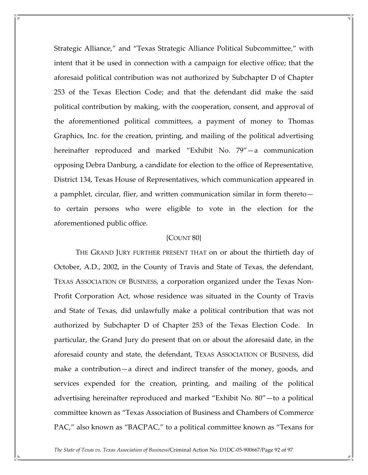Strategic Alliance," and "Texas Strategic Alliance Political Subcommittee," with intent that it be used in connection with a campaign for elective office; that the aforesaid political contribution was not authorized by Subchapter D of Chapter 253 of the Texas Election Code; and that the defendant did make the said political contribution by making, with the cooperation, consent, and approval of the aforementioned political committees, a payment of money to Thomas Graphics, Inc. for the creation, printing, and mailing of the political advertising hereinafter reproduced and marked "Exhibit No. 79"—a communication opposing Debra Danburg, a candidate for election to the office of Representative, District 134, Texas House of Representatives, which communication appeared in a pamphlet, circular, flier, and written communication similar in form thereto to certain persons who were eligible to vote in the election for the aforementioned public office.

# {COUNT 80}

 THE GRAND JURY FURTHER PRESENT THAT on or about the thirtieth day of October, A.D., 2002, in the County of Travis and State of Texas, the defendant, TEXAS ASSOCIATION OF BUSINESS, a corporation organized under the Texas Non-Profit Corporation Act, whose residence was situated in the County of Travis and State of Texas, did unlawfully make a political contribution that was not authorized by Subchapter D of Chapter 253 of the Texas Election Code. In particular, the Grand Jury do present that on or about the aforesaid date, in the aforesaid county and state, the defendant, TEXAS ASSOCIATION OF BUSINESS, did make a contribution—a direct and indirect transfer of the money, goods, and services expended for the creation, printing, and mailing of the political advertising hereinafter reproduced and marked "Exhibit No. 80"—to a political committee known as "Texas Association of Business and Chambers of Commerce PAC," also known as "BACPAC," to a political committee known as "Texans for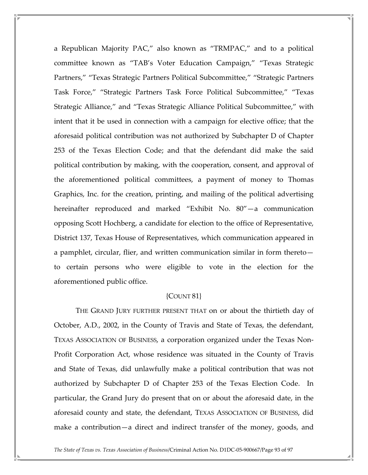a Republican Majority PAC," also known as "TRMPAC," and to a political committee known as "TAB's Voter Education Campaign," "Texas Strategic Partners," "Texas Strategic Partners Political Subcommittee," "Strategic Partners Task Force," "Strategic Partners Task Force Political Subcommittee," "Texas Strategic Alliance," and "Texas Strategic Alliance Political Subcommittee," with intent that it be used in connection with a campaign for elective office; that the aforesaid political contribution was not authorized by Subchapter D of Chapter 253 of the Texas Election Code; and that the defendant did make the said political contribution by making, with the cooperation, consent, and approval of the aforementioned political committees, a payment of money to Thomas Graphics, Inc. for the creation, printing, and mailing of the political advertising hereinafter reproduced and marked "Exhibit No. 80"—a communication opposing Scott Hochberg, a candidate for election to the office of Representative, District 137, Texas House of Representatives, which communication appeared in a pamphlet, circular, flier, and written communication similar in form thereto to certain persons who were eligible to vote in the election for the aforementioned public office.

#### {COUNT 81}

 THE GRAND JURY FURTHER PRESENT THAT on or about the thirtieth day of October, A.D., 2002, in the County of Travis and State of Texas, the defendant, TEXAS ASSOCIATION OF BUSINESS, a corporation organized under the Texas Non-Profit Corporation Act, whose residence was situated in the County of Travis and State of Texas, did unlawfully make a political contribution that was not authorized by Subchapter D of Chapter 253 of the Texas Election Code. In particular, the Grand Jury do present that on or about the aforesaid date, in the aforesaid county and state, the defendant, TEXAS ASSOCIATION OF BUSINESS, did make a contribution—a direct and indirect transfer of the money, goods, and

The State of Texas vs. Texas Association of Business/Criminal Action No. D1DC-05-900667/Page 93 of 97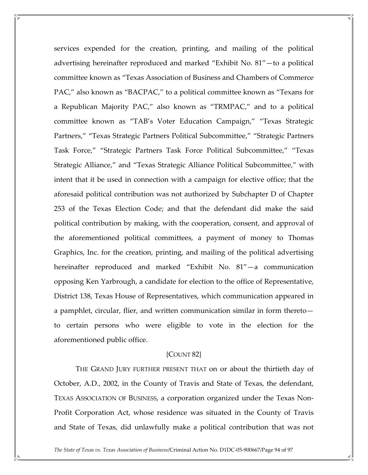services expended for the creation, printing, and mailing of the political advertising hereinafter reproduced and marked "Exhibit No. 81"—to a political committee known as "Texas Association of Business and Chambers of Commerce PAC," also known as "BACPAC," to a political committee known as "Texans for a Republican Majority PAC," also known as "TRMPAC," and to a political committee known as "TAB's Voter Education Campaign," "Texas Strategic Partners," "Texas Strategic Partners Political Subcommittee," "Strategic Partners Task Force," "Strategic Partners Task Force Political Subcommittee," "Texas Strategic Alliance," and "Texas Strategic Alliance Political Subcommittee," with intent that it be used in connection with a campaign for elective office; that the aforesaid political contribution was not authorized by Subchapter D of Chapter 253 of the Texas Election Code; and that the defendant did make the said political contribution by making, with the cooperation, consent, and approval of the aforementioned political committees, a payment of money to Thomas Graphics, Inc. for the creation, printing, and mailing of the political advertising hereinafter reproduced and marked "Exhibit No. 81"—a communication opposing Ken Yarbrough, a candidate for election to the office of Representative, District 138, Texas House of Representatives, which communication appeared in a pamphlet, circular, flier, and written communication similar in form thereto to certain persons who were eligible to vote in the election for the aforementioned public office.

#### {COUNT 82}

 THE GRAND JURY FURTHER PRESENT THAT on or about the thirtieth day of October, A.D., 2002, in the County of Travis and State of Texas, the defendant, TEXAS ASSOCIATION OF BUSINESS, a corporation organized under the Texas Non-Profit Corporation Act, whose residence was situated in the County of Travis and State of Texas, did unlawfully make a political contribution that was not

The State of Texas vs. Texas Association of Business/Criminal Action No. D1DC-05-900667/Page 94 of 97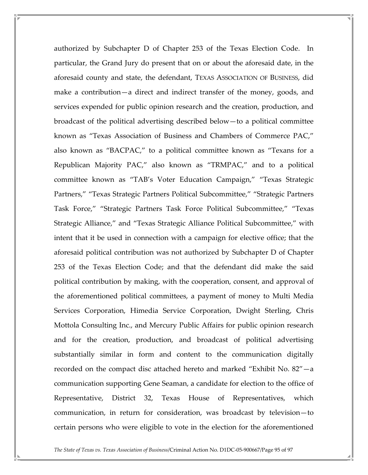authorized by Subchapter D of Chapter 253 of the Texas Election Code. In particular, the Grand Jury do present that on or about the aforesaid date, in the aforesaid county and state, the defendant, TEXAS ASSOCIATION OF BUSINESS, did make a contribution—a direct and indirect transfer of the money, goods, and services expended for public opinion research and the creation, production, and broadcast of the political advertising described below—to a political committee known as "Texas Association of Business and Chambers of Commerce PAC," also known as "BACPAC," to a political committee known as "Texans for a Republican Majority PAC," also known as "TRMPAC," and to a political committee known as "TAB's Voter Education Campaign," "Texas Strategic Partners," "Texas Strategic Partners Political Subcommittee," "Strategic Partners Task Force," "Strategic Partners Task Force Political Subcommittee," "Texas Strategic Alliance," and "Texas Strategic Alliance Political Subcommittee," with intent that it be used in connection with a campaign for elective office; that the aforesaid political contribution was not authorized by Subchapter D of Chapter 253 of the Texas Election Code; and that the defendant did make the said political contribution by making, with the cooperation, consent, and approval of the aforementioned political committees, a payment of money to Multi Media Services Corporation, Himedia Service Corporation, Dwight Sterling, Chris Mottola Consulting Inc., and Mercury Public Affairs for public opinion research and for the creation, production, and broadcast of political advertising substantially similar in form and content to the communication digitally recorded on the compact disc attached hereto and marked "Exhibit No. 82"—a communication supporting Gene Seaman, a candidate for election to the office of Representative, District 32, Texas House of Representatives, which communication, in return for consideration, was broadcast by television—to certain persons who were eligible to vote in the election for the aforementioned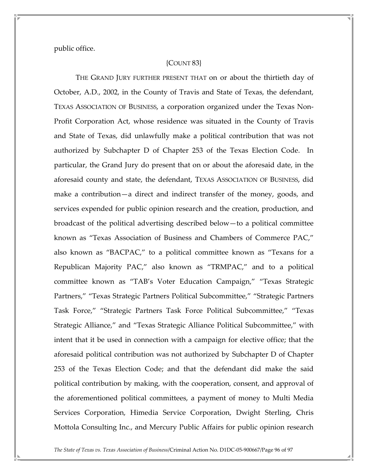public office.

## {COUNT 83}

 THE GRAND JURY FURTHER PRESENT THAT on or about the thirtieth day of October, A.D., 2002, in the County of Travis and State of Texas, the defendant, TEXAS ASSOCIATION OF BUSINESS, a corporation organized under the Texas Non-Profit Corporation Act, whose residence was situated in the County of Travis and State of Texas, did unlawfully make a political contribution that was not authorized by Subchapter D of Chapter 253 of the Texas Election Code. In particular, the Grand Jury do present that on or about the aforesaid date, in the aforesaid county and state, the defendant, TEXAS ASSOCIATION OF BUSINESS, did make a contribution—a direct and indirect transfer of the money, goods, and services expended for public opinion research and the creation, production, and broadcast of the political advertising described below—to a political committee known as "Texas Association of Business and Chambers of Commerce PAC," also known as "BACPAC," to a political committee known as "Texans for a Republican Majority PAC," also known as "TRMPAC," and to a political committee known as "TAB's Voter Education Campaign," "Texas Strategic Partners," "Texas Strategic Partners Political Subcommittee," "Strategic Partners Task Force," "Strategic Partners Task Force Political Subcommittee," "Texas Strategic Alliance," and "Texas Strategic Alliance Political Subcommittee," with intent that it be used in connection with a campaign for elective office; that the aforesaid political contribution was not authorized by Subchapter D of Chapter 253 of the Texas Election Code; and that the defendant did make the said political contribution by making, with the cooperation, consent, and approval of the aforementioned political committees, a payment of money to Multi Media Services Corporation, Himedia Service Corporation, Dwight Sterling, Chris Mottola Consulting Inc., and Mercury Public Affairs for public opinion research